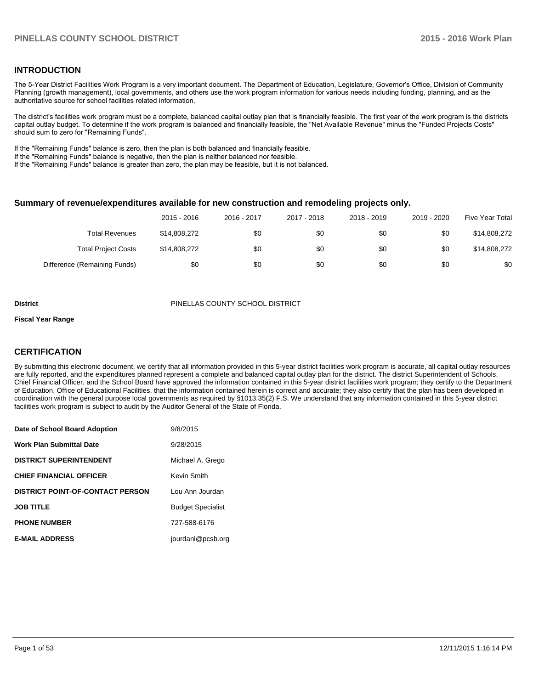#### **INTRODUCTION**

The 5-Year District Facilities Work Program is a very important document. The Department of Education, Legislature, Governor's Office, Division of Community Planning (growth management), local governments, and others use the work program information for various needs including funding, planning, and as the authoritative source for school facilities related information.

The district's facilities work program must be a complete, balanced capital outlay plan that is financially feasible. The first year of the work program is the districts capital outlay budget. To determine if the work program is balanced and financially feasible, the "Net Available Revenue" minus the "Funded Projects Costs" should sum to zero for "Remaining Funds".

If the "Remaining Funds" balance is zero, then the plan is both balanced and financially feasible.

If the "Remaining Funds" balance is negative, then the plan is neither balanced nor feasible.

If the "Remaining Funds" balance is greater than zero, the plan may be feasible, but it is not balanced.

#### **Summary of revenue/expenditures available for new construction and remodeling projects only.**

|                              | 2015 - 2016  | 2016 - 2017 | 2017 - 2018 | 2018 - 2019 | 2019 - 2020 | Five Year Total |
|------------------------------|--------------|-------------|-------------|-------------|-------------|-----------------|
| <b>Total Revenues</b>        | \$14,808,272 | \$0         | \$0         | \$0         | \$0         | \$14,808,272    |
| <b>Total Project Costs</b>   | \$14,808,272 | \$0         | \$0         | \$0         | \$0         | \$14,808,272    |
| Difference (Remaining Funds) | \$0          | \$0         | \$0         | \$0         | \$0         | \$0             |

#### **District** PINELLAS COUNTY SCHOOL DISTRICT

#### **Fiscal Year Range**

#### **CERTIFICATION**

By submitting this electronic document, we certify that all information provided in this 5-year district facilities work program is accurate, all capital outlay resources are fully reported, and the expenditures planned represent a complete and balanced capital outlay plan for the district. The district Superintendent of Schools, Chief Financial Officer, and the School Board have approved the information contained in this 5-year district facilities work program; they certify to the Department of Education, Office of Educational Facilities, that the information contained herein is correct and accurate; they also certify that the plan has been developed in coordination with the general purpose local governments as required by §1013.35(2) F.S. We understand that any information contained in this 5-year district facilities work program is subject to audit by the Auditor General of the State of Florida.

| Date of School Board Adoption           | 9/8/2015                 |
|-----------------------------------------|--------------------------|
| <b>Work Plan Submittal Date</b>         | 9/28/2015                |
| <b>DISTRICT SUPERINTENDENT</b>          | Michael A. Grego         |
| <b>CHIEF FINANCIAL OFFICER</b>          | Kevin Smith              |
| <b>DISTRICT POINT-OF-CONTACT PERSON</b> | Lou Ann Jourdan          |
| <b>JOB TITLE</b>                        | <b>Budget Specialist</b> |
| <b>PHONE NUMBER</b>                     | 727-588-6176             |
| <b>E-MAIL ADDRESS</b>                   | jourdanl@pcsb.org        |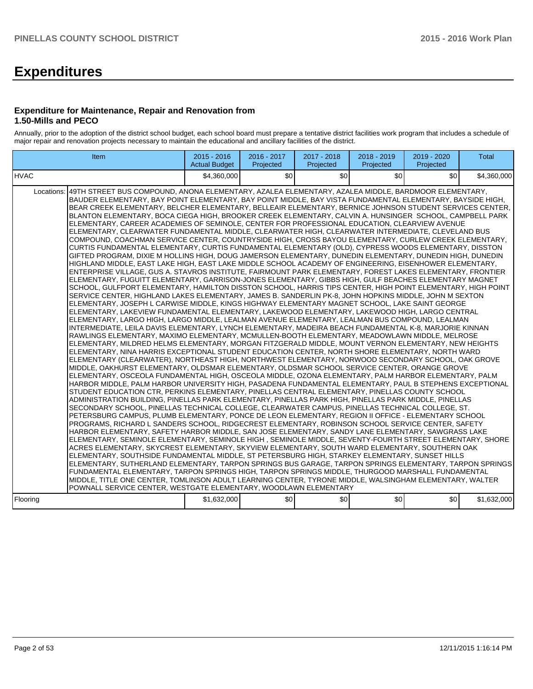# **Expenditures**

#### **Expenditure for Maintenance, Repair and Renovation from 1.50-Mills and PECO**

Annually, prior to the adoption of the district school budget, each school board must prepare a tentative district facilities work program that includes a schedule of major repair and renovation projects necessary to maintain the educational and ancillary facilities of the district.

| Item                                                                                                                                                                                                                                                                                                                                                                                                                                                                                                                                                                                                                                                                                                                                                                                                                                                                                                                                                                                                                                                                                                                                                                                                                                                                                                                                                                                                                                                                                                                                                                                                                                                                                                                                                                                                                                                                                                                                                                                                                                                                                                                                                                                                                                                                                                                                                                                                                                                                                                                                                                                                                                                                                                                                                                                                                                                                                                                                                                                                                                                                                                                                                                                                                                                                                                                                                                                                                                                                                                                                                                                                                                                                                                                                                                                                                                                                                                                                                                                                                                                                       | $2015 - 2016$<br><b>Actual Budget</b> | 2016 - 2017<br>Projected | 2017 - 2018<br>Projected | 2018 - 2019<br>Projected | 2019 - 2020<br>Projected | <b>Total</b> |
|----------------------------------------------------------------------------------------------------------------------------------------------------------------------------------------------------------------------------------------------------------------------------------------------------------------------------------------------------------------------------------------------------------------------------------------------------------------------------------------------------------------------------------------------------------------------------------------------------------------------------------------------------------------------------------------------------------------------------------------------------------------------------------------------------------------------------------------------------------------------------------------------------------------------------------------------------------------------------------------------------------------------------------------------------------------------------------------------------------------------------------------------------------------------------------------------------------------------------------------------------------------------------------------------------------------------------------------------------------------------------------------------------------------------------------------------------------------------------------------------------------------------------------------------------------------------------------------------------------------------------------------------------------------------------------------------------------------------------------------------------------------------------------------------------------------------------------------------------------------------------------------------------------------------------------------------------------------------------------------------------------------------------------------------------------------------------------------------------------------------------------------------------------------------------------------------------------------------------------------------------------------------------------------------------------------------------------------------------------------------------------------------------------------------------------------------------------------------------------------------------------------------------------------------------------------------------------------------------------------------------------------------------------------------------------------------------------------------------------------------------------------------------------------------------------------------------------------------------------------------------------------------------------------------------------------------------------------------------------------------------------------------------------------------------------------------------------------------------------------------------------------------------------------------------------------------------------------------------------------------------------------------------------------------------------------------------------------------------------------------------------------------------------------------------------------------------------------------------------------------------------------------------------------------------------------------------------------------------------------------------------------------------------------------------------------------------------------------------------------------------------------------------------------------------------------------------------------------------------------------------------------------------------------------------------------------------------------------------------------------------------------------------------------------------------------------------|---------------------------------------|--------------------------|--------------------------|--------------------------|--------------------------|--------------|
| IHVAC                                                                                                                                                                                                                                                                                                                                                                                                                                                                                                                                                                                                                                                                                                                                                                                                                                                                                                                                                                                                                                                                                                                                                                                                                                                                                                                                                                                                                                                                                                                                                                                                                                                                                                                                                                                                                                                                                                                                                                                                                                                                                                                                                                                                                                                                                                                                                                                                                                                                                                                                                                                                                                                                                                                                                                                                                                                                                                                                                                                                                                                                                                                                                                                                                                                                                                                                                                                                                                                                                                                                                                                                                                                                                                                                                                                                                                                                                                                                                                                                                                                                      | \$4,360,000                           | \$0                      | \$0                      | \$0                      | \$0                      | \$4,360,000  |
| 49TH STREET BUS COMPOUND, ANONA ELEMENTARY, AZALEA ELEMENTARY, AZALEA MIDDLE, BARDMOOR ELEMENTARY,<br>Locations:<br>BAUDER ELEMENTARY, BAY POINT ELEMENTARY, BAY POINT MIDDLE, BAY VISTA FUNDAMENTAL ELEMENTARY, BAYSIDE HIGH,<br>BEAR CREEK ELEMENTARY, BELCHER ELEMENTARY, BELLEAIR ELEMENTARY, BERNICE JOHNSON STUDENT SERVICES CENTER,<br>BLANTON ELEMENTARY, BOCA CIEGA HIGH, BROOKER CREEK ELEMENTARY, CALVIN A. HUNSINGER SCHOOL, CAMPBELL PARK<br>ELEMENTARY, CAREER ACADEMIES OF SEMINOLE, CENTER FOR PROFESSIONAL EDUCATION, CLEARVIEW AVENUE<br>ELEMENTARY, CLEARWATER FUNDAMENTAL MIDDLE, CLEARWATER HIGH, CLEARWATER INTERMEDIATE, CLEVELAND BUS<br>COMPOUND, COACHMAN SERVICE CENTER, COUNTRYSIDE HIGH, CROSS BAYOU ELEMENTARY, CURLEW CREEK ELEMENTARY,<br>CURTIS FUNDAMENTAL ELEMENTARY, CURTIS FUNDAMENTAL ELEMENTARY (OLD), CYPRESS WOODS ELEMENTARY, DISSTON<br>GIFTED PROGRAM, DIXIE M HOLLINS HIGH, DOUG JAMERSON ELEMENTARY, DUNEDIN ELEMENTARY, DUNEDIN HIGH, DUNEDIN<br>HIGHLAND MIDDLE, EAST LAKE HIGH, EAST LAKE MIDDLE SCHOOL ACADEMY OF ENGINEERING, EISENHOWER ELEMENTARY,<br>ENTERPRISE VILLAGE, GUS A. STAVROS INSTITUTE, FAIRMOUNT PARK ELEMENTARY, FOREST LAKES ELEMENTARY, FRONTIER<br>ELEMENTARY, FUGUITT ELEMENTARY, GARRISON-JONES ELEMENTARY, GIBBS HIGH, GULF BEACHES ELEMENTARY MAGNET<br>SCHOOL, GULFPORT ELEMENTARY, HAMILTON DISSTON SCHOOL, HARRIS TIPS CENTER, HIGH POINT ELEMENTARY, HIGH POINT<br>SERVICE CENTER, HIGHLAND LAKES ELEMENTARY, JAMES B. SANDERLIN PK-8, JOHN HOPKINS MIDDLE, JOHN M SEXTON<br>ELEMENTARY, JOSEPH L CARWISE MIDDLE, KINGS HIGHWAY ELEMENTARY MAGNET SCHOOL, LAKE SAINT GEORGE<br>ELEMENTARY, LAKEVIEW FUNDAMENTAL ELEMENTARY, LAKEWOOD ELEMENTARY, LAKEWOOD HIGH, LARGO CENTRAL<br>ELEMENTARY, LARGO HIGH, LARGO MIDDLE, LEALMAN AVENUE ELEMENTARY, LEALMAN BUS COMPOUND, LEALMAN<br>INTERMEDIATE, LEILA DAVIS ELEMENTARY, LYNCH ELEMENTARY, MADEIRA BEACH FUNDAMENTAL K-8, MARJORIE KINNAN<br>RAWLINGS ELEMENTARY, MAXIMO ELEMENTARY, MCMULLEN-BOOTH ELEMENTARY, MEADOWLAWN MIDDLE, MELROSE<br>ELEMENTARY, MILDRED HELMS ELEMENTARY, MORGAN FITZGERALD MIDDLE, MOUNT VERNON ELEMENTARY, NEW HEIGHTS<br>ELEMENTARY, NINA HARRIS EXCEPTIONAL STUDENT EDUCATION CENTER, NORTH SHORE ELEMENTARY, NORTH WARD<br>ELEMENTARY (CLEARWATER), NORTHEAST HIGH, NORTHWEST ELEMENTARY, NORWOOD SECONDARY SCHOOL, OAK GROVE<br>MIDDLE, OAKHURST ELEMENTARY, OLDSMAR ELEMENTARY, OLDSMAR SCHOOL SERVICE CENTER, ORANGE GROVE<br>ELEMENTARY, OSCEOLA FUNDAMENTAL HIGH, OSCEOLA MIDDLE, OZONA ELEMENTARY, PALM HARBOR ELEMENTARY, PALM<br>HARBOR MIDDLE, PALM HARBOR UNIVERSITY HIGH, PASADENA FUNDAMENTAL ELEMENTARY, PAUL B STEPHENS EXCEPTIONAL<br>STUDENT EDUCATION CTR, PERKINS ELEMENTARY, PINELLAS CENTRAL ELEMENTARY, PINELLAS COUNTY SCHOOL<br>ADMINISTRATION BUILDING, PINELLAS PARK ELEMENTARY, PINELLAS PARK HIGH, PINELLAS PARK MIDDLE, PINELLAS<br>SECONDARY SCHOOL, PINELLAS TECHNICAL COLLEGE, CLEARWATER CAMPUS, PINELLAS TECHNICAL COLLEGE, ST.<br>PETERSBURG CAMPUS, PLUMB ELEMENTARY, PONCE DE LEON ELEMENTARY, REGION II OFFICE - ELEMENTARY SCHOOL<br>PROGRAMS, RICHARD L SANDERS SCHOOL, RIDGECREST ELEMENTARY, ROBINSON SCHOOL SERVICE CENTER, SAFETY<br>HARBOR ELEMENTARY, SAFETY HARBOR MIDDLE, SAN JOSE ELEMENTARY, SANDY LANE ELEMENTARY, SAWGRASS LAKE<br>ELEMENTARY, SEMINOLE ELEMENTARY, SEMINOLE HIGH, SEMINOLE MIDDLE, SEVENTY-FOURTH STREET ELEMENTARY, SHORE<br>ACRES ELEMENTARY, SKYCREST ELEMENTARY, SKYVIEW ELEMENTARY, SOUTH WARD ELEMENTARY, SOUTHERN OAK<br>ELEMENTARY, SOUTHSIDE FUNDAMENTAL MIDDLE, ST PETERSBURG HIGH, STARKEY ELEMENTARY, SUNSET HILLS<br>ELEMENTARY, SUTHERLAND ELEMENTARY, TARPON SPRINGS BUS GARAGE, TARPON SPRINGS ELEMENTARY, TARPON SPRINGS<br>FUNDAMENTAL ELEMENTARY, TARPON SPRINGS HIGH, TARPON SPRINGS MIDDLE, THURGOOD MARSHALL FUNDAMENTAL<br>MIDDLE, TITLE ONE CENTER, TOMLINSON ADULT LEARNING CENTER, TYRONE MIDDLE, WALSINGHAM ELEMENTARY, WALTER<br>POWNALL SERVICE CENTER, WESTGATE ELEMENTARY, WOODLAWN ELEMENTARY<br>Flooring | \$1,632,000                           | \$0]                     | \$0                      | \$0                      | \$0                      | \$1,632,000  |
|                                                                                                                                                                                                                                                                                                                                                                                                                                                                                                                                                                                                                                                                                                                                                                                                                                                                                                                                                                                                                                                                                                                                                                                                                                                                                                                                                                                                                                                                                                                                                                                                                                                                                                                                                                                                                                                                                                                                                                                                                                                                                                                                                                                                                                                                                                                                                                                                                                                                                                                                                                                                                                                                                                                                                                                                                                                                                                                                                                                                                                                                                                                                                                                                                                                                                                                                                                                                                                                                                                                                                                                                                                                                                                                                                                                                                                                                                                                                                                                                                                                                            |                                       |                          |                          |                          |                          |              |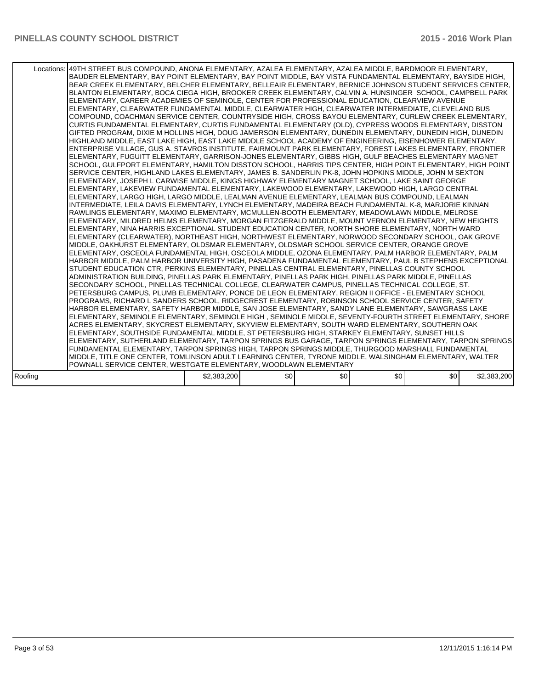|         | Locations:   49TH STREET BUS COMPOUND, ANONA ELEMENTARY, AZALEA ELEMENTARY, AZALEA MIDDLE, BARDMOOR ELEMENTARY,<br>BAUDER ELEMENTARY, BAY POINT ELEMENTARY, BAY POINT MIDDLE, BAY VISTA FUNDAMENTAL ELEMENTARY, BAYSIDE HIGH,<br>BEAR CREEK ELEMENTARY, BELCHER ELEMENTARY, BELLEAIR ELEMENTARY, BERNICE JOHNSON STUDENT SERVICES CENTER,<br>BLANTON ELEMENTARY, BOCA CIEGA HIGH, BROOKER CREEK ELEMENTARY, CALVIN A. HUNSINGER SCHOOL, CAMPBELL PARK<br>ELEMENTARY, CAREER ACADEMIES OF SEMINOLE, CENTER FOR PROFESSIONAL EDUCATION, CLEARVIEW AVENUE<br>ELEMENTARY, CLEARWATER FUNDAMENTAL MIDDLE, CLEARWATER HIGH, CLEARWATER INTERMEDIATE, CLEVELAND BUS<br>COMPOUND, COACHMAN SERVICE CENTER, COUNTRYSIDE HIGH, CROSS BAYOU ELEMENTARY, CURLEW CREEK ELEMENTARY,<br>CURTIS FUNDAMENTAL ELEMENTARY, CURTIS FUNDAMENTAL ELEMENTARY (OLD), CYPRESS WOODS ELEMENTARY, DISSTON<br>GIFTED PROGRAM, DIXIE M HOLLINS HIGH, DOUG JAMERSON ELEMENTARY, DUNEDIN ELEMENTARY, DUNEDIN HIGH, DUNEDIN<br>HIGHLAND MIDDLE, EAST LAKE HIGH, EAST LAKE MIDDLE SCHOOL ACADEMY OF ENGINEERING, EISENHOWER ELEMENTARY,<br>ENTERPRISE VILLAGE, GUS A. STAVROS INSTITUTE, FAIRMOUNT PARK ELEMENTARY, FOREST LAKES ELEMENTARY, FRONTIER<br>ELEMENTARY, FUGUITT ELEMENTARY, GARRISON-JONES ELEMENTARY, GIBBS HIGH, GULF BEACHES ELEMENTARY MAGNET<br>SCHOOL, GULFPORT ELEMENTARY, HAMILTON DISSTON SCHOOL, HARRIS TIPS CENTER, HIGH POINT ELEMENTARY, HIGH POINT<br>SERVICE CENTER, HIGHLAND LAKES ELEMENTARY, JAMES B. SANDERLIN PK-8, JOHN HOPKINS MIDDLE, JOHN M SEXTON<br>ELEMENTARY, JOSEPH L CARWISE MIDDLE, KINGS HIGHWAY ELEMENTARY MAGNET SCHOOL, LAKE SAINT GEORGE<br>ELEMENTARY, LAKEVIEW FUNDAMENTAL ELEMENTARY, LAKEWOOD ELEMENTARY, LAKEWOOD HIGH, LARGO CENTRAL<br>ELEMENTARY, LARGO HIGH, LARGO MIDDLE, LEALMAN AVENUE ELEMENTARY, LEALMAN BUS COMPOUND, LEALMAN<br>INTERMEDIATE, LEILA DAVIS ELEMENTARY, LYNCH ELEMENTARY, MADEIRA BEACH FUNDAMENTAL K-8, MARJORIE KINNAN<br>RAWLINGS ELEMENTARY, MAXIMO ELEMENTARY, MCMULLEN-BOOTH ELEMENTARY, MEADOWLAWN MIDDLE, MELROSE<br>ELEMENTARY, MILDRED HELMS ELEMENTARY, MORGAN FITZGERALD MIDDLE, MOUNT VERNON ELEMENTARY, NEW HEIGHTS<br>ELEMENTARY, NINA HARRIS EXCEPTIONAL STUDENT EDUCATION CENTER, NORTH SHORE ELEMENTARY, NORTH WARD<br>ELEMENTARY (CLEARWATER), NORTHEAST HIGH, NORTHWEST ELEMENTARY, NORWOOD SECONDARY SCHOOL, OAK GROVE<br>MIDDLE. OAKHURST ELEMENTARY. OLDSMAR ELEMENTARY. OLDSMAR SCHOOL SERVICE CENTER. ORANGE GROVE<br>ELEMENTARY, OSCEOLA FUNDAMENTAL HIGH, OSCEOLA MIDDLE, OZONA ELEMENTARY, PALM HARBOR ELEMENTARY, PALM<br>HARBOR MIDDLE, PALM HARBOR UNIVERSITY HIGH, PASADENA FUNDAMENTAL ELEMENTARY, PAUL B STEPHENS EXCEPTIONAL<br>STUDENT EDUCATION CTR, PERKINS ELEMENTARY, PINELLAS CENTRAL ELEMENTARY, PINELLAS COUNTY SCHOOL<br>ADMINISTRATION BUILDING, PINELLAS PARK ELEMENTARY, PINELLAS PARK HIGH, PINELLAS PARK MIDDLE, PINELLAS<br>SECONDARY SCHOOL, PINELLAS TECHNICAL COLLEGE, CLEARWATER CAMPUS, PINELLAS TECHNICAL COLLEGE, ST.<br>PETERSBURG CAMPUS, PLUMB ELEMENTARY, PONCE DE LEON ELEMENTARY, REGION II OFFICE - ELEMENTARY SCHOOL<br>PROGRAMS, RICHARD L SANDERS SCHOOL, RIDGECREST ELEMENTARY, ROBINSON SCHOOL SERVICE CENTER, SAFETY<br>HARBOR ELEMENTARY, SAFETY HARBOR MIDDLE, SAN JOSE ELEMENTARY, SANDY LANE ELEMENTARY, SAWGRASS LAKE<br>ELEMENTARY, SEMINOLE ELEMENTARY, SEMINOLE HIGH, SEMINOLE MIDDLE, SEVENTY-FOURTH STREET ELEMENTARY, SHORE<br>ACRES ELEMENTARY, SKYCREST ELEMENTARY, SKYVIEW ELEMENTARY, SOUTH WARD ELEMENTARY, SOUTHERN OAK<br>ELEMENTARY, SOUTHSIDE FUNDAMENTAL MIDDLE, ST PETERSBURG HIGH, STARKEY ELEMENTARY, SUNSET HILLS<br>ELEMENTARY, SUTHERLAND ELEMENTARY, TARPON SPRINGS BUS GARAGE, TARPON SPRINGS ELEMENTARY, TARPON SPRINGS<br>FUNDAMENTAL ELEMENTARY, TARPON SPRINGS HIGH, TARPON SPRINGS MIDDLE, THURGOOD MARSHALL FUNDAMENTAL<br>MIDDLE, TITLE ONE CENTER, TOMLINSON ADULT LEARNING CENTER, TYRONE MIDDLE, WALSINGHAM ELEMENTARY, WALTER |             |     |     |     |     |             |
|---------|-------------------------------------------------------------------------------------------------------------------------------------------------------------------------------------------------------------------------------------------------------------------------------------------------------------------------------------------------------------------------------------------------------------------------------------------------------------------------------------------------------------------------------------------------------------------------------------------------------------------------------------------------------------------------------------------------------------------------------------------------------------------------------------------------------------------------------------------------------------------------------------------------------------------------------------------------------------------------------------------------------------------------------------------------------------------------------------------------------------------------------------------------------------------------------------------------------------------------------------------------------------------------------------------------------------------------------------------------------------------------------------------------------------------------------------------------------------------------------------------------------------------------------------------------------------------------------------------------------------------------------------------------------------------------------------------------------------------------------------------------------------------------------------------------------------------------------------------------------------------------------------------------------------------------------------------------------------------------------------------------------------------------------------------------------------------------------------------------------------------------------------------------------------------------------------------------------------------------------------------------------------------------------------------------------------------------------------------------------------------------------------------------------------------------------------------------------------------------------------------------------------------------------------------------------------------------------------------------------------------------------------------------------------------------------------------------------------------------------------------------------------------------------------------------------------------------------------------------------------------------------------------------------------------------------------------------------------------------------------------------------------------------------------------------------------------------------------------------------------------------------------------------------------------------------------------------------------------------------------------------------------------------------------------------------------------------------------------------------------------------------------------------------------------------------------------------------------------------------------------------------------------------------------------------------------------------------------------------------------------------------------------------------------------------------------------------------------------------------------------------------------------------------------------------------------------------------------------------------------------------------------------------------------------------------------------------------------------------------------------|-------------|-----|-----|-----|-----|-------------|
|         | POWNALL SERVICE CENTER, WESTGATE ELEMENTARY, WOODLAWN ELEMENTARY                                                                                                                                                                                                                                                                                                                                                                                                                                                                                                                                                                                                                                                                                                                                                                                                                                                                                                                                                                                                                                                                                                                                                                                                                                                                                                                                                                                                                                                                                                                                                                                                                                                                                                                                                                                                                                                                                                                                                                                                                                                                                                                                                                                                                                                                                                                                                                                                                                                                                                                                                                                                                                                                                                                                                                                                                                                                                                                                                                                                                                                                                                                                                                                                                                                                                                                                                                                                                                                                                                                                                                                                                                                                                                                                                                                                                                                                                                                          |             |     |     |     |     |             |
| Roofing |                                                                                                                                                                                                                                                                                                                                                                                                                                                                                                                                                                                                                                                                                                                                                                                                                                                                                                                                                                                                                                                                                                                                                                                                                                                                                                                                                                                                                                                                                                                                                                                                                                                                                                                                                                                                                                                                                                                                                                                                                                                                                                                                                                                                                                                                                                                                                                                                                                                                                                                                                                                                                                                                                                                                                                                                                                                                                                                                                                                                                                                                                                                                                                                                                                                                                                                                                                                                                                                                                                                                                                                                                                                                                                                                                                                                                                                                                                                                                                                           | \$2,383,200 | \$0 | \$0 | \$0 | \$0 | \$2,383,200 |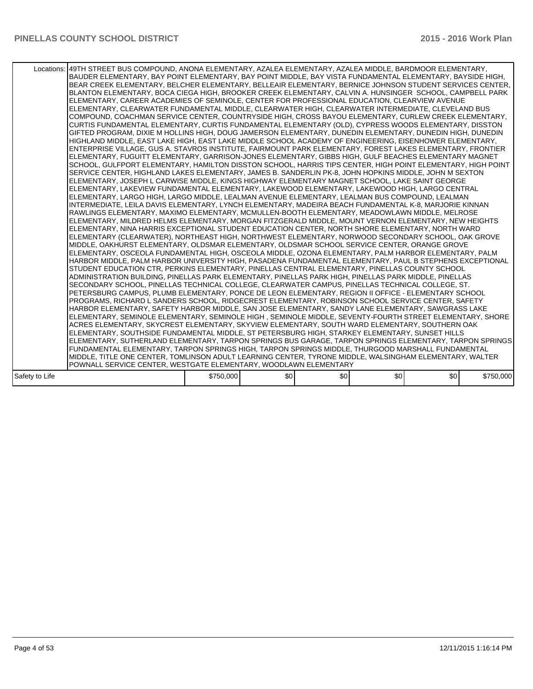|                | Locations:   49TH STREET BUS COMPOUND, ANONA ELEMENTARY, AZALEA ELEMENTARY, AZALEA MIDDLE, BARDMOOR ELEMENTARY,<br>BAUDER ELEMENTARY, BAY POINT ELEMENTARY, BAY POINT MIDDLE, BAY VISTA FUNDAMENTAL ELEMENTARY, BAYSIDE HIGH,<br>BEAR CREEK ELEMENTARY, BELCHER ELEMENTARY, BELLEAIR ELEMENTARY, BERNICE JOHNSON STUDENT SERVICES CENTER,<br>BLANTON ELEMENTARY, BOCA CIEGA HIGH, BROOKER CREEK ELEMENTARY, CALVIN A. HUNSINGER SCHOOL, CAMPBELL PARK<br>ELEMENTARY, CAREER ACADEMIES OF SEMINOLE, CENTER FOR PROFESSIONAL EDUCATION, CLEARVIEW AVENUE<br>ELEMENTARY, CLEARWATER FUNDAMENTAL MIDDLE, CLEARWATER HIGH, CLEARWATER INTERMEDIATE, CLEVELAND BUS<br>COMPOUND, COACHMAN SERVICE CENTER, COUNTRYSIDE HIGH, CROSS BAYOU ELEMENTARY, CURLEW CREEK ELEMENTARY,<br>CURTIS FUNDAMENTAL ELEMENTARY, CURTIS FUNDAMENTAL ELEMENTARY (OLD), CYPRESS WOODS ELEMENTARY, DISSTON<br>GIFTED PROGRAM, DIXIE M HOLLINS HIGH, DOUG JAMERSON ELEMENTARY, DUNEDIN ELEMENTARY, DUNEDIN HIGH, DUNEDIN<br>HIGHLAND MIDDLE, EAST LAKE HIGH, EAST LAKE MIDDLE SCHOOL ACADEMY OF ENGINEERING, EISENHOWER ELEMENTARY,<br>ENTERPRISE VILLAGE, GUS A. STAVROS INSTITUTE, FAIRMOUNT PARK ELEMENTARY, FOREST LAKES ELEMENTARY, FRONTIER<br>ELEMENTARY, FUGUITT ELEMENTARY, GARRISON-JONES ELEMENTARY, GIBBS HIGH, GULF BEACHES ELEMENTARY MAGNET<br>SCHOOL, GULFPORT ELEMENTARY, HAMILTON DISSTON SCHOOL, HARRIS TIPS CENTER, HIGH POINT ELEMENTARY, HIGH POINT<br>SERVICE CENTER, HIGHLAND LAKES ELEMENTARY, JAMES B. SANDERLIN PK-8, JOHN HOPKINS MIDDLE, JOHN M SEXTON<br>ELEMENTARY, JOSEPH L CARWISE MIDDLE, KINGS HIGHWAY ELEMENTARY MAGNET SCHOOL, LAKE SAINT GEORGE<br>IELEMENTARY. LAKEVIEW FUNDAMENTAL ELEMENTARY. LAKEWOOD ELEMENTARY. LAKEWOOD HIGH. LARGO CENTRAL<br>ELEMENTARY, LARGO HIGH, LARGO MIDDLE, LEALMAN AVENUE ELEMENTARY, LEALMAN BUS COMPOUND, LEALMAN<br>INTERMEDIATE. LEILA DAVIS ELEMENTARY. LYNCH ELEMENTARY. MADEIRA BEACH FUNDAMENTAL K-8. MARJORIE KINNAN<br>RAWLINGS ELEMENTARY, MAXIMO ELEMENTARY, MCMULLEN-BOOTH ELEMENTARY, MEADOWLAWN MIDDLE, MELROSE<br>ELEMENTARY, MILDRED HELMS ELEMENTARY, MORGAN FITZGERALD MIDDLE, MOUNT VERNON ELEMENTARY, NEW HEIGHTS<br>ELEMENTARY, NINA HARRIS EXCEPTIONAL STUDENT EDUCATION CENTER, NORTH SHORE ELEMENTARY, NORTH WARD<br>ELEMENTARY (CLEARWATER), NORTHEAST HIGH, NORTHWEST ELEMENTARY, NORWOOD SECONDARY SCHOOL, OAK GROVE<br>MIDDLE, OAKHURST ELEMENTARY, OLDSMAR ELEMENTARY, OLDSMAR SCHOOL SERVICE CENTER, ORANGE GROVE<br>ELEMENTARY, OSCEOLA FUNDAMENTAL HIGH, OSCEOLA MIDDLE, OZONA ELEMENTARY, PALM HARBOR ELEMENTARY, PALM<br>HARBOR MIDDLE, PALM HARBOR UNIVERSITY HIGH, PASADENA FUNDAMENTAL ELEMENTARY, PAUL B STEPHENS EXCEPTIONAL<br>STUDENT EDUCATION CTR, PERKINS ELEMENTARY, PINELLAS CENTRAL ELEMENTARY, PINELLAS COUNTY SCHOOL<br>ADMINISTRATION BUILDING. PINELLAS PARK ELEMENTARY. PINELLAS PARK HIGH. PINELLAS PARK MIDDLE. PINELLAS<br>SECONDARY SCHOOL, PINELLAS TECHNICAL COLLEGE, CLEARWATER CAMPUS, PINELLAS TECHNICAL COLLEGE, ST.<br>PETERSBURG CAMPUS. PLUMB ELEMENTARY, PONCE DE LEON ELEMENTARY, REGION II OFFICE - ELEMENTARY SCHOOL<br>PROGRAMS, RICHARD L SANDERS SCHOOL, RIDGECREST ELEMENTARY, ROBINSON SCHOOL SERVICE CENTER, SAFETY<br>HARBOR ELEMENTARY, SAFETY HARBOR MIDDLE, SAN JOSE ELEMENTARY, SANDY LANE ELEMENTARY, SAWGRASS LAKE<br>ELEMENTARY, SEMINOLE ELEMENTARY, SEMINOLE HIGH, SEMINOLE MIDDLE, SEVENTY-FOURTH STREET ELEMENTARY, SHORE<br>ACRES ELEMENTARY, SKYCREST ELEMENTARY, SKYVIEW ELEMENTARY, SOUTH WARD ELEMENTARY, SOUTHERN OAK<br>ELEMENTARY, SOUTHSIDE FUNDAMENTAL MIDDLE, ST PETERSBURG HIGH, STARKEY ELEMENTARY, SUNSET HILLS<br>ELEMENTARY, SUTHERLAND ELEMENTARY, TARPON SPRINGS BUS GARAGE, TARPON SPRINGS ELEMENTARY, TARPON SPRINGS<br>FUNDAMENTAL ELEMENTARY, TARPON SPRINGS HIGH, TARPON SPRINGS MIDDLE, THURGOOD MARSHALL FUNDAMENTAL<br>MIDDLE, TITLE ONE CENTER, TOMLINSON ADULT LEARNING CENTER, TYRONE MIDDLE, WALSINGHAM ELEMENTARY, WALTER |           |     |     |      |     |           |
|----------------|--------------------------------------------------------------------------------------------------------------------------------------------------------------------------------------------------------------------------------------------------------------------------------------------------------------------------------------------------------------------------------------------------------------------------------------------------------------------------------------------------------------------------------------------------------------------------------------------------------------------------------------------------------------------------------------------------------------------------------------------------------------------------------------------------------------------------------------------------------------------------------------------------------------------------------------------------------------------------------------------------------------------------------------------------------------------------------------------------------------------------------------------------------------------------------------------------------------------------------------------------------------------------------------------------------------------------------------------------------------------------------------------------------------------------------------------------------------------------------------------------------------------------------------------------------------------------------------------------------------------------------------------------------------------------------------------------------------------------------------------------------------------------------------------------------------------------------------------------------------------------------------------------------------------------------------------------------------------------------------------------------------------------------------------------------------------------------------------------------------------------------------------------------------------------------------------------------------------------------------------------------------------------------------------------------------------------------------------------------------------------------------------------------------------------------------------------------------------------------------------------------------------------------------------------------------------------------------------------------------------------------------------------------------------------------------------------------------------------------------------------------------------------------------------------------------------------------------------------------------------------------------------------------------------------------------------------------------------------------------------------------------------------------------------------------------------------------------------------------------------------------------------------------------------------------------------------------------------------------------------------------------------------------------------------------------------------------------------------------------------------------------------------------------------------------------------------------------------------------------------------------------------------------------------------------------------------------------------------------------------------------------------------------------------------------------------------------------------------------------------------------------------------------------------------------------------------------------------------------------------------------------------------------------------------------------------------------------------------------------------|-----------|-----|-----|------|-----|-----------|
|                |                                                                                                                                                                                                                                                                                                                                                                                                                                                                                                                                                                                                                                                                                                                                                                                                                                                                                                                                                                                                                                                                                                                                                                                                                                                                                                                                                                                                                                                                                                                                                                                                                                                                                                                                                                                                                                                                                                                                                                                                                                                                                                                                                                                                                                                                                                                                                                                                                                                                                                                                                                                                                                                                                                                                                                                                                                                                                                                                                                                                                                                                                                                                                                                                                                                                                                                                                                                                                                                                                                                                                                                                                                                                                                                                                                                                                                                                                                                                                                                            |           |     |     |      |     |           |
|                | POWNALL SERVICE CENTER, WESTGATE ELEMENTARY, WOODLAWN ELEMENTARY                                                                                                                                                                                                                                                                                                                                                                                                                                                                                                                                                                                                                                                                                                                                                                                                                                                                                                                                                                                                                                                                                                                                                                                                                                                                                                                                                                                                                                                                                                                                                                                                                                                                                                                                                                                                                                                                                                                                                                                                                                                                                                                                                                                                                                                                                                                                                                                                                                                                                                                                                                                                                                                                                                                                                                                                                                                                                                                                                                                                                                                                                                                                                                                                                                                                                                                                                                                                                                                                                                                                                                                                                                                                                                                                                                                                                                                                                                                           |           |     |     |      |     |           |
|                |                                                                                                                                                                                                                                                                                                                                                                                                                                                                                                                                                                                                                                                                                                                                                                                                                                                                                                                                                                                                                                                                                                                                                                                                                                                                                                                                                                                                                                                                                                                                                                                                                                                                                                                                                                                                                                                                                                                                                                                                                                                                                                                                                                                                                                                                                                                                                                                                                                                                                                                                                                                                                                                                                                                                                                                                                                                                                                                                                                                                                                                                                                                                                                                                                                                                                                                                                                                                                                                                                                                                                                                                                                                                                                                                                                                                                                                                                                                                                                                            |           |     |     |      |     |           |
| Safety to Life |                                                                                                                                                                                                                                                                                                                                                                                                                                                                                                                                                                                                                                                                                                                                                                                                                                                                                                                                                                                                                                                                                                                                                                                                                                                                                                                                                                                                                                                                                                                                                                                                                                                                                                                                                                                                                                                                                                                                                                                                                                                                                                                                                                                                                                                                                                                                                                                                                                                                                                                                                                                                                                                                                                                                                                                                                                                                                                                                                                                                                                                                                                                                                                                                                                                                                                                                                                                                                                                                                                                                                                                                                                                                                                                                                                                                                                                                                                                                                                                            | \$750,000 | \$0 | \$0 | \$0] | \$0 | \$750,000 |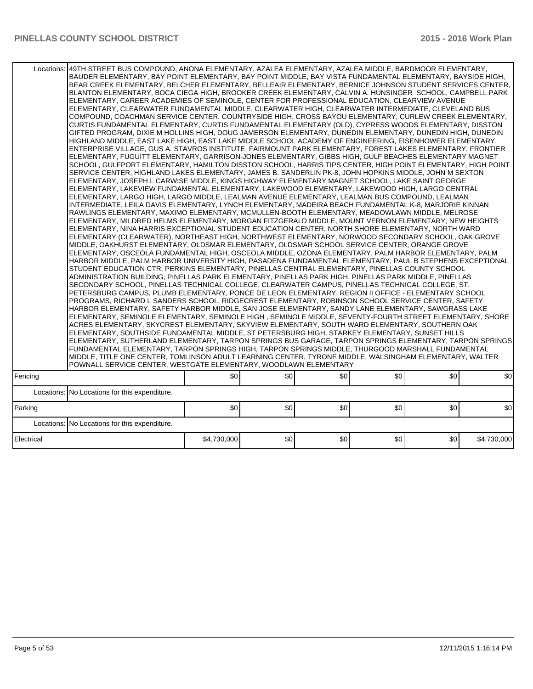| Locations: 49TH STREET BUS COMPOUND, ANONA ELEMENTARY, AZALEA ELEMENTARY, AZALEA MIDDLE, BARDMOOR ELEMENTARY, | BLANTON ELEMENTARY, BOCA CIEGA HIGH, BROOKER CREEK ELEMENTARY, CALVIN A. HUNSINGER SCHOOL, CAMPBELL PARK<br>ELEMENTARY, CAREER ACADEMIES OF SEMINOLE, CENTER FOR PROFESSIONAL EDUCATION, CLEARVIEW AVENUE<br>ELEMENTARY, CLEARWATER FUNDAMENTAL MIDDLE, CLEARWATER HIGH, CLEARWATER INTERMEDIATE, CLEVELAND BUS<br>COMPOUND, COACHMAN SERVICE CENTER, COUNTRYSIDE HIGH, CROSS BAYOU ELEMENTARY, CURLEW CREEK ELEMENTARY,<br>CURTIS FUNDAMENTAL ELEMENTARY, CURTIS FUNDAMENTAL ELEMENTARY (OLD), CYPRESS WOODS ELEMENTARY, DISSTON<br>GIFTED PROGRAM, DIXIE M HOLLINS HIGH, DOUG JAMERSON ELEMENTARY, DUNEDIN ELEMENTARY, DUNEDIN HIGH, DUNEDIN<br>HIGHLAND MIDDLE. EAST LAKE HIGH. EAST LAKE MIDDLE SCHOOL ACADEMY OF ENGINEERING. EISENHOWER ELEMENTARY.<br>ENTERPRISE VILLAGE, GUS A. STAVROS INSTITUTE, FAIRMOUNT PARK ELEMENTARY, FOREST LAKES ELEMENTARY, FRONTIER<br>ELEMENTARY, FUGUITT ELEMENTARY, GARRISON-JONES ELEMENTARY, GIBBS HIGH, GULF BEACHES ELEMENTARY MAGNET<br>SCHOOL, GULFPORT ELEMENTARY, HAMILTON DISSTON SCHOOL, HARRIS TIPS CENTER, HIGH POINT ELEMENTARY, HIGH POINT<br>SERVICE CENTER, HIGHLAND LAKES ELEMENTARY, JAMES B. SANDERLIN PK-8, JOHN HOPKINS MIDDLE, JOHN M SEXTON<br>ELEMENTARY, JOSEPH L CARWISE MIDDLE, KINGS HIGHWAY ELEMENTARY MAGNET SCHOOL, LAKE SAINT GEORGE<br>ELEMENTARY, LAKEVIEW FUNDAMENTAL ELEMENTARY, LAKEWOOD ELEMENTARY, LAKEWOOD HIGH, LARGO CENTRAL<br>ELEMENTARY, LARGO HIGH, LARGO MIDDLE, LEALMAN AVENUE ELEMENTARY, LEALMAN BUS COMPOUND, LEALMAN<br>INTERMEDIATE, LEILA DAVIS ELEMENTARY, LYNCH ELEMENTARY, MADEIRA BEACH FUNDAMENTAL K-8, MARJORIE KINNAN<br>RAWLINGS ELEMENTARY. MAXIMO ELEMENTARY. MCMULLEN-BOOTH ELEMENTARY. MEADOWLAWN MIDDLE. MELROSE<br>ELEMENTARY, MILDRED HELMS ELEMENTARY, MORGAN FITZGERALD MIDDLE, MOUNT VERNON ELEMENTARY, NEW HEIGHTS<br>ELEMENTARY. NINA HARRIS EXCEPTIONAL STUDENT EDUCATION CENTER. NORTH SHORE ELEMENTARY. NORTH WARD<br>ELEMENTARY (CLEARWATER), NORTHEAST HIGH, NORTHWEST ELEMENTARY, NORWOOD SECONDARY SCHOOL, OAK GROVE<br>MIDDLE, OAKHURST ELEMENTARY, OLDSMAR ELEMENTARY, OLDSMAR SCHOOL SERVICE CENTER, ORANGE GROVE<br>ELEMENTARY, OSCEOLA FUNDAMENTAL HIGH, OSCEOLA MIDDLE, OZONA ELEMENTARY, PALM HARBOR ELEMENTARY, PALM<br>HARBOR MIDDLE, PALM HARBOR UNIVERSITY HIGH, PASADENA FUNDAMENTAL ELEMENTARY, PAUL B STEPHENS EXCEPTIONAL<br>STUDENT EDUCATION CTR, PERKINS ELEMENTARY, PINELLAS CENTRAL ELEMENTARY, PINELLAS COUNTY SCHOOL<br>ADMINISTRATION BUILDING, PINELLAS PARK ELEMENTARY, PINELLAS PARK HIGH, PINELLAS PARK MIDDLE, PINELLAS<br>SECONDARY SCHOOL, PINELLAS TECHNICAL COLLEGE, CLEARWATER CAMPUS, PINELLAS TECHNICAL COLLEGE, ST.<br>PETERSBURG CAMPUS, PLUMB ELEMENTARY, PONCE DE LEON ELEMENTARY, REGION II OFFICE - ELEMENTARY SCHOOL<br>PROGRAMS, RICHARD L SANDERS SCHOOL, RIDGECREST ELEMENTARY, ROBINSON SCHOOL SERVICE CENTER, SAFETY<br>HARBOR ELEMENTARY, SAFETY HARBOR MIDDLE, SAN JOSE ELEMENTARY, SANDY LANE ELEMENTARY, SAWGRASS LAKE<br>ELEMENTARY, SEMINOLE ELEMENTARY, SEMINOLE HIGH, SEMINOLE MIDDLE, SEVENTY-FOURTH STREET ELEMENTARY, SHORE<br>ACRES ELEMENTARY. SKYCREST ELEMENTARY. SKYVIEW ELEMENTARY. SOUTH WARD ELEMENTARY. SOUTHERN OAK<br>ELEMENTARY, SOUTHSIDE FUNDAMENTAL MIDDLE, ST PETERSBURG HIGH, STARKEY ELEMENTARY, SUNSET HILLS<br>ELEMENTARY, SUTHERLAND ELEMENTARY, TARPON SPRINGS BUS GARAGE, TARPON SPRINGS ELEMENTARY, TARPON SPRINGS<br>FUNDAMENTAL ELEMENTARY, TARPON SPRINGS HIGH, TARPON SPRINGS MIDDLE, THURGOOD MARSHALL FUNDAMENTAL<br>MIDDLE, TITLE ONE CENTER, TOMLINSON ADULT LEARNING CENTER, TYRONE MIDDLE, WALSINGHAM ELEMENTARY, WALTER<br>POWNALL SERVICE CENTER, WESTGATE ELEMENTARY, WOODLAWN ELEMENTARY |             |     |     |     |     |             |  |  |  |
|---------------------------------------------------------------------------------------------------------------|------------------------------------------------------------------------------------------------------------------------------------------------------------------------------------------------------------------------------------------------------------------------------------------------------------------------------------------------------------------------------------------------------------------------------------------------------------------------------------------------------------------------------------------------------------------------------------------------------------------------------------------------------------------------------------------------------------------------------------------------------------------------------------------------------------------------------------------------------------------------------------------------------------------------------------------------------------------------------------------------------------------------------------------------------------------------------------------------------------------------------------------------------------------------------------------------------------------------------------------------------------------------------------------------------------------------------------------------------------------------------------------------------------------------------------------------------------------------------------------------------------------------------------------------------------------------------------------------------------------------------------------------------------------------------------------------------------------------------------------------------------------------------------------------------------------------------------------------------------------------------------------------------------------------------------------------------------------------------------------------------------------------------------------------------------------------------------------------------------------------------------------------------------------------------------------------------------------------------------------------------------------------------------------------------------------------------------------------------------------------------------------------------------------------------------------------------------------------------------------------------------------------------------------------------------------------------------------------------------------------------------------------------------------------------------------------------------------------------------------------------------------------------------------------------------------------------------------------------------------------------------------------------------------------------------------------------------------------------------------------------------------------------------------------------------------------------------------------------------------------------------------------------------------------------------------------------------------------------------------------------------------------------------------------------------------------------------------------------------------------------------------------------------------------------------------------------------------------------------------------------------------------------------------------------------------------------------------------------------------------------------------------------------------------------------------------------------------|-------------|-----|-----|-----|-----|-------------|--|--|--|
| Fencing                                                                                                       |                                                                                                                                                                                                                                                                                                                                                                                                                                                                                                                                                                                                                                                                                                                                                                                                                                                                                                                                                                                                                                                                                                                                                                                                                                                                                                                                                                                                                                                                                                                                                                                                                                                                                                                                                                                                                                                                                                                                                                                                                                                                                                                                                                                                                                                                                                                                                                                                                                                                                                                                                                                                                                                                                                                                                                                                                                                                                                                                                                                                                                                                                                                                                                                                                                                                                                                                                                                                                                                                                                                                                                                                                                                                                                                  | \$0         | \$0 | \$0 | \$0 | \$0 | \$0         |  |  |  |
|                                                                                                               | Locations: No Locations for this expenditure.                                                                                                                                                                                                                                                                                                                                                                                                                                                                                                                                                                                                                                                                                                                                                                                                                                                                                                                                                                                                                                                                                                                                                                                                                                                                                                                                                                                                                                                                                                                                                                                                                                                                                                                                                                                                                                                                                                                                                                                                                                                                                                                                                                                                                                                                                                                                                                                                                                                                                                                                                                                                                                                                                                                                                                                                                                                                                                                                                                                                                                                                                                                                                                                                                                                                                                                                                                                                                                                                                                                                                                                                                                                                    |             |     |     |     |     |             |  |  |  |
| Parking                                                                                                       |                                                                                                                                                                                                                                                                                                                                                                                                                                                                                                                                                                                                                                                                                                                                                                                                                                                                                                                                                                                                                                                                                                                                                                                                                                                                                                                                                                                                                                                                                                                                                                                                                                                                                                                                                                                                                                                                                                                                                                                                                                                                                                                                                                                                                                                                                                                                                                                                                                                                                                                                                                                                                                                                                                                                                                                                                                                                                                                                                                                                                                                                                                                                                                                                                                                                                                                                                                                                                                                                                                                                                                                                                                                                                                                  | \$0         | \$0 | \$0 | \$0 | \$0 | \$0         |  |  |  |
|                                                                                                               |                                                                                                                                                                                                                                                                                                                                                                                                                                                                                                                                                                                                                                                                                                                                                                                                                                                                                                                                                                                                                                                                                                                                                                                                                                                                                                                                                                                                                                                                                                                                                                                                                                                                                                                                                                                                                                                                                                                                                                                                                                                                                                                                                                                                                                                                                                                                                                                                                                                                                                                                                                                                                                                                                                                                                                                                                                                                                                                                                                                                                                                                                                                                                                                                                                                                                                                                                                                                                                                                                                                                                                                                                                                                                                                  |             |     |     |     |     |             |  |  |  |
|                                                                                                               | Locations: No Locations for this expenditure.                                                                                                                                                                                                                                                                                                                                                                                                                                                                                                                                                                                                                                                                                                                                                                                                                                                                                                                                                                                                                                                                                                                                                                                                                                                                                                                                                                                                                                                                                                                                                                                                                                                                                                                                                                                                                                                                                                                                                                                                                                                                                                                                                                                                                                                                                                                                                                                                                                                                                                                                                                                                                                                                                                                                                                                                                                                                                                                                                                                                                                                                                                                                                                                                                                                                                                                                                                                                                                                                                                                                                                                                                                                                    |             |     |     |     |     |             |  |  |  |
| Electrical                                                                                                    |                                                                                                                                                                                                                                                                                                                                                                                                                                                                                                                                                                                                                                                                                                                                                                                                                                                                                                                                                                                                                                                                                                                                                                                                                                                                                                                                                                                                                                                                                                                                                                                                                                                                                                                                                                                                                                                                                                                                                                                                                                                                                                                                                                                                                                                                                                                                                                                                                                                                                                                                                                                                                                                                                                                                                                                                                                                                                                                                                                                                                                                                                                                                                                                                                                                                                                                                                                                                                                                                                                                                                                                                                                                                                                                  | \$4,730,000 | \$0 | \$0 | \$0 | \$0 | \$4,730,000 |  |  |  |
|                                                                                                               |                                                                                                                                                                                                                                                                                                                                                                                                                                                                                                                                                                                                                                                                                                                                                                                                                                                                                                                                                                                                                                                                                                                                                                                                                                                                                                                                                                                                                                                                                                                                                                                                                                                                                                                                                                                                                                                                                                                                                                                                                                                                                                                                                                                                                                                                                                                                                                                                                                                                                                                                                                                                                                                                                                                                                                                                                                                                                                                                                                                                                                                                                                                                                                                                                                                                                                                                                                                                                                                                                                                                                                                                                                                                                                                  |             |     |     |     |     |             |  |  |  |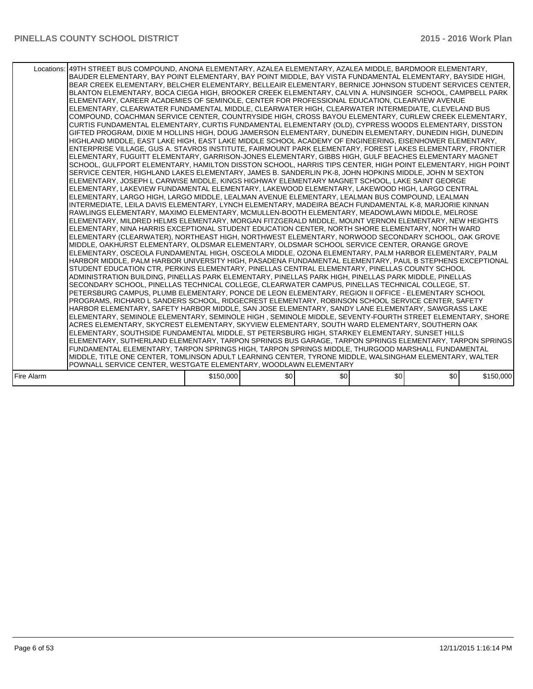|            | Locations:   49TH STREET BUS COMPOUND, ANONA ELEMENTARY, AZALEA ELEMENTARY, AZALEA MIDDLE, BARDMOOR ELEMENTARY,<br>BAUDER ELEMENTARY, BAY POINT ELEMENTARY, BAY POINT MIDDLE, BAY VISTA FUNDAMENTAL ELEMENTARY, BAYSIDE HIGH,<br>BEAR CREEK ELEMENTARY, BELCHER ELEMENTARY, BELLEAIR ELEMENTARY, BERNICE JOHNSON STUDENT SERVICES CENTER,<br>BLANTON ELEMENTARY, BOCA CIEGA HIGH, BROOKER CREEK ELEMENTARY, CALVIN A. HUNSINGER SCHOOL, CAMPBELL PARK<br>ELEMENTARY, CAREER ACADEMIES OF SEMINOLE, CENTER FOR PROFESSIONAL EDUCATION, CLEARVIEW AVENUE<br>ELEMENTARY, CLEARWATER FUNDAMENTAL MIDDLE, CLEARWATER HIGH, CLEARWATER INTERMEDIATE, CLEVELAND BUS<br>COMPOUND, COACHMAN SERVICE CENTER, COUNTRYSIDE HIGH, CROSS BAYOU ELEMENTARY, CURLEW CREEK ELEMENTARY,<br>CURTIS FUNDAMENTAL ELEMENTARY, CURTIS FUNDAMENTAL ELEMENTARY (OLD), CYPRESS WOODS ELEMENTARY, DISSTON<br>GIFTED PROGRAM, DIXIE M HOLLINS HIGH, DOUG JAMERSON ELEMENTARY, DUNEDIN ELEMENTARY, DUNEDIN HIGH, DUNEDIN<br>HIGHLAND MIDDLE, EAST LAKE HIGH, EAST LAKE MIDDLE SCHOOL ACADEMY OF ENGINEERING, EISENHOWER ELEMENTARY,<br>ENTERPRISE VILLAGE, GUS A. STAVROS INSTITUTE, FAIRMOUNT PARK ELEMENTARY, FOREST LAKES ELEMENTARY, FRONTIER<br>ELEMENTARY, FUGUITT ELEMENTARY, GARRISON-JONES ELEMENTARY, GIBBS HIGH, GULF BEACHES ELEMENTARY MAGNET<br>SCHOOL, GULFPORT ELEMENTARY, HAMILTON DISSTON SCHOOL, HARRIS TIPS CENTER, HIGH POINT ELEMENTARY, HIGH POINT<br>SERVICE CENTER, HIGHLAND LAKES ELEMENTARY, JAMES B. SANDERLIN PK-8, JOHN HOPKINS MIDDLE, JOHN M SEXTON<br>ELEMENTARY, JOSEPH L CARWISE MIDDLE, KINGS HIGHWAY ELEMENTARY MAGNET SCHOOL, LAKE SAINT GEORGE<br>IELEMENTARY. LAKEVIEW FUNDAMENTAL ELEMENTARY. LAKEWOOD ELEMENTARY. LAKEWOOD HIGH. LARGO CENTRAL<br>ELEMENTARY, LARGO HIGH, LARGO MIDDLE, LEALMAN AVENUE ELEMENTARY, LEALMAN BUS COMPOUND, LEALMAN<br>INTERMEDIATE. LEILA DAVIS ELEMENTARY. LYNCH ELEMENTARY. MADEIRA BEACH FUNDAMENTAL K-8. MARJORIE KINNAN<br>RAWLINGS ELEMENTARY, MAXIMO ELEMENTARY, MCMULLEN-BOOTH ELEMENTARY, MEADOWLAWN MIDDLE, MELROSE<br>ELEMENTARY, MILDRED HELMS ELEMENTARY, MORGAN FITZGERALD MIDDLE, MOUNT VERNON ELEMENTARY, NEW HEIGHTS<br>ELEMENTARY, NINA HARRIS EXCEPTIONAL STUDENT EDUCATION CENTER, NORTH SHORE ELEMENTARY, NORTH WARD<br>ELEMENTARY (CLEARWATER), NORTHEAST HIGH, NORTHWEST ELEMENTARY, NORWOOD SECONDARY SCHOOL, OAK GROVE<br>MIDDLE, OAKHURST ELEMENTARY, OLDSMAR ELEMENTARY, OLDSMAR SCHOOL SERVICE CENTER, ORANGE GROVE<br>ELEMENTARY, OSCEOLA FUNDAMENTAL HIGH, OSCEOLA MIDDLE, OZONA ELEMENTARY, PALM HARBOR ELEMENTARY, PALM<br>HARBOR MIDDLE, PALM HARBOR UNIVERSITY HIGH, PASADENA FUNDAMENTAL ELEMENTARY, PAUL B STEPHENS EXCEPTIONAL<br>STUDENT EDUCATION CTR, PERKINS ELEMENTARY, PINELLAS CENTRAL ELEMENTARY, PINELLAS COUNTY SCHOOL<br>ADMINISTRATION BUILDING. PINELLAS PARK ELEMENTARY. PINELLAS PARK HIGH. PINELLAS PARK MIDDLE. PINELLAS<br>SECONDARY SCHOOL, PINELLAS TECHNICAL COLLEGE, CLEARWATER CAMPUS, PINELLAS TECHNICAL COLLEGE, ST.<br>PETERSBURG CAMPUS. PLUMB ELEMENTARY, PONCE DE LEON ELEMENTARY, REGION II OFFICE - ELEMENTARY SCHOOL<br>PROGRAMS, RICHARD L SANDERS SCHOOL, RIDGECREST ELEMENTARY, ROBINSON SCHOOL SERVICE CENTER, SAFETY<br>HARBOR ELEMENTARY, SAFETY HARBOR MIDDLE, SAN JOSE ELEMENTARY, SANDY LANE ELEMENTARY, SAWGRASS LAKE<br>ELEMENTARY, SEMINOLE ELEMENTARY, SEMINOLE HIGH, SEMINOLE MIDDLE, SEVENTY-FOURTH STREET ELEMENTARY, SHORE<br>ACRES ELEMENTARY, SKYCREST ELEMENTARY, SKYVIEW ELEMENTARY, SOUTH WARD ELEMENTARY, SOUTHERN OAK<br>ELEMENTARY, SOUTHSIDE FUNDAMENTAL MIDDLE, ST PETERSBURG HIGH, STARKEY ELEMENTARY, SUNSET HILLS<br>ELEMENTARY, SUTHERLAND ELEMENTARY, TARPON SPRINGS BUS GARAGE, TARPON SPRINGS ELEMENTARY, TARPON SPRINGS<br>FUNDAMENTAL ELEMENTARY, TARPON SPRINGS HIGH, TARPON SPRINGS MIDDLE, THURGOOD MARSHALL FUNDAMENTAL<br>MIDDLE, TITLE ONE CENTER, TOMLINSON ADULT LEARNING CENTER, TYRONE MIDDLE, WALSINGHAM ELEMENTARY, WALTER |           |     |     |      |     |           |
|------------|--------------------------------------------------------------------------------------------------------------------------------------------------------------------------------------------------------------------------------------------------------------------------------------------------------------------------------------------------------------------------------------------------------------------------------------------------------------------------------------------------------------------------------------------------------------------------------------------------------------------------------------------------------------------------------------------------------------------------------------------------------------------------------------------------------------------------------------------------------------------------------------------------------------------------------------------------------------------------------------------------------------------------------------------------------------------------------------------------------------------------------------------------------------------------------------------------------------------------------------------------------------------------------------------------------------------------------------------------------------------------------------------------------------------------------------------------------------------------------------------------------------------------------------------------------------------------------------------------------------------------------------------------------------------------------------------------------------------------------------------------------------------------------------------------------------------------------------------------------------------------------------------------------------------------------------------------------------------------------------------------------------------------------------------------------------------------------------------------------------------------------------------------------------------------------------------------------------------------------------------------------------------------------------------------------------------------------------------------------------------------------------------------------------------------------------------------------------------------------------------------------------------------------------------------------------------------------------------------------------------------------------------------------------------------------------------------------------------------------------------------------------------------------------------------------------------------------------------------------------------------------------------------------------------------------------------------------------------------------------------------------------------------------------------------------------------------------------------------------------------------------------------------------------------------------------------------------------------------------------------------------------------------------------------------------------------------------------------------------------------------------------------------------------------------------------------------------------------------------------------------------------------------------------------------------------------------------------------------------------------------------------------------------------------------------------------------------------------------------------------------------------------------------------------------------------------------------------------------------------------------------------------------------------------------------------------------------------------------------------------|-----------|-----|-----|------|-----|-----------|
|            |                                                                                                                                                                                                                                                                                                                                                                                                                                                                                                                                                                                                                                                                                                                                                                                                                                                                                                                                                                                                                                                                                                                                                                                                                                                                                                                                                                                                                                                                                                                                                                                                                                                                                                                                                                                                                                                                                                                                                                                                                                                                                                                                                                                                                                                                                                                                                                                                                                                                                                                                                                                                                                                                                                                                                                                                                                                                                                                                                                                                                                                                                                                                                                                                                                                                                                                                                                                                                                                                                                                                                                                                                                                                                                                                                                                                                                                                                                                                                                                            |           |     |     |      |     |           |
|            | POWNALL SERVICE CENTER, WESTGATE ELEMENTARY, WOODLAWN ELEMENTARY                                                                                                                                                                                                                                                                                                                                                                                                                                                                                                                                                                                                                                                                                                                                                                                                                                                                                                                                                                                                                                                                                                                                                                                                                                                                                                                                                                                                                                                                                                                                                                                                                                                                                                                                                                                                                                                                                                                                                                                                                                                                                                                                                                                                                                                                                                                                                                                                                                                                                                                                                                                                                                                                                                                                                                                                                                                                                                                                                                                                                                                                                                                                                                                                                                                                                                                                                                                                                                                                                                                                                                                                                                                                                                                                                                                                                                                                                                                           |           |     |     |      |     |           |
| Fire Alarm |                                                                                                                                                                                                                                                                                                                                                                                                                                                                                                                                                                                                                                                                                                                                                                                                                                                                                                                                                                                                                                                                                                                                                                                                                                                                                                                                                                                                                                                                                                                                                                                                                                                                                                                                                                                                                                                                                                                                                                                                                                                                                                                                                                                                                                                                                                                                                                                                                                                                                                                                                                                                                                                                                                                                                                                                                                                                                                                                                                                                                                                                                                                                                                                                                                                                                                                                                                                                                                                                                                                                                                                                                                                                                                                                                                                                                                                                                                                                                                                            | \$150,000 | \$0 | \$0 | \$0] | \$0 | \$150,000 |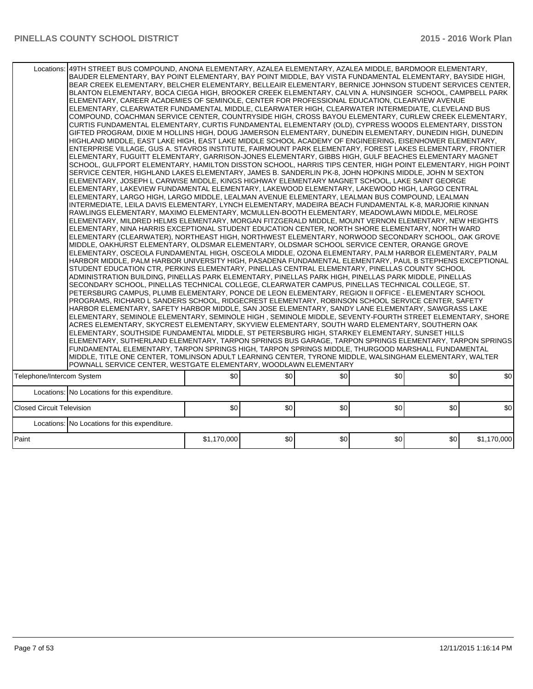|                                  | Locations: 49TH STREET BUS COMPOUND, ANONA ELEMENTARY, AZALEA ELEMENTARY, AZALEA MIDDLE, BARDMOOR ELEMENTARY,<br>BAUDER ELEMENTARY, BAY POINT ELEMENTARY, BAY POINT MIDDLE, BAY VISTA FUNDAMENTAL ELEMENTARY, BAYSIDE HIGH,<br>BEAR CREEK ELEMENTARY, BELCHER ELEMENTARY, BELLEAIR ELEMENTARY, BERNICE JOHNSON STUDENT SERVICES CENTER,<br>BLANTON ELEMENTARY, BOCA CIEGA HIGH, BROOKER CREEK ELEMENTARY, CALVIN A. HUNSINGER SCHOOL, CAMPBELL PARK<br>ELEMENTARY, CAREER ACADEMIES OF SEMINOLE, CENTER FOR PROFESSIONAL EDUCATION, CLEARVIEW AVENUE<br>ELEMENTARY, CLEARWATER FUNDAMENTAL MIDDLE, CLEARWATER HIGH, CLEARWATER INTERMEDIATE, CLEVELAND BUS<br>COMPOUND, COACHMAN SERVICE CENTER, COUNTRYSIDE HIGH, CROSS BAYOU ELEMENTARY, CURLEW CREEK ELEMENTARY,<br>CURTIS FUNDAMENTAL ELEMENTARY, CURTIS FUNDAMENTAL ELEMENTARY (OLD), CYPRESS WOODS ELEMENTARY, DISSTON<br>GIFTED PROGRAM, DIXIE M HOLLINS HIGH, DOUG JAMERSON ELEMENTARY, DUNEDIN ELEMENTARY, DUNEDIN HIGH, DUNEDIN<br>HIGHLAND MIDDLE, EAST LAKE HIGH, EAST LAKE MIDDLE SCHOOL ACADEMY OF ENGINEERING, EISENHOWER ELEMENTARY,<br>ENTERPRISE VILLAGE, GUS A. STAVROS INSTITUTE, FAIRMOUNT PARK ELEMENTARY, FOREST LAKES ELEMENTARY, FRONTIER<br>ELEMENTARY, FUGUITT ELEMENTARY, GARRISON-JONES ELEMENTARY, GIBBS HIGH, GULF BEACHES ELEMENTARY MAGNET<br>SCHOOL, GULFPORT ELEMENTARY, HAMILTON DISSTON SCHOOL, HARRIS TIPS CENTER, HIGH POINT ELEMENTARY, HIGH POINT<br>SERVICE CENTER, HIGHLAND LAKES ELEMENTARY, JAMES B. SANDERLIN PK-8, JOHN HOPKINS MIDDLE, JOHN M SEXTON<br>ELEMENTARY, JOSEPH L CARWISE MIDDLE, KINGS HIGHWAY ELEMENTARY MAGNET SCHOOL, LAKE SAINT GEORGE<br> ELEMENTARY, LAKEVIEW FUNDAMENTAL ELEMENTARY, LAKEWOOD ELEMENTARY, LAKEWOOD HIGH, LARGO CENTRAL<br>ELEMENTARY, LARGO HIGH, LARGO MIDDLE, LEALMAN AVENUE ELEMENTARY, LEALMAN BUS COMPOUND, LEALMAN<br>INTERMEDIATE, LEILA DAVIS ELEMENTARY, LYNCH ELEMENTARY, MADEIRA BEACH FUNDAMENTAL K-8, MARJORIE KINNAN<br>RAWLINGS ELEMENTARY, MAXIMO ELEMENTARY, MCMULLEN-BOOTH ELEMENTARY, MEADOWLAWN MIDDLE, MELROSE<br>ELEMENTARY, MILDRED HELMS ELEMENTARY, MORGAN FITZGERALD MIDDLE, MOUNT VERNON ELEMENTARY, NEW HEIGHTS<br>ELEMENTARY, NINA HARRIS EXCEPTIONAL STUDENT EDUCATION CENTER, NORTH SHORE ELEMENTARY, NORTH WARD<br>ELEMENTARY (CLEARWATER), NORTHEAST HIGH, NORTHWEST ELEMENTARY, NORWOOD SECONDARY SCHOOL, OAK GROVE<br>MIDDLE, OAKHURST ELEMENTARY, OLDSMAR ELEMENTARY, OLDSMAR SCHOOL SERVICE CENTER, ORANGE GROVE<br>ELEMENTARY, OSCEOLA FUNDAMENTAL HIGH, OSCEOLA MIDDLE, OZONA ELEMENTARY, PALM HARBOR ELEMENTARY, PALM<br> HARBOR MIDDLE, PALM HARBOR UNIVERSITY HIGH, PASADENA FUNDAMENTAL ELEMENTARY, PAUL B STEPHENS EXCEPTIONAL<br>STUDENT EDUCATION CTR, PERKINS ELEMENTARY, PINELLAS CENTRAL ELEMENTARY, PINELLAS COUNTY SCHOOL<br>ADMINISTRATION BUILDING, PINELLAS PARK ELEMENTARY, PINELLAS PARK HIGH, PINELLAS PARK MIDDLE, PINELLAS<br>SECONDARY SCHOOL, PINELLAS TECHNICAL COLLEGE, CLEARWATER CAMPUS, PINELLAS TECHNICAL COLLEGE, ST.<br>PETERSBURG CAMPUS, PLUMB ELEMENTARY, PONCE DE LEON ELEMENTARY, REGION II OFFICE - ELEMENTARY SCHOOL<br>PROGRAMS, RICHARD L SANDERS SCHOOL, RIDGECREST ELEMENTARY, ROBINSON SCHOOL SERVICE CENTER, SAFETY<br>HARBOR ELEMENTARY, SAFETY HARBOR MIDDLE, SAN JOSE ELEMENTARY, SANDY LANE ELEMENTARY, SAWGRASS LAKE<br>ELEMENTARY, SEMINOLE ELEMENTARY, SEMINOLE HIGH , SEMINOLE MIDDLE, SEVENTY-FOURTH STREET ELEMENTARY, SHORE<br>ACRES ELEMENTARY, SKYCREST ELEMENTARY, SKYVIEW ELEMENTARY, SOUTH WARD ELEMENTARY, SOUTHERN OAK<br>ELEMENTARY, SOUTHSIDE FUNDAMENTAL MIDDLE, ST PETERSBURG HIGH, STARKEY ELEMENTARY, SUNSET HILLS<br>ELEMENTARY, SUTHERLAND ELEMENTARY, TARPON SPRINGS BUS GARAGE, TARPON SPRINGS ELEMENTARY, TARPON SPRINGS<br>FUNDAMENTAL ELEMENTARY, TARPON SPRINGS HIGH, TARPON SPRINGS MIDDLE, THURGOOD MARSHALL FUNDAMENTAL<br>MIDDLE, TITLE ONE CENTER, TOMLINSON ADULT LEARNING CENTER, TYRONE MIDDLE, WALSINGHAM ELEMENTARY, WALTER<br>POWNALL SERVICE CENTER, WESTGATE ELEMENTARY, WOODLAWN ELEMENTARY |             |     |     |     |     |             |
|----------------------------------|----------------------------------------------------------------------------------------------------------------------------------------------------------------------------------------------------------------------------------------------------------------------------------------------------------------------------------------------------------------------------------------------------------------------------------------------------------------------------------------------------------------------------------------------------------------------------------------------------------------------------------------------------------------------------------------------------------------------------------------------------------------------------------------------------------------------------------------------------------------------------------------------------------------------------------------------------------------------------------------------------------------------------------------------------------------------------------------------------------------------------------------------------------------------------------------------------------------------------------------------------------------------------------------------------------------------------------------------------------------------------------------------------------------------------------------------------------------------------------------------------------------------------------------------------------------------------------------------------------------------------------------------------------------------------------------------------------------------------------------------------------------------------------------------------------------------------------------------------------------------------------------------------------------------------------------------------------------------------------------------------------------------------------------------------------------------------------------------------------------------------------------------------------------------------------------------------------------------------------------------------------------------------------------------------------------------------------------------------------------------------------------------------------------------------------------------------------------------------------------------------------------------------------------------------------------------------------------------------------------------------------------------------------------------------------------------------------------------------------------------------------------------------------------------------------------------------------------------------------------------------------------------------------------------------------------------------------------------------------------------------------------------------------------------------------------------------------------------------------------------------------------------------------------------------------------------------------------------------------------------------------------------------------------------------------------------------------------------------------------------------------------------------------------------------------------------------------------------------------------------------------------------------------------------------------------------------------------------------------------------------------------------------------------------------------------------------------------------------------------------------------------------------------------------------------------------------------------------------------------------------------------------------------------------------------------------------------------------------------------------------------------------------------------------------------------|-------------|-----|-----|-----|-----|-------------|
| Telephone/Intercom System        |                                                                                                                                                                                                                                                                                                                                                                                                                                                                                                                                                                                                                                                                                                                                                                                                                                                                                                                                                                                                                                                                                                                                                                                                                                                                                                                                                                                                                                                                                                                                                                                                                                                                                                                                                                                                                                                                                                                                                                                                                                                                                                                                                                                                                                                                                                                                                                                                                                                                                                                                                                                                                                                                                                                                                                                                                                                                                                                                                                                                                                                                                                                                                                                                                                                                                                                                                                                                                                                                                                                                                                                                                                                                                                                                                                                                                                                                                                                                                                                                                                                                | \$0         | \$0 | \$0 | \$0 | \$0 | \$0         |
|                                  | Locations: No Locations for this expenditure.                                                                                                                                                                                                                                                                                                                                                                                                                                                                                                                                                                                                                                                                                                                                                                                                                                                                                                                                                                                                                                                                                                                                                                                                                                                                                                                                                                                                                                                                                                                                                                                                                                                                                                                                                                                                                                                                                                                                                                                                                                                                                                                                                                                                                                                                                                                                                                                                                                                                                                                                                                                                                                                                                                                                                                                                                                                                                                                                                                                                                                                                                                                                                                                                                                                                                                                                                                                                                                                                                                                                                                                                                                                                                                                                                                                                                                                                                                                                                                                                                  |             |     |     |     |     |             |
| <b>Closed Circuit Television</b> |                                                                                                                                                                                                                                                                                                                                                                                                                                                                                                                                                                                                                                                                                                                                                                                                                                                                                                                                                                                                                                                                                                                                                                                                                                                                                                                                                                                                                                                                                                                                                                                                                                                                                                                                                                                                                                                                                                                                                                                                                                                                                                                                                                                                                                                                                                                                                                                                                                                                                                                                                                                                                                                                                                                                                                                                                                                                                                                                                                                                                                                                                                                                                                                                                                                                                                                                                                                                                                                                                                                                                                                                                                                                                                                                                                                                                                                                                                                                                                                                                                                                | \$0         | \$0 | \$0 | \$0 | \$0 | \$0         |
|                                  | Locations: No Locations for this expenditure.                                                                                                                                                                                                                                                                                                                                                                                                                                                                                                                                                                                                                                                                                                                                                                                                                                                                                                                                                                                                                                                                                                                                                                                                                                                                                                                                                                                                                                                                                                                                                                                                                                                                                                                                                                                                                                                                                                                                                                                                                                                                                                                                                                                                                                                                                                                                                                                                                                                                                                                                                                                                                                                                                                                                                                                                                                                                                                                                                                                                                                                                                                                                                                                                                                                                                                                                                                                                                                                                                                                                                                                                                                                                                                                                                                                                                                                                                                                                                                                                                  |             |     |     |     |     |             |
| Paint                            |                                                                                                                                                                                                                                                                                                                                                                                                                                                                                                                                                                                                                                                                                                                                                                                                                                                                                                                                                                                                                                                                                                                                                                                                                                                                                                                                                                                                                                                                                                                                                                                                                                                                                                                                                                                                                                                                                                                                                                                                                                                                                                                                                                                                                                                                                                                                                                                                                                                                                                                                                                                                                                                                                                                                                                                                                                                                                                                                                                                                                                                                                                                                                                                                                                                                                                                                                                                                                                                                                                                                                                                                                                                                                                                                                                                                                                                                                                                                                                                                                                                                | \$1,170,000 | \$0 | \$0 | \$0 | \$0 | \$1,170,000 |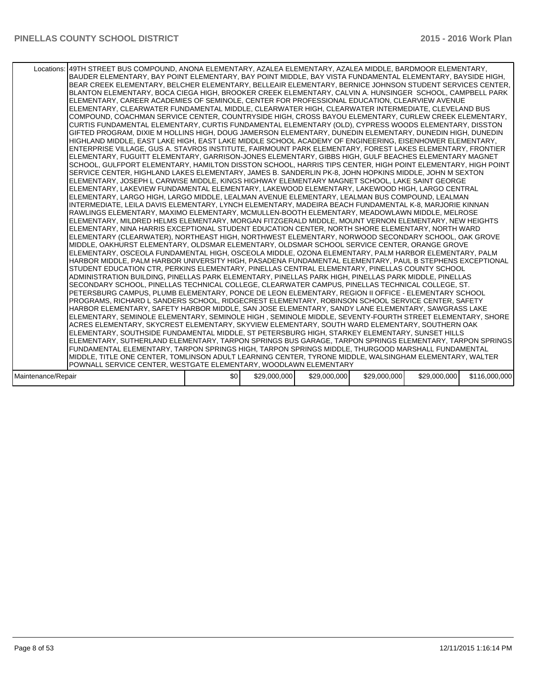|                    | Locations: 149TH STREET BUS COMPOUND, ANONA ELEMENTARY, AZALEA ELEMENTARY, AZALEA MIDDLE, BARDMOOR ELEMENTARY,<br>BAUDER ELEMENTARY, BAY POINT ELEMENTARY, BAY POINT MIDDLE, BAY VISTA FUNDAMENTAL ELEMENTARY, BAYSIDE HIGH,<br>BEAR CREEK ELEMENTARY, BELCHER ELEMENTARY, BELLEAIR ELEMENTARY, BERNICE JOHNSON STUDENT SERVICES CENTER,<br>BLANTON ELEMENTARY, BOCA CIEGA HIGH, BROOKER CREEK ELEMENTARY, CALVIN A. HUNSINGER SCHOOL, CAMPBELL PARK<br>ELEMENTARY, CAREER ACADEMIES OF SEMINOLE, CENTER FOR PROFESSIONAL EDUCATION, CLEARVIEW AVENUE<br>ELEMENTARY, CLEARWATER FUNDAMENTAL MIDDLE, CLEARWATER HIGH, CLEARWATER INTERMEDIATE, CLEVELAND BUS<br>COMPOUND, COACHMAN SERVICE CENTER, COUNTRYSIDE HIGH, CROSS BAYOU ELEMENTARY, CURLEW CREEK ELEMENTARY,<br>CURTIS FUNDAMENTAL ELEMENTARY, CURTIS FUNDAMENTAL ELEMENTARY (OLD), CYPRESS WOODS ELEMENTARY, DISSTON<br>GIFTED PROGRAM, DIXIE M HOLLINS HIGH, DOUG JAMERSON ELEMENTARY, DUNEDIN ELEMENTARY, DUNEDIN HIGH, DUNEDIN<br>HIGHLAND MIDDLE, EAST LAKE HIGH, EAST LAKE MIDDLE SCHOOL ACADEMY OF ENGINEERING, EISENHOWER ELEMENTARY,<br>ENTERPRISE VILLAGE, GUS A. STAVROS INSTITUTE, FAIRMOUNT PARK ELEMENTARY, FOREST LAKES ELEMENTARY, FRONTIER<br>ELEMENTARY, FUGUITT ELEMENTARY, GARRISON-JONES ELEMENTARY, GIBBS HIGH, GULF BEACHES ELEMENTARY MAGNET<br>SCHOOL, GULFPORT ELEMENTARY, HAMILTON DISSTON SCHOOL, HARRIS TIPS CENTER, HIGH POINT ELEMENTARY, HIGH POINT<br>SERVICE CENTER, HIGHLAND LAKES ELEMENTARY, JAMES B. SANDERLIN PK-8, JOHN HOPKINS MIDDLE, JOHN M SEXTON<br>ELEMENTARY, JOSEPH L CARWISE MIDDLE, KINGS HIGHWAY ELEMENTARY MAGNET SCHOOL, LAKE SAINT GEORGE<br>ELEMENTARY, LAKEVIEW FUNDAMENTAL ELEMENTARY, LAKEWOOD ELEMENTARY, LAKEWOOD HIGH, LARGO CENTRAL<br>ELEMENTARY, LARGO HIGH, LARGO MIDDLE, LEALMAN AVENUE ELEMENTARY, LEALMAN BUS COMPOUND, LEALMAN<br>INTERMEDIATE, LEILA DAVIS ELEMENTARY, LYNCH ELEMENTARY, MADEIRA BEACH FUNDAMENTAL K-8, MARJORIE KINNAN<br>RAWLINGS ELEMENTARY, MAXIMO ELEMENTARY, MCMULLEN-BOOTH ELEMENTARY, MEADOWLAWN MIDDLE, MELROSE<br>ELEMENTARY, MILDRED HELMS ELEMENTARY, MORGAN FITZGERALD MIDDLE, MOUNT VERNON ELEMENTARY, NEW HEIGHTS<br>ELEMENTARY, NINA HARRIS EXCEPTIONAL STUDENT EDUCATION CENTER, NORTH SHORE ELEMENTARY, NORTH WARD<br>ELEMENTARY (CLEARWATER), NORTHEAST HIGH, NORTHWEST ELEMENTARY, NORWOOD SECONDARY SCHOOL, OAK GROVE<br>MIDDLE, OAKHURST ELEMENTARY, OLDSMAR ELEMENTARY, OLDSMAR SCHOOL SERVICE CENTER, ORANGE GROVE<br>ELEMENTARY, OSCEOLA FUNDAMENTAL HIGH, OSCEOLA MIDDLE, OZONA ELEMENTARY, PALM HARBOR ELEMENTARY, PALM<br>HARBOR MIDDLE, PALM HARBOR UNIVERSITY HIGH, PASADENA FUNDAMENTAL ELEMENTARY, PAUL B STEPHENS EXCEPTIONAL<br>STUDENT EDUCATION CTR, PERKINS ELEMENTARY, PINELLAS CENTRAL ELEMENTARY, PINELLAS COUNTY SCHOOL<br>ADMINISTRATION BUILDING. PINELLAS PARK ELEMENTARY. PINELLAS PARK HIGH. PINELLAS PARK MIDDLE. PINELLAS<br>SECONDARY SCHOOL, PINELLAS TECHNICAL COLLEGE, CLEARWATER CAMPUS, PINELLAS TECHNICAL COLLEGE, ST.<br>PETERSBURG CAMPUS, PLUMB ELEMENTARY, PONCE DE LEON ELEMENTARY, REGION II OFFICE - ELEMENTARY SCHOOL<br>PROGRAMS, RICHARD L SANDERS SCHOOL, RIDGECREST ELEMENTARY, ROBINSON SCHOOL SERVICE CENTER, SAFETY<br>HARBOR ELEMENTARY, SAFETY HARBOR MIDDLE, SAN JOSE ELEMENTARY, SANDY LANE ELEMENTARY, SAWGRASS LAKE<br>ELEMENTARY, SEMINOLE ELEMENTARY, SEMINOLE HIGH , SEMINOLE MIDDLE, SEVENTY-FOURTH STREET ELEMENTARY, SHORE<br>ACRES ELEMENTARY, SKYCREST ELEMENTARY, SKYVIEW ELEMENTARY, SOUTH WARD ELEMENTARY, SOUTHERN OAK<br>ELEMENTARY, SOUTHSIDE FUNDAMENTAL MIDDLE, ST PETERSBURG HIGH, STARKEY ELEMENTARY, SUNSET HILLS<br>ELEMENTARY, SUTHERLAND ELEMENTARY, TARPON SPRINGS BUS GARAGE, TARPON SPRINGS ELEMENTARY, TARPON SPRINGS<br>FUNDAMENTAL ELEMENTARY, TARPON SPRINGS HIGH, TARPON SPRINGS MIDDLE, THURGOOD MARSHALL FUNDAMENTAL |     |              |              |              |              |               |
|--------------------|--------------------------------------------------------------------------------------------------------------------------------------------------------------------------------------------------------------------------------------------------------------------------------------------------------------------------------------------------------------------------------------------------------------------------------------------------------------------------------------------------------------------------------------------------------------------------------------------------------------------------------------------------------------------------------------------------------------------------------------------------------------------------------------------------------------------------------------------------------------------------------------------------------------------------------------------------------------------------------------------------------------------------------------------------------------------------------------------------------------------------------------------------------------------------------------------------------------------------------------------------------------------------------------------------------------------------------------------------------------------------------------------------------------------------------------------------------------------------------------------------------------------------------------------------------------------------------------------------------------------------------------------------------------------------------------------------------------------------------------------------------------------------------------------------------------------------------------------------------------------------------------------------------------------------------------------------------------------------------------------------------------------------------------------------------------------------------------------------------------------------------------------------------------------------------------------------------------------------------------------------------------------------------------------------------------------------------------------------------------------------------------------------------------------------------------------------------------------------------------------------------------------------------------------------------------------------------------------------------------------------------------------------------------------------------------------------------------------------------------------------------------------------------------------------------------------------------------------------------------------------------------------------------------------------------------------------------------------------------------------------------------------------------------------------------------------------------------------------------------------------------------------------------------------------------------------------------------------------------------------------------------------------------------------------------------------------------------------------------------------------------------------------------------------------------------------------------------------------------------------------------------------------------------------------------------------------------------------------------------------------------------------------------------------------------------------------------------------------------------------------------------------------------------------------------------------------------------------------------------------------------|-----|--------------|--------------|--------------|--------------|---------------|
|                    |                                                                                                                                                                                                                                                                                                                                                                                                                                                                                                                                                                                                                                                                                                                                                                                                                                                                                                                                                                                                                                                                                                                                                                                                                                                                                                                                                                                                                                                                                                                                                                                                                                                                                                                                                                                                                                                                                                                                                                                                                                                                                                                                                                                                                                                                                                                                                                                                                                                                                                                                                                                                                                                                                                                                                                                                                                                                                                                                                                                                                                                                                                                                                                                                                                                                                                                                                                                                                                                                                                                                                                                                                                                                                                                                                                                                                                                                                |     |              |              |              |              |               |
|                    |                                                                                                                                                                                                                                                                                                                                                                                                                                                                                                                                                                                                                                                                                                                                                                                                                                                                                                                                                                                                                                                                                                                                                                                                                                                                                                                                                                                                                                                                                                                                                                                                                                                                                                                                                                                                                                                                                                                                                                                                                                                                                                                                                                                                                                                                                                                                                                                                                                                                                                                                                                                                                                                                                                                                                                                                                                                                                                                                                                                                                                                                                                                                                                                                                                                                                                                                                                                                                                                                                                                                                                                                                                                                                                                                                                                                                                                                                |     |              |              |              |              |               |
|                    |                                                                                                                                                                                                                                                                                                                                                                                                                                                                                                                                                                                                                                                                                                                                                                                                                                                                                                                                                                                                                                                                                                                                                                                                                                                                                                                                                                                                                                                                                                                                                                                                                                                                                                                                                                                                                                                                                                                                                                                                                                                                                                                                                                                                                                                                                                                                                                                                                                                                                                                                                                                                                                                                                                                                                                                                                                                                                                                                                                                                                                                                                                                                                                                                                                                                                                                                                                                                                                                                                                                                                                                                                                                                                                                                                                                                                                                                                |     |              |              |              |              |               |
|                    | MIDDLE, TITLE ONE CENTER, TOMLINSON ADULT LEARNING CENTER, TYRONE MIDDLE, WALSINGHAM ELEMENTARY, WALTER                                                                                                                                                                                                                                                                                                                                                                                                                                                                                                                                                                                                                                                                                                                                                                                                                                                                                                                                                                                                                                                                                                                                                                                                                                                                                                                                                                                                                                                                                                                                                                                                                                                                                                                                                                                                                                                                                                                                                                                                                                                                                                                                                                                                                                                                                                                                                                                                                                                                                                                                                                                                                                                                                                                                                                                                                                                                                                                                                                                                                                                                                                                                                                                                                                                                                                                                                                                                                                                                                                                                                                                                                                                                                                                                                                        |     |              |              |              |              |               |
|                    | POWNALL SERVICE CENTER, WESTGATE ELEMENTARY, WOODLAWN ELEMENTARY                                                                                                                                                                                                                                                                                                                                                                                                                                                                                                                                                                                                                                                                                                                                                                                                                                                                                                                                                                                                                                                                                                                                                                                                                                                                                                                                                                                                                                                                                                                                                                                                                                                                                                                                                                                                                                                                                                                                                                                                                                                                                                                                                                                                                                                                                                                                                                                                                                                                                                                                                                                                                                                                                                                                                                                                                                                                                                                                                                                                                                                                                                                                                                                                                                                                                                                                                                                                                                                                                                                                                                                                                                                                                                                                                                                                               |     |              |              |              |              |               |
|                    |                                                                                                                                                                                                                                                                                                                                                                                                                                                                                                                                                                                                                                                                                                                                                                                                                                                                                                                                                                                                                                                                                                                                                                                                                                                                                                                                                                                                                                                                                                                                                                                                                                                                                                                                                                                                                                                                                                                                                                                                                                                                                                                                                                                                                                                                                                                                                                                                                                                                                                                                                                                                                                                                                                                                                                                                                                                                                                                                                                                                                                                                                                                                                                                                                                                                                                                                                                                                                                                                                                                                                                                                                                                                                                                                                                                                                                                                                |     |              |              |              |              |               |
| Maintenance/Repair |                                                                                                                                                                                                                                                                                                                                                                                                                                                                                                                                                                                                                                                                                                                                                                                                                                                                                                                                                                                                                                                                                                                                                                                                                                                                                                                                                                                                                                                                                                                                                                                                                                                                                                                                                                                                                                                                                                                                                                                                                                                                                                                                                                                                                                                                                                                                                                                                                                                                                                                                                                                                                                                                                                                                                                                                                                                                                                                                                                                                                                                                                                                                                                                                                                                                                                                                                                                                                                                                                                                                                                                                                                                                                                                                                                                                                                                                                | \$0 | \$29,000,000 | \$29,000,000 | \$29,000,000 | \$29,000,000 | \$116,000,000 |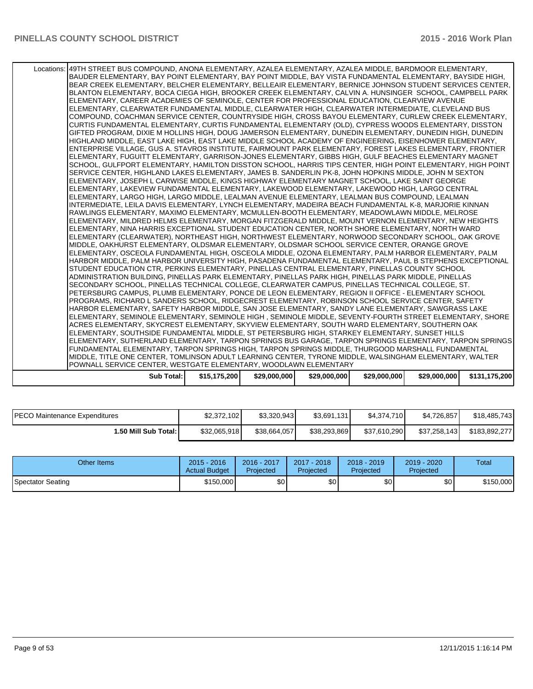| <b>Sub Total:</b>                                                                                                                                                                                                   | \$15,175,200 | \$29,000,000 | \$29,000,000 | \$29,000,000 | \$29,000,000 | \$131,175,200 |
|---------------------------------------------------------------------------------------------------------------------------------------------------------------------------------------------------------------------|--------------|--------------|--------------|--------------|--------------|---------------|
| POWNALL SERVICE CENTER. WESTGATE ELEMENTARY, WOODLAWN ELEMENTARY                                                                                                                                                    |              |              |              |              |              |               |
| MIDDLE, TITLE ONE CENTER, TOMLINSON ADULT LEARNING CENTER, TYRONE MIDDLE, WALSINGHAM ELEMENTARY, WALTER                                                                                                             |              |              |              |              |              |               |
| FUNDAMENTAL ELEMENTARY, TARPON SPRINGS HIGH, TARPON SPRINGS MIDDLE, THURGOOD MARSHALL FUNDAMENTAL                                                                                                                   |              |              |              |              |              |               |
| ELEMENTARY, SUTHERLAND ELEMENTARY, TARPON SPRINGS BUS GARAGE, TARPON SPRINGS ELEMENTARY, TARPON SPRINGS                                                                                                             |              |              |              |              |              |               |
| ELEMENTARY, SOUTHSIDE FUNDAMENTAL MIDDLE, ST PETERSBURG HIGH, STARKEY ELEMENTARY, SUNSET HILLS                                                                                                                      |              |              |              |              |              |               |
| ACRES ELEMENTARY, SKYCREST ELEMENTARY, SKYVIEW ELEMENTARY, SOUTH WARD ELEMENTARY, SOUTHERN OAK                                                                                                                      |              |              |              |              |              |               |
| ELEMENTARY, SEMINOLE ELEMENTARY, SEMINOLE HIGH, SEMINOLE MIDDLE, SEVENTY-FOURTH STREET ELEMENTARY, SHORE                                                                                                            |              |              |              |              |              |               |
| PROGRAMS, RICHARD L SANDERS SCHOOL, RIDGECREST ELEMENTARY, ROBINSON SCHOOL SERVICE CENTER, SAFETY<br>HARBOR ELEMENTARY, SAFETY HARBOR MIDDLE, SAN JOSE ELEMENTARY, SANDY LANE ELEMENTARY, SAWGRASS LAKE             |              |              |              |              |              |               |
| PETERSBURG CAMPUS, PLUMB ELEMENTARY, PONCE DE LEON ELEMENTARY, REGION II OFFICE - ELEMENTARY SCHOOL                                                                                                                 |              |              |              |              |              |               |
| SECONDARY SCHOOL, PINELLAS TECHNICAL COLLEGE, CLEARWATER CAMPUS, PINELLAS TECHNICAL COLLEGE, ST.                                                                                                                    |              |              |              |              |              |               |
| ADMINISTRATION BUILDING, PINELLAS PARK ELEMENTARY, PINELLAS PARK HIGH, PINELLAS PARK MIDDLE, PINELLAS                                                                                                               |              |              |              |              |              |               |
| STUDENT EDUCATION CTR, PERKINS ELEMENTARY, PINELLAS CENTRAL ELEMENTARY, PINELLAS COUNTY SCHOOL                                                                                                                      |              |              |              |              |              |               |
| HARBOR MIDDLE, PALM HARBOR UNIVERSITY HIGH, PASADENA FUNDAMENTAL ELEMENTARY, PAUL B STEPHENS EXCEPTIONAL                                                                                                            |              |              |              |              |              |               |
| ELEMENTARY, OSCEOLA FUNDAMENTAL HIGH, OSCEOLA MIDDLE, OZONA ELEMENTARY, PALM HARBOR ELEMENTARY, PALM                                                                                                                |              |              |              |              |              |               |
| ELEMENTARY (CLEARWATER), NORTHEAST HIGH, NORTHWEST ELEMENTARY, NORWOOD SECONDARY SCHOOL, OAK GROVE<br>MIDDLE, OAKHURST ELEMENTARY, OLDSMAR ELEMENTARY, OLDSMAR SCHOOL SERVICE CENTER, ORANGE GROVE                  |              |              |              |              |              |               |
| ELEMENTARY, NINA HARRIS EXCEPTIONAL STUDENT EDUCATION CENTER, NORTH SHORE ELEMENTARY, NORTH WARD                                                                                                                    |              |              |              |              |              |               |
| ELEMENTARY, MILDRED HELMS ELEMENTARY, MORGAN FITZGERALD MIDDLE, MOUNT VERNON ELEMENTARY, NEW HEIGHTS                                                                                                                |              |              |              |              |              |               |
| RAWLINGS ELEMENTARY, MAXIMO ELEMENTARY, MCMULLEN-BOOTH ELEMENTARY, MEADOWLAWN MIDDLE, MELROSE                                                                                                                       |              |              |              |              |              |               |
| INTERMEDIATE, LEILA DAVIS ELEMENTARY, LYNCH ELEMENTARY, MADEIRA BEACH FUNDAMENTAL K-8, MARJORIE KINNAN                                                                                                              |              |              |              |              |              |               |
| ELEMENTARY, LARGO HIGH, LARGO MIDDLE, LEALMAN AVENUE ELEMENTARY, LEALMAN BUS COMPOUND, LEALMAN                                                                                                                      |              |              |              |              |              |               |
| ELEMENTARY, LAKEVIEW FUNDAMENTAL ELEMENTARY, LAKEWOOD ELEMENTARY, LAKEWOOD HIGH, LARGO CENTRAL                                                                                                                      |              |              |              |              |              |               |
| ELEMENTARY, JOSEPH L CARWISE MIDDLE, KINGS HIGHWAY ELEMENTARY MAGNET SCHOOL, LAKE SAINT GEORGE                                                                                                                      |              |              |              |              |              |               |
| SERVICE CENTER, HIGHLAND LAKES ELEMENTARY, JAMES B. SANDERLIN PK-8, JOHN HOPKINS MIDDLE, JOHN M SEXTON                                                                                                              |              |              |              |              |              |               |
| SCHOOL, GULFPORT ELEMENTARY, HAMILTON DISSTON SCHOOL, HARRIS TIPS CENTER, HIGH POINT ELEMENTARY, HIGH POINT                                                                                                         |              |              |              |              |              |               |
| ENTERPRISE VILLAGE, GUS A. STAVROS INSTITUTE, FAIRMOUNT PARK ELEMENTARY, FOREST LAKES ELEMENTARY, FRONTIER<br>ELEMENTARY, FUGUITT ELEMENTARY, GARRISON-JONES ELEMENTARY, GIBBS HIGH, GULF BEACHES ELEMENTARY MAGNET |              |              |              |              |              |               |
| HIGHLAND MIDDLE, EAST LAKE HIGH, EAST LAKE MIDDLE SCHOOL ACADEMY OF ENGINEERING, EISENHOWER ELEMENTARY,                                                                                                             |              |              |              |              |              |               |
| GIFTED PROGRAM, DIXIE M HOLLINS HIGH, DOUG JAMERSON ELEMENTARY, DUNEDIN ELEMENTARY, DUNEDIN HIGH, DUNEDIN                                                                                                           |              |              |              |              |              |               |
| CURTIS FUNDAMENTAL ELEMENTARY, CURTIS FUNDAMENTAL ELEMENTARY (OLD), CYPRESS WOODS ELEMENTARY, DISSTON                                                                                                               |              |              |              |              |              |               |
| COMPOUND, COACHMAN SERVICE CENTER, COUNTRYSIDE HIGH, CROSS BAYOU ELEMENTARY, CURLEW CREEK ELEMENTARY,                                                                                                               |              |              |              |              |              |               |
| ELEMENTARY, CLEARWATER FUNDAMENTAL MIDDLE, CLEARWATER HIGH, CLEARWATER INTERMEDIATE, CLEVELAND BUS                                                                                                                  |              |              |              |              |              |               |
| ELEMENTARY, CAREER ACADEMIES OF SEMINOLE, CENTER FOR PROFESSIONAL EDUCATION, CLEARVIEW AVENUE                                                                                                                       |              |              |              |              |              |               |
| BLANTON ELEMENTARY, BOCA CIEGA HIGH, BROOKER CREEK ELEMENTARY, CALVIN A. HUNSINGER SCHOOL, CAMPBELL PARK                                                                                                            |              |              |              |              |              |               |
| BEAR CREEK ELEMENTARY, BELCHER ELEMENTARY, BELLEAIR ELEMENTARY, BERNICE JOHNSON STUDENT SERVICES CENTER,                                                                                                            |              |              |              |              |              |               |
| BAUDER ELEMENTARY, BAY POINT ELEMENTARY, BAY POINT MIDDLE, BAY VISTA FUNDAMENTAL ELEMENTARY, BAYSIDE HIGH,                                                                                                          |              |              |              |              |              |               |
| Locations: 149TH STREET BUS COMPOUND, ANONA ELEMENTARY, AZALEA ELEMENTARY, AZALEA MIDDLE, BARDMOOR ELEMENTARY,                                                                                                      |              |              |              |              |              |               |
|                                                                                                                                                                                                                     |              |              |              |              |              |               |

| <b>PECO Maintenance Expenditures</b> | \$2,372,102  | \$3.320.943  | \$3,691,131  | \$4,374,710  | \$4,726,857  | \$18,485,743  |
|--------------------------------------|--------------|--------------|--------------|--------------|--------------|---------------|
| <b>1.50 Mill Sub Total: I</b>        | \$32,065,918 | \$38,664,057 | \$38,293,869 | \$37,610,290 | \$37,258,143 | \$183,892,277 |

| Other Items       | $2015 - 2016$<br><b>Actual Budget</b> | 2016 - 2017<br>Projected | $2017 - 2018$<br>Proiected | $2018 - 2019$<br>Projected | 2019 - 2020<br>Projected | Total     |
|-------------------|---------------------------------------|--------------------------|----------------------------|----------------------------|--------------------------|-----------|
| Spectator Seating | \$150,000                             | \$0l                     | \$0                        | \$0                        | \$0                      | \$150,000 |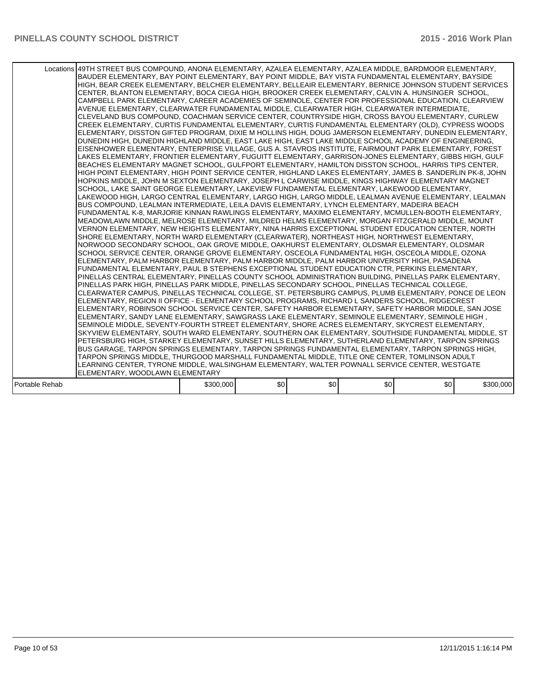|                | Locations 49TH STREET BUS COMPOUND, ANONA ELEMENTARY, AZALEA ELEMENTARY, AZALEA MIDDLE, BARDMOOR ELEMENTARY,<br>BAUDER ELEMENTARY, BAY POINT ELEMENTARY, BAY POINT MIDDLE, BAY VISTA FUNDAMENTAL ELEMENTARY, BAYSIDE<br>HIGH, BEAR CREEK ELEMENTARY, BELCHER ELEMENTARY, BELLEAIR ELEMENTARY, BERNICE JOHNSON STUDENT SERVICES<br>CENTER, BLANTON ELEMENTARY, BOCA CIEGA HIGH, BROOKER CREEK ELEMENTARY, CALVIN A. HUNSINGER SCHOOL,<br>CAMPBELL PARK ELEMENTARY, CAREER ACADEMIES OF SEMINOLE, CENTER FOR PROFESSIONAL EDUCATION, CLEARVIEW<br>AVENUE ELEMENTARY, CLEARWATER FUNDAMENTAL MIDDLE, CLEARWATER HIGH, CLEARWATER INTERMEDIATE,<br>CLEVELAND BUS COMPOUND, COACHMAN SERVICE CENTER, COUNTRYSIDE HIGH, CROSS BAYOU ELEMENTARY, CURLEW<br>CREEK ELEMENTARY, CURTIS FUNDAMENTAL ELEMENTARY, CURTIS FUNDAMENTAL ELEMENTARY (OLD), CYPRESS WOODS<br>ELEMENTARY, DISSTON GIFTED PROGRAM, DIXIE M HOLLINS HIGH, DOUG JAMERSON ELEMENTARY, DUNEDIN ELEMENTARY,<br>DUNEDIN HIGH, DUNEDIN HIGHLAND MIDDLE, EAST LAKE HIGH, EAST LAKE MIDDLE SCHOOL ACADEMY OF ENGINEERING,<br>EISENHOWER ELEMENTARY, ENTERPRISE VILLAGE, GUS A. STAVROS INSTITUTE, FAIRMOUNT PARK ELEMENTARY, FOREST<br>LAKES ELEMENTARY, FRONTIER ELEMENTARY, FUGUITT ELEMENTARY, GARRISON-JONES ELEMENTARY, GIBBS HIGH, GULF<br>BEACHES ELEMENTARY MAGNET SCHOOL, GULFPORT ELEMENTARY, HAMILTON DISSTON SCHOOL, HARRIS TIPS CENTER,<br>HIGH POINT ELEMENTARY, HIGH POINT SERVICE CENTER, HIGHLAND LAKES ELEMENTARY, JAMES B. SANDERLIN PK-8, JOHN<br>HOPKINS MIDDLE, JOHN M SEXTON ELEMENTARY, JOSEPH L CARWISE MIDDLE, KINGS HIGHWAY ELEMENTARY MAGNET<br>SCHOOL, LAKE SAINT GEORGE ELEMENTARY, LAKEVIEW FUNDAMENTAL ELEMENTARY, LAKEWOOD ELEMENTARY,<br>LAKEWOOD HIGH, LARGO CENTRAL ELEMENTARY, LARGO HIGH, LARGO MIDDLE, LEALMAN AVENUE ELEMENTARY, LEALMAN<br>BUS COMPOUND, LEALMAN INTERMEDIATE, LEILA DAVIS ELEMENTARY, LYNCH ELEMENTARY, MADEIRA BEACH<br>FUNDAMENTAL K-8, MARJORIE KINNAN RAWLINGS ELEMENTARY, MAXIMO ELEMENTARY, MCMULLEN-BOOTH ELEMENTARY,<br>MEADOWLAWN MIDDLE, MELROSE ELEMENTARY, MILDRED HELMS ELEMENTARY, MORGAN FITZGERALD MIDDLE, MOUNT<br>VERNON ELEMENTARY, NEW HEIGHTS ELEMENTARY, NINA HARRIS EXCEPTIONAL STUDENT EDUCATION CENTER, NORTH<br>SHORE ELEMENTARY, NORTH WARD ELEMENTARY (CLEARWATER), NORTHEAST HIGH, NORTHWEST ELEMENTARY,<br>NORWOOD SECONDARY SCHOOL, OAK GROVE MIDDLE, OAKHURST ELEMENTARY, OLDSMAR ELEMENTARY, OLDSMAR<br>SCHOOL SERVICE CENTER, ORANGE GROVE ELEMENTARY, OSCEOLA FUNDAMENTAL HIGH, OSCEOLA MIDDLE, OZONA<br>ELEMENTARY, PALM HARBOR ELEMENTARY, PALM HARBOR MIDDLE, PALM HARBOR UNIVERSITY HIGH, PASADENA<br>FUNDAMENTAL ELEMENTARY, PAUL B STEPHENS EXCEPTIONAL STUDENT EDUCATION CTR, PERKINS ELEMENTARY,<br>PINELLAS CENTRAL ELEMENTARY, PINELLAS COUNTY SCHOOL ADMINISTRATION BUILDING, PINELLAS PARK ELEMENTARY,<br>PINELLAS PARK HIGH, PINELLAS PARK MIDDLE, PINELLAS SECONDARY SCHOOL, PINELLAS TECHNICAL COLLEGE,<br>CLEARWATER CAMPUS, PINELLAS TECHNICAL COLLEGE, ST. PETERSBURG CAMPUS, PLUMB ELEMENTARY, PONCE DE LEON<br>ELEMENTARY, REGION II OFFICE - ELEMENTARY SCHOOL PROGRAMS, RICHARD L SANDERS SCHOOL, RIDGECREST<br>ELEMENTARY, ROBINSON SCHOOL SERVICE CENTER, SAFETY HARBOR ELEMENTARY, SAFETY HARBOR MIDDLE, SAN JOSE<br>, ELEMENTARY, SANDY LANE ELEMENTARY, SAWGRASS LAKE ELEMENTARY, SEMINOLE ELEMENTARY, SEMINOLE HIGH<br>SEMINOLE MIDDLE, SEVENTY-FOURTH STREET ELEMENTARY, SHORE ACRES ELEMENTARY, SKYCREST ELEMENTARY,<br>SKYVIEW ELEMENTARY, SOUTH WARD ELEMENTARY, SOUTHERN OAK ELEMENTARY, SOUTHSIDE FUNDAMENTAL MIDDLE, ST<br>PETERSBURG HIGH, STARKEY ELEMENTARY, SUNSET HILLS ELEMENTARY, SUTHERLAND ELEMENTARY, TARPON SPRINGS<br>BUS GARAGE, TARPON SPRINGS ELEMENTARY, TARPON SPRINGS FUNDAMENTAL ELEMENTARY, TARPON SPRINGS HIGH,<br>TARPON SPRINGS MIDDLE, THURGOOD MARSHALL FUNDAMENTAL MIDDLE, TITLE ONE CENTER, TOMLINSON ADULT<br>LEARNING CENTER, TYRONE MIDDLE, WALSINGHAM ELEMENTARY, WALTER POWNALL SERVICE CENTER, WESTGATE<br>ELEMENTARY, WOODLAWN ELEMENTARY |           |     |     |     |     |           |
|----------------|----------------------------------------------------------------------------------------------------------------------------------------------------------------------------------------------------------------------------------------------------------------------------------------------------------------------------------------------------------------------------------------------------------------------------------------------------------------------------------------------------------------------------------------------------------------------------------------------------------------------------------------------------------------------------------------------------------------------------------------------------------------------------------------------------------------------------------------------------------------------------------------------------------------------------------------------------------------------------------------------------------------------------------------------------------------------------------------------------------------------------------------------------------------------------------------------------------------------------------------------------------------------------------------------------------------------------------------------------------------------------------------------------------------------------------------------------------------------------------------------------------------------------------------------------------------------------------------------------------------------------------------------------------------------------------------------------------------------------------------------------------------------------------------------------------------------------------------------------------------------------------------------------------------------------------------------------------------------------------------------------------------------------------------------------------------------------------------------------------------------------------------------------------------------------------------------------------------------------------------------------------------------------------------------------------------------------------------------------------------------------------------------------------------------------------------------------------------------------------------------------------------------------------------------------------------------------------------------------------------------------------------------------------------------------------------------------------------------------------------------------------------------------------------------------------------------------------------------------------------------------------------------------------------------------------------------------------------------------------------------------------------------------------------------------------------------------------------------------------------------------------------------------------------------------------------------------------------------------------------------------------------------------------------------------------------------------------------------------------------------------------------------------------------------------------------------------------------------------------------------------------------------------------------------------------------------------------------------------------------------------------------------------------------------------------------------------------------------------------------------------------------------------------------------------------------------------------------------------------------------------------------------------------------------------------------------------------------------------------------------------------------------------------------------------------------|-----------|-----|-----|-----|-----|-----------|
| Portable Rehab |                                                                                                                                                                                                                                                                                                                                                                                                                                                                                                                                                                                                                                                                                                                                                                                                                                                                                                                                                                                                                                                                                                                                                                                                                                                                                                                                                                                                                                                                                                                                                                                                                                                                                                                                                                                                                                                                                                                                                                                                                                                                                                                                                                                                                                                                                                                                                                                                                                                                                                                                                                                                                                                                                                                                                                                                                                                                                                                                                                                                                                                                                                                                                                                                                                                                                                                                                                                                                                                                                                                                                                                                                                                                                                                                                                                                                                                                                                                                                                                                                                                                | \$300,000 | \$0 | \$0 | \$0 | \$0 | \$300,000 |
|                |                                                                                                                                                                                                                                                                                                                                                                                                                                                                                                                                                                                                                                                                                                                                                                                                                                                                                                                                                                                                                                                                                                                                                                                                                                                                                                                                                                                                                                                                                                                                                                                                                                                                                                                                                                                                                                                                                                                                                                                                                                                                                                                                                                                                                                                                                                                                                                                                                                                                                                                                                                                                                                                                                                                                                                                                                                                                                                                                                                                                                                                                                                                                                                                                                                                                                                                                                                                                                                                                                                                                                                                                                                                                                                                                                                                                                                                                                                                                                                                                                                                                |           |     |     |     |     |           |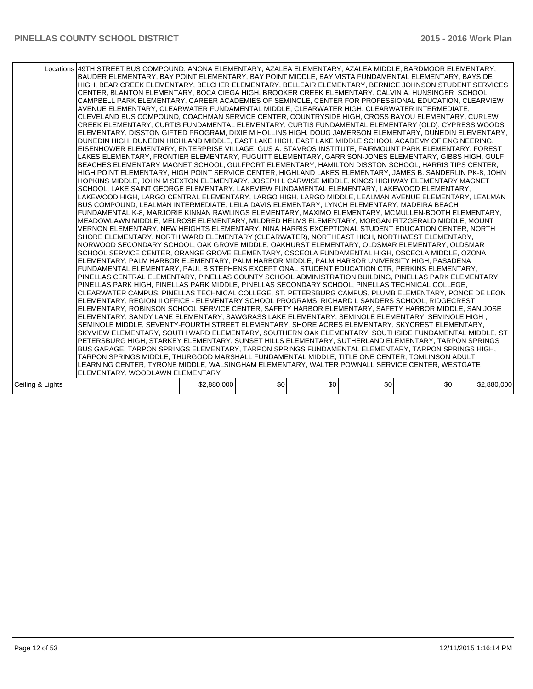|                  | Locations 49TH STREET BUS COMPOUND, ANONA ELEMENTARY, AZALEA ELEMENTARY, AZALEA MIDDLE, BARDMOOR ELEMENTARY,<br>BAUDER ELEMENTARY, BAY POINT ELEMENTARY, BAY POINT MIDDLE, BAY VISTA FUNDAMENTAL ELEMENTARY, BAYSIDE<br>HIGH, BEAR CREEK ELEMENTARY, BELCHER ELEMENTARY, BELLEAIR ELEMENTARY, BERNICE JOHNSON STUDENT SERVICES<br>CENTER, BLANTON ELEMENTARY, BOCA CIEGA HIGH, BROOKER CREEK ELEMENTARY, CALVIN A. HUNSINGER SCHOOL,<br>CAMPBELL PARK ELEMENTARY, CAREER ACADEMIES OF SEMINOLE, CENTER FOR PROFESSIONAL EDUCATION, CLEARVIEW<br>AVENUE ELEMENTARY, CLEARWATER FUNDAMENTAL MIDDLE, CLEARWATER HIGH, CLEARWATER INTERMEDIATE,<br>CLEVELAND BUS COMPOUND, COACHMAN SERVICE CENTER, COUNTRYSIDE HIGH, CROSS BAYOU ELEMENTARY, CURLEW<br>CREEK ELEMENTARY, CURTIS FUNDAMENTAL ELEMENTARY, CURTIS FUNDAMENTAL ELEMENTARY (OLD), CYPRESS WOODS<br>ELEMENTARY, DISSTON GIFTED PROGRAM, DIXIE M HOLLINS HIGH, DOUG JAMERSON ELEMENTARY, DUNEDIN ELEMENTARY,<br>DUNEDIN HIGH, DUNEDIN HIGHLAND MIDDLE, EAST LAKE HIGH, EAST LAKE MIDDLE SCHOOL ACADEMY OF ENGINEERING,<br>EISENHOWER ELEMENTARY, ENTERPRISE VILLAGE, GUS A. STAVROS INSTITUTE, FAIRMOUNT PARK ELEMENTARY, FOREST<br>LAKES ELEMENTARY, FRONTIER ELEMENTARY, FUGUITT ELEMENTARY, GARRISON-JONES ELEMENTARY, GIBBS HIGH, GULF<br>BEACHES ELEMENTARY MAGNET SCHOOL, GULFPORT ELEMENTARY, HAMILTON DISSTON SCHOOL, HARRIS TIPS CENTER,<br>HIGH POINT ELEMENTARY, HIGH POINT SERVICE CENTER, HIGHLAND LAKES ELEMENTARY, JAMES B. SANDERLIN PK-8, JOHN<br>HOPKINS MIDDLE, JOHN M SEXTON ELEMENTARY, JOSEPH L CARWISE MIDDLE, KINGS HIGHWAY ELEMENTARY MAGNET<br>SCHOOL, LAKE SAINT GEORGE ELEMENTARY, LAKEVIEW FUNDAMENTAL ELEMENTARY, LAKEWOOD ELEMENTARY,<br>LAKEWOOD HIGH, LARGO CENTRAL ELEMENTARY, LARGO HIGH, LARGO MIDDLE, LEALMAN AVENUE ELEMENTARY, LEALMAN<br>BUS COMPOUND, LEALMAN INTERMEDIATE, LEILA DAVIS ELEMENTARY, LYNCH ELEMENTARY, MADEIRA BEACH<br>FUNDAMENTAL K-8, MARJORIE KINNAN RAWLINGS ELEMENTARY, MAXIMO ELEMENTARY, MCMULLEN-BOOTH ELEMENTARY,<br>MEADOWLAWN MIDDLE, MELROSE ELEMENTARY, MILDRED HELMS ELEMENTARY, MORGAN FITZGERALD MIDDLE, MOUNT<br>VERNON ELEMENTARY, NEW HEIGHTS ELEMENTARY, NINA HARRIS EXCEPTIONAL STUDENT EDUCATION CENTER, NORTH<br>SHORE ELEMENTARY, NORTH WARD ELEMENTARY (CLEARWATER), NORTHEAST HIGH, NORTHWEST ELEMENTARY,<br>NORWOOD SECONDARY SCHOOL, OAK GROVE MIDDLE, OAKHURST ELEMENTARY, OLDSMAR ELEMENTARY, OLDSMAR<br>SCHOOL SERVICE CENTER, ORANGE GROVE ELEMENTARY, OSCEOLA FUNDAMENTAL HIGH, OSCEOLA MIDDLE, OZONA<br>ELEMENTARY, PALM HARBOR ELEMENTARY, PALM HARBOR MIDDLE, PALM HARBOR UNIVERSITY HIGH, PASADENA<br>FUNDAMENTAL ELEMENTARY, PAUL B STEPHENS EXCEPTIONAL STUDENT EDUCATION CTR, PERKINS ELEMENTARY,<br>PINELLAS CENTRAL ELEMENTARY, PINELLAS COUNTY SCHOOL ADMINISTRATION BUILDING, PINELLAS PARK ELEMENTARY,<br>PINELLAS PARK HIGH, PINELLAS PARK MIDDLE, PINELLAS SECONDARY SCHOOL, PINELLAS TECHNICAL COLLEGE,<br>CLEARWATER CAMPUS, PINELLAS TECHNICAL COLLEGE, ST. PETERSBURG CAMPUS, PLUMB ELEMENTARY, PONCE DE LEON<br>ELEMENTARY, REGION II OFFICE - ELEMENTARY SCHOOL PROGRAMS, RICHARD L SANDERS SCHOOL, RIDGECREST<br>ELEMENTARY, ROBINSON SCHOOL SERVICE CENTER, SAFETY HARBOR ELEMENTARY, SAFETY HARBOR MIDDLE, SAN JOSE<br>, ELEMENTARY, SANDY LANE ELEMENTARY, SAWGRASS LAKE ELEMENTARY, SEMINOLE ELEMENTARY, SEMINOLE HIGH<br>SEMINOLE MIDDLE, SEVENTY-FOURTH STREET ELEMENTARY, SHORE ACRES ELEMENTARY, SKYCREST ELEMENTARY,<br>SKYVIEW ELEMENTARY, SOUTH WARD ELEMENTARY, SOUTHERN OAK ELEMENTARY, SOUTHSIDE FUNDAMENTAL MIDDLE, ST<br>PETERSBURG HIGH, STARKEY ELEMENTARY, SUNSET HILLS ELEMENTARY, SUTHERLAND ELEMENTARY, TARPON SPRINGS<br>BUS GARAGE, TARPON SPRINGS ELEMENTARY, TARPON SPRINGS FUNDAMENTAL ELEMENTARY, TARPON SPRINGS HIGH,<br>TARPON SPRINGS MIDDLE, THURGOOD MARSHALL FUNDAMENTAL MIDDLE, TITLE ONE CENTER, TOMLINSON ADULT<br>LEARNING CENTER, TYRONE MIDDLE, WALSINGHAM ELEMENTARY, WALTER POWNALL SERVICE CENTER, WESTGATE<br>ELEMENTARY, WOODLAWN ELEMENTARY |             |     |     |     |     |             |
|------------------|----------------------------------------------------------------------------------------------------------------------------------------------------------------------------------------------------------------------------------------------------------------------------------------------------------------------------------------------------------------------------------------------------------------------------------------------------------------------------------------------------------------------------------------------------------------------------------------------------------------------------------------------------------------------------------------------------------------------------------------------------------------------------------------------------------------------------------------------------------------------------------------------------------------------------------------------------------------------------------------------------------------------------------------------------------------------------------------------------------------------------------------------------------------------------------------------------------------------------------------------------------------------------------------------------------------------------------------------------------------------------------------------------------------------------------------------------------------------------------------------------------------------------------------------------------------------------------------------------------------------------------------------------------------------------------------------------------------------------------------------------------------------------------------------------------------------------------------------------------------------------------------------------------------------------------------------------------------------------------------------------------------------------------------------------------------------------------------------------------------------------------------------------------------------------------------------------------------------------------------------------------------------------------------------------------------------------------------------------------------------------------------------------------------------------------------------------------------------------------------------------------------------------------------------------------------------------------------------------------------------------------------------------------------------------------------------------------------------------------------------------------------------------------------------------------------------------------------------------------------------------------------------------------------------------------------------------------------------------------------------------------------------------------------------------------------------------------------------------------------------------------------------------------------------------------------------------------------------------------------------------------------------------------------------------------------------------------------------------------------------------------------------------------------------------------------------------------------------------------------------------------------------------------------------------------------------------------------------------------------------------------------------------------------------------------------------------------------------------------------------------------------------------------------------------------------------------------------------------------------------------------------------------------------------------------------------------------------------------------------------------------------------------------------------------------------|-------------|-----|-----|-----|-----|-------------|
| Ceiling & Lights |                                                                                                                                                                                                                                                                                                                                                                                                                                                                                                                                                                                                                                                                                                                                                                                                                                                                                                                                                                                                                                                                                                                                                                                                                                                                                                                                                                                                                                                                                                                                                                                                                                                                                                                                                                                                                                                                                                                                                                                                                                                                                                                                                                                                                                                                                                                                                                                                                                                                                                                                                                                                                                                                                                                                                                                                                                                                                                                                                                                                                                                                                                                                                                                                                                                                                                                                                                                                                                                                                                                                                                                                                                                                                                                                                                                                                                                                                                                                                                                                                                                                | \$2,880,000 | \$0 | \$0 | \$0 | \$0 | \$2,880,000 |
|                  |                                                                                                                                                                                                                                                                                                                                                                                                                                                                                                                                                                                                                                                                                                                                                                                                                                                                                                                                                                                                                                                                                                                                                                                                                                                                                                                                                                                                                                                                                                                                                                                                                                                                                                                                                                                                                                                                                                                                                                                                                                                                                                                                                                                                                                                                                                                                                                                                                                                                                                                                                                                                                                                                                                                                                                                                                                                                                                                                                                                                                                                                                                                                                                                                                                                                                                                                                                                                                                                                                                                                                                                                                                                                                                                                                                                                                                                                                                                                                                                                                                                                |             |     |     |     |     |             |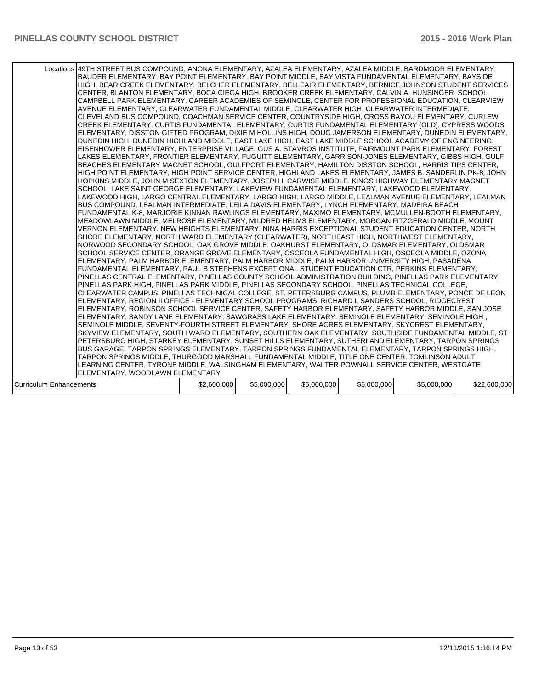|                                | Locations 49TH STREET BUS COMPOUND, ANONA ELEMENTARY, AZALEA ELEMENTARY, AZALEA MIDDLE, BARDMOOR ELEMENTARY,<br>BAUDER ELEMENTARY, BAY POINT ELEMENTARY, BAY POINT MIDDLE, BAY VISTA FUNDAMENTAL ELEMENTARY, BAYSIDE<br>HIGH. BEAR CREEK ELEMENTARY. BELCHER ELEMENTARY. BELLEAIR ELEMENTARY. BERNICE JOHNSON STUDENT SERVICES<br>CENTER, BLANTON ELEMENTARY, BOCA CIEGA HIGH, BROOKER CREEK ELEMENTARY, CALVIN A. HUNSINGER SCHOOL,<br>CAMPBELL PARK ELEMENTARY, CAREER ACADEMIES OF SEMINOLE, CENTER FOR PROFESSIONAL EDUCATION, CLEARVIEW<br>AVENUE ELEMENTARY, CLEARWATER FUNDAMENTAL MIDDLE, CLEARWATER HIGH, CLEARWATER INTERMEDIATE,<br>CLEVELAND BUS COMPOUND, COACHMAN SERVICE CENTER, COUNTRYSIDE HIGH, CROSS BAYOU ELEMENTARY, CURLEW<br>CREEK ELEMENTARY, CURTIS FUNDAMENTAL ELEMENTARY, CURTIS FUNDAMENTAL ELEMENTARY (OLD), CYPRESS WOODS<br>ELEMENTARY, DISSTON GIFTED PROGRAM, DIXIE M HOLLINS HIGH, DOUG JAMERSON ELEMENTARY, DUNEDIN ELEMENTARY,<br>DUNEDIN HIGH, DUNEDIN HIGHLAND MIDDLE, EAST LAKE HIGH, EAST LAKE MIDDLE SCHOOL ACADEMY OF ENGINEERING,<br>EISENHOWER ELEMENTARY, ENTERPRISE VILLAGE, GUS A. STAVROS INSTITUTE, FAIRMOUNT PARK ELEMENTARY, FOREST<br>LAKES ELEMENTARY, FRONTIER ELEMENTARY, FUGUITT ELEMENTARY, GARRISON-JONES ELEMENTARY, GIBBS HIGH, GULF<br>BEACHES ELEMENTARY MAGNET SCHOOL, GULFPORT ELEMENTARY, HAMILTON DISSTON SCHOOL, HARRIS TIPS CENTER,<br>HIGH POINT ELEMENTARY, HIGH POINT SERVICE CENTER, HIGHLAND LAKES ELEMENTARY, JAMES B. SANDERLIN PK-8, JOHN<br>HOPKINS MIDDLE, JOHN M SEXTON ELEMENTARY, JOSEPH L CARWISE MIDDLE, KINGS HIGHWAY ELEMENTARY MAGNET<br>SCHOOL, LAKE SAINT GEORGE ELEMENTARY, LAKEVIEW FUNDAMENTAL ELEMENTARY, LAKEWOOD ELEMENTARY,<br>LAKEWOOD HIGH, LARGO CENTRAL ELEMENTARY, LARGO HIGH, LARGO MIDDLE, LEALMAN AVENUE ELEMENTARY, LEALMAN<br>BUS COMPOUND, LEALMAN INTERMEDIATE, LEILA DAVIS ELEMENTARY, LYNCH ELEMENTARY, MADEIRA BEACH<br>FUNDAMENTAL K-8, MARJORIE KINNAN RAWLINGS ELEMENTARY, MAXIMO ELEMENTARY, MCMULLEN-BOOTH ELEMENTARY,<br>MEADOWLAWN MIDDLE, MELROSE ELEMENTARY, MILDRED HELMS ELEMENTARY, MORGAN FITZGERALD MIDDLE, MOUNT<br>VERNON ELEMENTARY, NEW HEIGHTS ELEMENTARY, NINA HARRIS EXCEPTIONAL STUDENT EDUCATION CENTER, NORTH<br>SHORE ELEMENTARY, NORTH WARD ELEMENTARY (CLEARWATER), NORTHEAST HIGH, NORTHWEST ELEMENTARY,<br>NORWOOD SECONDARY SCHOOL, OAK GROVE MIDDLE, OAKHURST ELEMENTARY, OLDSMAR ELEMENTARY, OLDSMAR<br>SCHOOL SERVICE CENTER, ORANGE GROVE ELEMENTARY, OSCEOLA FUNDAMENTAL HIGH, OSCEOLA MIDDLE, OZONA<br>ELEMENTARY, PALM HARBOR ELEMENTARY, PALM HARBOR MIDDLE, PALM HARBOR UNIVERSITY HIGH, PASADENA<br>FUNDAMENTAL ELEMENTARY, PAUL B STEPHENS EXCEPTIONAL STUDENT EDUCATION CTR, PERKINS ELEMENTARY,<br>PINELLAS CENTRAL ELEMENTARY, PINELLAS COUNTY SCHOOL ADMINISTRATION BUILDING, PINELLAS PARK ELEMENTARY,<br>PINELLAS PARK HIGH, PINELLAS PARK MIDDLE, PINELLAS SECONDARY SCHOOL, PINELLAS TECHNICAL COLLEGE,<br>CLEARWATER CAMPUS, PINELLAS TECHNICAL COLLEGE, ST. PETERSBURG CAMPUS, PLUMB ELEMENTARY, PONCE DE LEON<br>ELEMENTARY, REGION II OFFICE - ELEMENTARY SCHOOL PROGRAMS, RICHARD L SANDERS SCHOOL, RIDGECREST<br>ELEMENTARY, ROBINSON SCHOOL SERVICE CENTER, SAFETY HARBOR ELEMENTARY, SAFETY HARBOR MIDDLE, SAN JOSE<br>ELEMENTARY, SANDY LANE ELEMENTARY, SAWGRASS LAKE ELEMENTARY, SEMINOLE ELEMENTARY, SEMINOLE HIGH,<br>SEMINOLE MIDDLE, SEVENTY-FOURTH STREET ELEMENTARY, SHORE ACRES ELEMENTARY, SKYCREST ELEMENTARY,<br>SKYVIEW ELEMENTARY, SOUTH WARD ELEMENTARY, SOUTHERN OAK ELEMENTARY, SOUTHSIDE FUNDAMENTAL MIDDLE, ST<br>PETERSBURG HIGH, STARKEY ELEMENTARY, SUNSET HILLS ELEMENTARY, SUTHERLAND ELEMENTARY, TARPON SPRINGS<br>BUS GARAGE, TARPON SPRINGS ELEMENTARY, TARPON SPRINGS FUNDAMENTAL ELEMENTARY, TARPON SPRINGS HIGH,<br>TARPON SPRINGS MIDDLE, THURGOOD MARSHALL FUNDAMENTAL MIDDLE, TITLE ONE CENTER, TOMLINSON ADULT<br>LEARNING CENTER, TYRONE MIDDLE, WALSINGHAM ELEMENTARY, WALTER POWNALL SERVICE CENTER, WESTGATE<br>ELEMENTARY, WOODLAWN ELEMENTARY |             |             |             |             |             |              |
|--------------------------------|---------------------------------------------------------------------------------------------------------------------------------------------------------------------------------------------------------------------------------------------------------------------------------------------------------------------------------------------------------------------------------------------------------------------------------------------------------------------------------------------------------------------------------------------------------------------------------------------------------------------------------------------------------------------------------------------------------------------------------------------------------------------------------------------------------------------------------------------------------------------------------------------------------------------------------------------------------------------------------------------------------------------------------------------------------------------------------------------------------------------------------------------------------------------------------------------------------------------------------------------------------------------------------------------------------------------------------------------------------------------------------------------------------------------------------------------------------------------------------------------------------------------------------------------------------------------------------------------------------------------------------------------------------------------------------------------------------------------------------------------------------------------------------------------------------------------------------------------------------------------------------------------------------------------------------------------------------------------------------------------------------------------------------------------------------------------------------------------------------------------------------------------------------------------------------------------------------------------------------------------------------------------------------------------------------------------------------------------------------------------------------------------------------------------------------------------------------------------------------------------------------------------------------------------------------------------------------------------------------------------------------------------------------------------------------------------------------------------------------------------------------------------------------------------------------------------------------------------------------------------------------------------------------------------------------------------------------------------------------------------------------------------------------------------------------------------------------------------------------------------------------------------------------------------------------------------------------------------------------------------------------------------------------------------------------------------------------------------------------------------------------------------------------------------------------------------------------------------------------------------------------------------------------------------------------------------------------------------------------------------------------------------------------------------------------------------------------------------------------------------------------------------------------------------------------------------------------------------------------------------------------------------------------------------------------------------------------------------------------------------------------------------------------------------------------------|-------------|-------------|-------------|-------------|-------------|--------------|
| <b>Curriculum Enhancements</b> |                                                                                                                                                                                                                                                                                                                                                                                                                                                                                                                                                                                                                                                                                                                                                                                                                                                                                                                                                                                                                                                                                                                                                                                                                                                                                                                                                                                                                                                                                                                                                                                                                                                                                                                                                                                                                                                                                                                                                                                                                                                                                                                                                                                                                                                                                                                                                                                                                                                                                                                                                                                                                                                                                                                                                                                                                                                                                                                                                                                                                                                                                                                                                                                                                                                                                                                                                                                                                                                                                                                                                                                                                                                                                                                                                                                                                                                                                                                                                                                                                                                               | \$2,600,000 | \$5,000,000 | \$5,000,000 | \$5,000,000 | \$5,000,000 | \$22,600,000 |
|                                |                                                                                                                                                                                                                                                                                                                                                                                                                                                                                                                                                                                                                                                                                                                                                                                                                                                                                                                                                                                                                                                                                                                                                                                                                                                                                                                                                                                                                                                                                                                                                                                                                                                                                                                                                                                                                                                                                                                                                                                                                                                                                                                                                                                                                                                                                                                                                                                                                                                                                                                                                                                                                                                                                                                                                                                                                                                                                                                                                                                                                                                                                                                                                                                                                                                                                                                                                                                                                                                                                                                                                                                                                                                                                                                                                                                                                                                                                                                                                                                                                                                               |             |             |             |             |             |              |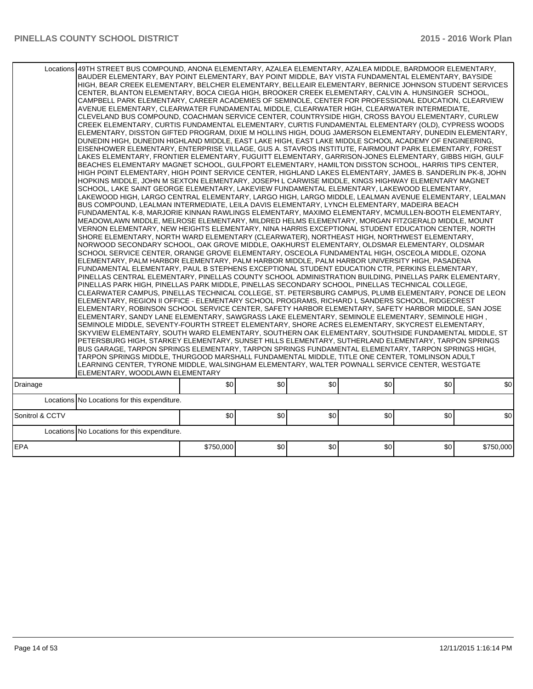| Locations       | 49TH STREET BUS COMPOUND, ANONA ELEMENTARY, AZALEA ELEMENTARY, AZALEA MIDDLE, BARDMOOR ELEMENTARY,<br>BAUDER ELEMENTARY, BAY POINT ELEMENTARY, BAY POINT MIDDLE, BAY VISTA FUNDAMENTAL ELEMENTARY, BAYSIDE<br>HIGH, BEAR CREEK ELEMENTARY, BELCHER ELEMENTARY, BELLEAIR ELEMENTARY, BERNICE JOHNSON STUDENT SERVICES<br>CENTER, BLANTON ELEMENTARY, BOCA CIEGA HIGH, BROOKER CREEK ELEMENTARY, CALVIN A. HUNSINGER SCHOOL,<br>CAMPBELL PARK ELEMENTARY, CAREER ACADEMIES OF SEMINOLE, CENTER FOR PROFESSIONAL EDUCATION, CLEARVIEW<br>AVENUE ELEMENTARY, CLEARWATER FUNDAMENTAL MIDDLE, CLEARWATER HIGH, CLEARWATER INTERMEDIATE,<br>CLEVELAND BUS COMPOUND, COACHMAN SERVICE CENTER, COUNTRYSIDE HIGH, CROSS BAYOU ELEMENTARY, CURLEW<br>CREEK ELEMENTARY, CURTIS FUNDAMENTAL ELEMENTARY, CURTIS FUNDAMENTAL ELEMENTARY (OLD), CYPRESS WOODS<br>ELEMENTARY, DISSTON GIFTED PROGRAM, DIXIE M HOLLINS HIGH, DOUG JAMERSON ELEMENTARY, DUNEDIN ELEMENTARY,<br>DUNEDIN HIGH, DUNEDIN HIGHLAND MIDDLE, EAST LAKE HIGH, EAST LAKE MIDDLE SCHOOL ACADEMY OF ENGINEERING,<br>EISENHOWER ELEMENTARY, ENTERPRISE VILLAGE, GUS A. STAVROS INSTITUTE, FAIRMOUNT PARK ELEMENTARY, FOREST<br>LAKES ELEMENTARY, FRONTIER ELEMENTARY, FUGUITT ELEMENTARY, GARRISON-JONES ELEMENTARY, GIBBS HIGH, GULF<br>BEACHES ELEMENTARY MAGNET SCHOOL, GULFPORT ELEMENTARY, HAMILTON DISSTON SCHOOL, HARRIS TIPS CENTER,<br>HIGH POINT ELEMENTARY, HIGH POINT SERVICE CENTER, HIGHLAND LAKES ELEMENTARY, JAMES B. SANDERLIN PK-8, JOHN<br>HOPKINS MIDDLE, JOHN M SEXTON ELEMENTARY, JOSEPH L CARWISE MIDDLE, KINGS HIGHWAY ELEMENTARY MAGNET<br>SCHOOL, LAKE SAINT GEORGE ELEMENTARY, LAKEVIEW FUNDAMENTAL ELEMENTARY, LAKEWOOD ELEMENTARY,<br>LAKEWOOD HIGH, LARGO CENTRAL ELEMENTARY, LARGO HIGH, LARGO MIDDLE, LEALMAN AVENUE ELEMENTARY, LEALMAN<br>BUS COMPOUND, LEALMAN INTERMEDIATE, LEILA DAVIS ELEMENTARY, LYNCH ELEMENTARY, MADEIRA BEACH<br>FUNDAMENTAL K-8, MARJORIE KINNAN RAWLINGS ELEMENTARY, MAXIMO ELEMENTARY, MCMULLEN-BOOTH ELEMENTARY,<br>MEADOWLAWN MIDDLE, MELROSE ELEMENTARY, MILDRED HELMS ELEMENTARY, MORGAN FITZGERALD MIDDLE, MOUNT<br>VERNON ELEMENTARY, NEW HEIGHTS ELEMENTARY, NINA HARRIS EXCEPTIONAL STUDENT EDUCATION CENTER, NORTH<br>SHORE ELEMENTARY, NORTH WARD ELEMENTARY (CLEARWATER), NORTHEAST HIGH, NORTHWEST ELEMENTARY,<br>NORWOOD SECONDARY SCHOOL, OAK GROVE MIDDLE, OAKHURST ELEMENTARY, OLDSMAR ELEMENTARY, OLDSMAR<br>SCHOOL SERVICE CENTER, ORANGE GROVE ELEMENTARY, OSCEOLA FUNDAMENTAL HIGH, OSCEOLA MIDDLE, OZONA<br>ELEMENTARY, PALM HARBOR ELEMENTARY, PALM HARBOR MIDDLE, PALM HARBOR UNIVERSITY HIGH, PASADENA<br>FUNDAMENTAL ELEMENTARY, PAUL B STEPHENS EXCEPTIONAL STUDENT EDUCATION CTR, PERKINS ELEMENTARY,<br>PINELLAS CENTRAL ELEMENTARY, PINELLAS COUNTY SCHOOL ADMINISTRATION BUILDING, PINELLAS PARK ELEMENTARY,<br>PINELLAS PARK HIGH, PINELLAS PARK MIDDLE, PINELLAS SECONDARY SCHOOL, PINELLAS TECHNICAL COLLEGE,<br>CLEARWATER CAMPUS, PINELLAS TECHNICAL COLLEGE, ST. PETERSBURG CAMPUS, PLUMB ELEMENTARY, PONCE DE LEON<br>ELEMENTARY, REGION II OFFICE - ELEMENTARY SCHOOL PROGRAMS, RICHARD L SANDERS SCHOOL, RIDGECREST<br>ELEMENTARY, ROBINSON SCHOOL SERVICE CENTER, SAFETY HARBOR ELEMENTARY, SAFETY HARBOR MIDDLE, SAN JOSE<br>ELEMENTARY, SANDY LANE ELEMENTARY, SAWGRASS LAKE ELEMENTARY, SEMINOLE ELEMENTARY, SEMINOLE HIGH,<br>SEMINOLE MIDDLE, SEVENTY-FOURTH STREET ELEMENTARY, SHORE ACRES ELEMENTARY, SKYCREST ELEMENTARY,<br>SKYVIEW ELEMENTARY, SOUTH WARD ELEMENTARY, SOUTHERN OAK ELEMENTARY, SOUTHSIDE FUNDAMENTAL MIDDLE, ST<br>PETERSBURG HIGH, STARKEY ELEMENTARY, SUNSET HILLS ELEMENTARY, SUTHERLAND ELEMENTARY, TARPON SPRINGS<br>BUS GARAGE, TARPON SPRINGS ELEMENTARY, TARPON SPRINGS FUNDAMENTAL ELEMENTARY, TARPON SPRINGS HIGH,<br>TARPON SPRINGS MIDDLE, THURGOOD MARSHALL FUNDAMENTAL MIDDLE, TITLE ONE CENTER, TOMLINSON ADULT<br>LEARNING CENTER, TYRONE MIDDLE, WALSINGHAM ELEMENTARY, WALTER POWNALL SERVICE CENTER, WESTGATE<br>ELEMENTARY, WOODLAWN ELEMENTARY |           |     |     |     |     |           |
|-----------------|-----------------------------------------------------------------------------------------------------------------------------------------------------------------------------------------------------------------------------------------------------------------------------------------------------------------------------------------------------------------------------------------------------------------------------------------------------------------------------------------------------------------------------------------------------------------------------------------------------------------------------------------------------------------------------------------------------------------------------------------------------------------------------------------------------------------------------------------------------------------------------------------------------------------------------------------------------------------------------------------------------------------------------------------------------------------------------------------------------------------------------------------------------------------------------------------------------------------------------------------------------------------------------------------------------------------------------------------------------------------------------------------------------------------------------------------------------------------------------------------------------------------------------------------------------------------------------------------------------------------------------------------------------------------------------------------------------------------------------------------------------------------------------------------------------------------------------------------------------------------------------------------------------------------------------------------------------------------------------------------------------------------------------------------------------------------------------------------------------------------------------------------------------------------------------------------------------------------------------------------------------------------------------------------------------------------------------------------------------------------------------------------------------------------------------------------------------------------------------------------------------------------------------------------------------------------------------------------------------------------------------------------------------------------------------------------------------------------------------------------------------------------------------------------------------------------------------------------------------------------------------------------------------------------------------------------------------------------------------------------------------------------------------------------------------------------------------------------------------------------------------------------------------------------------------------------------------------------------------------------------------------------------------------------------------------------------------------------------------------------------------------------------------------------------------------------------------------------------------------------------------------------------------------------------------------------------------------------------------------------------------------------------------------------------------------------------------------------------------------------------------------------------------------------------------------------------------------------------------------------------------------------------------------------------------------------------------------------------------------------------------------------------------------------------------|-----------|-----|-----|-----|-----|-----------|
| Drainage        |                                                                                                                                                                                                                                                                                                                                                                                                                                                                                                                                                                                                                                                                                                                                                                                                                                                                                                                                                                                                                                                                                                                                                                                                                                                                                                                                                                                                                                                                                                                                                                                                                                                                                                                                                                                                                                                                                                                                                                                                                                                                                                                                                                                                                                                                                                                                                                                                                                                                                                                                                                                                                                                                                                                                                                                                                                                                                                                                                                                                                                                                                                                                                                                                                                                                                                                                                                                                                                                                                                                                                                                                                                                                                                                                                                                                                                                                                                                                                                                                                                                     | \$0       | \$0 | \$0 | \$0 | \$0 | \$0       |
| Locations       | No Locations for this expenditure.                                                                                                                                                                                                                                                                                                                                                                                                                                                                                                                                                                                                                                                                                                                                                                                                                                                                                                                                                                                                                                                                                                                                                                                                                                                                                                                                                                                                                                                                                                                                                                                                                                                                                                                                                                                                                                                                                                                                                                                                                                                                                                                                                                                                                                                                                                                                                                                                                                                                                                                                                                                                                                                                                                                                                                                                                                                                                                                                                                                                                                                                                                                                                                                                                                                                                                                                                                                                                                                                                                                                                                                                                                                                                                                                                                                                                                                                                                                                                                                                                  |           |     |     |     |     |           |
| Sonitrol & CCTV |                                                                                                                                                                                                                                                                                                                                                                                                                                                                                                                                                                                                                                                                                                                                                                                                                                                                                                                                                                                                                                                                                                                                                                                                                                                                                                                                                                                                                                                                                                                                                                                                                                                                                                                                                                                                                                                                                                                                                                                                                                                                                                                                                                                                                                                                                                                                                                                                                                                                                                                                                                                                                                                                                                                                                                                                                                                                                                                                                                                                                                                                                                                                                                                                                                                                                                                                                                                                                                                                                                                                                                                                                                                                                                                                                                                                                                                                                                                                                                                                                                                     | \$0       | \$0 | \$0 | \$0 | \$0 | \$0       |
| Locations       | No Locations for this expenditure.                                                                                                                                                                                                                                                                                                                                                                                                                                                                                                                                                                                                                                                                                                                                                                                                                                                                                                                                                                                                                                                                                                                                                                                                                                                                                                                                                                                                                                                                                                                                                                                                                                                                                                                                                                                                                                                                                                                                                                                                                                                                                                                                                                                                                                                                                                                                                                                                                                                                                                                                                                                                                                                                                                                                                                                                                                                                                                                                                                                                                                                                                                                                                                                                                                                                                                                                                                                                                                                                                                                                                                                                                                                                                                                                                                                                                                                                                                                                                                                                                  |           |     |     |     |     |           |
| EPA             |                                                                                                                                                                                                                                                                                                                                                                                                                                                                                                                                                                                                                                                                                                                                                                                                                                                                                                                                                                                                                                                                                                                                                                                                                                                                                                                                                                                                                                                                                                                                                                                                                                                                                                                                                                                                                                                                                                                                                                                                                                                                                                                                                                                                                                                                                                                                                                                                                                                                                                                                                                                                                                                                                                                                                                                                                                                                                                                                                                                                                                                                                                                                                                                                                                                                                                                                                                                                                                                                                                                                                                                                                                                                                                                                                                                                                                                                                                                                                                                                                                                     | \$750,000 | \$0 | \$0 | \$0 | \$0 | \$750,000 |
|                 |                                                                                                                                                                                                                                                                                                                                                                                                                                                                                                                                                                                                                                                                                                                                                                                                                                                                                                                                                                                                                                                                                                                                                                                                                                                                                                                                                                                                                                                                                                                                                                                                                                                                                                                                                                                                                                                                                                                                                                                                                                                                                                                                                                                                                                                                                                                                                                                                                                                                                                                                                                                                                                                                                                                                                                                                                                                                                                                                                                                                                                                                                                                                                                                                                                                                                                                                                                                                                                                                                                                                                                                                                                                                                                                                                                                                                                                                                                                                                                                                                                                     |           |     |     |     |     |           |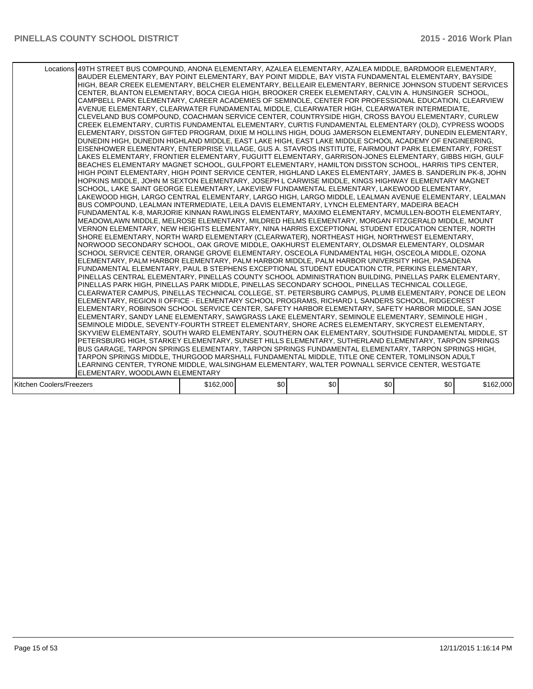|                          | Locations 49TH STREET BUS COMPOUND, ANONA ELEMENTARY, AZALEA ELEMENTARY, AZALEA MIDDLE, BARDMOOR ELEMENTARY,<br>BAUDER ELEMENTARY, BAY POINT ELEMENTARY, BAY POINT MIDDLE, BAY VISTA FUNDAMENTAL ELEMENTARY, BAYSIDE<br>HIGH, BEAR CREEK ELEMENTARY, BELCHER ELEMENTARY, BELLEAIR ELEMENTARY, BERNICE JOHNSON STUDENT SERVICES<br>CENTER, BLANTON ELEMENTARY, BOCA CIEGA HIGH, BROOKER CREEK ELEMENTARY, CALVIN A. HUNSINGER SCHOOL,<br>CAMPBELL PARK ELEMENTARY, CAREER ACADEMIES OF SEMINOLE, CENTER FOR PROFESSIONAL EDUCATION, CLEARVIEW<br>AVENUE ELEMENTARY, CLEARWATER FUNDAMENTAL MIDDLE, CLEARWATER HIGH, CLEARWATER INTERMEDIATE,<br>CLEVELAND BUS COMPOUND, COACHMAN SERVICE CENTER, COUNTRYSIDE HIGH, CROSS BAYOU ELEMENTARY, CURLEW<br>CREEK ELEMENTARY, CURTIS FUNDAMENTAL ELEMENTARY, CURTIS FUNDAMENTAL ELEMENTARY (OLD), CYPRESS WOODS<br>ELEMENTARY, DISSTON GIFTED PROGRAM, DIXIE M HOLLINS HIGH, DOUG JAMERSON ELEMENTARY, DUNEDIN ELEMENTARY,<br>DUNEDIN HIGH, DUNEDIN HIGHLAND MIDDLE, EAST LAKE HIGH, EAST LAKE MIDDLE SCHOOL ACADEMY OF ENGINEERING,<br>EISENHOWER ELEMENTARY, ENTERPRISE VILLAGE, GUS A. STAVROS INSTITUTE, FAIRMOUNT PARK ELEMENTARY, FOREST<br>LAKES ELEMENTARY. FRONTIER ELEMENTARY. FUGUITT ELEMENTARY. GARRISON-JONES ELEMENTARY. GIBBS HIGH. GULF<br>BEACHES ELEMENTARY MAGNET SCHOOL, GULFPORT ELEMENTARY, HAMILTON DISSTON SCHOOL, HARRIS TIPS CENTER,<br>HIGH POINT ELEMENTARY, HIGH POINT SERVICE CENTER, HIGHLAND LAKES ELEMENTARY, JAMES B. SANDERLIN PK-8, JOHN<br>HOPKINS MIDDLE, JOHN M SEXTON ELEMENTARY, JOSEPH L CARWISE MIDDLE, KINGS HIGHWAY ELEMENTARY MAGNET<br>SCHOOL, LAKE SAINT GEORGE ELEMENTARY, LAKEVIEW FUNDAMENTAL ELEMENTARY, LAKEWOOD ELEMENTARY,<br>LAKEWOOD HIGH, LARGO CENTRAL ELEMENTARY, LARGO HIGH, LARGO MIDDLE, LEALMAN AVENUE ELEMENTARY, LEALMAN<br>BUS COMPOUND, LEALMAN INTERMEDIATE, LEILA DAVIS ELEMENTARY, LYNCH ELEMENTARY, MADEIRA BEACH<br>FUNDAMENTAL K-8, MARJORIE KINNAN RAWLINGS ELEMENTARY, MAXIMO ELEMENTARY, MCMULLEN-BOOTH ELEMENTARY,<br>MEADOWLAWN MIDDLE, MELROSE ELEMENTARY, MILDRED HELMS ELEMENTARY, MORGAN FITZGERALD MIDDLE, MOUNT<br>VERNON ELEMENTARY. NEW HEIGHTS ELEMENTARY. NINA HARRIS EXCEPTIONAL STUDENT EDUCATION CENTER. NORTH<br>SHORE ELEMENTARY, NORTH WARD ELEMENTARY (CLEARWATER), NORTHEAST HIGH, NORTHWEST ELEMENTARY,<br>NORWOOD SECONDARY SCHOOL, OAK GROVE MIDDLE, OAKHURST ELEMENTARY, OLDSMAR ELEMENTARY, OLDSMAR<br>SCHOOL SERVICE CENTER, ORANGE GROVE ELEMENTARY, OSCEOLA FUNDAMENTAL HIGH, OSCEOLA MIDDLE, OZONA<br>ELEMENTARY, PALM HARBOR ELEMENTARY, PALM HARBOR MIDDLE, PALM HARBOR UNIVERSITY HIGH, PASADENA<br>FUNDAMENTAL ELEMENTARY, PAUL B STEPHENS EXCEPTIONAL STUDENT EDUCATION CTR, PERKINS ELEMENTARY,<br>PINELLAS CENTRAL ELEMENTARY, PINELLAS COUNTY SCHOOL ADMINISTRATION BUILDING, PINELLAS PARK ELEMENTARY,<br>PINELLAS PARK HIGH, PINELLAS PARK MIDDLE, PINELLAS SECONDARY SCHOOL, PINELLAS TECHNICAL COLLEGE,<br>CLEARWATER CAMPUS, PINELLAS TECHNICAL COLLEGE, ST. PETERSBURG CAMPUS, PLUMB ELEMENTARY, PONCE DE LEON<br>ELEMENTARY, REGION II OFFICE - ELEMENTARY SCHOOL PROGRAMS, RICHARD L SANDERS SCHOOL, RIDGECREST<br>ELEMENTARY, ROBINSON SCHOOL SERVICE CENTER, SAFETY HARBOR ELEMENTARY, SAFETY HARBOR MIDDLE, SAN JOSE<br>, ELEMENTARY, SANDY LANE ELEMENTARY, SAWGRASS LAKE ELEMENTARY, SEMINOLE ELEMENTARY, SEMINOLE HIGH<br>SEMINOLE MIDDLE, SEVENTY-FOURTH STREET ELEMENTARY, SHORE ACRES ELEMENTARY, SKYCREST ELEMENTARY,<br>SKYVIEW ELEMENTARY, SOUTH WARD ELEMENTARY, SOUTHERN OAK ELEMENTARY, SOUTHSIDE FUNDAMENTAL MIDDLE, ST<br>PETERSBURG HIGH, STARKEY ELEMENTARY, SUNSET HILLS ELEMENTARY, SUTHERLAND ELEMENTARY, TARPON SPRINGS<br>BUS GARAGE, TARPON SPRINGS ELEMENTARY, TARPON SPRINGS FUNDAMENTAL ELEMENTARY, TARPON SPRINGS HIGH,<br>TARPON SPRINGS MIDDLE, THURGOOD MARSHALL FUNDAMENTAL MIDDLE, TITLE ONE CENTER, TOMLINSON ADULT<br>LEARNING CENTER, TYRONE MIDDLE, WALSINGHAM ELEMENTARY, WALTER POWNALL SERVICE CENTER, WESTGATE<br>ELEMENTARY, WOODLAWN ELEMENTARY |           |     |     |     |                  |           |
|--------------------------|----------------------------------------------------------------------------------------------------------------------------------------------------------------------------------------------------------------------------------------------------------------------------------------------------------------------------------------------------------------------------------------------------------------------------------------------------------------------------------------------------------------------------------------------------------------------------------------------------------------------------------------------------------------------------------------------------------------------------------------------------------------------------------------------------------------------------------------------------------------------------------------------------------------------------------------------------------------------------------------------------------------------------------------------------------------------------------------------------------------------------------------------------------------------------------------------------------------------------------------------------------------------------------------------------------------------------------------------------------------------------------------------------------------------------------------------------------------------------------------------------------------------------------------------------------------------------------------------------------------------------------------------------------------------------------------------------------------------------------------------------------------------------------------------------------------------------------------------------------------------------------------------------------------------------------------------------------------------------------------------------------------------------------------------------------------------------------------------------------------------------------------------------------------------------------------------------------------------------------------------------------------------------------------------------------------------------------------------------------------------------------------------------------------------------------------------------------------------------------------------------------------------------------------------------------------------------------------------------------------------------------------------------------------------------------------------------------------------------------------------------------------------------------------------------------------------------------------------------------------------------------------------------------------------------------------------------------------------------------------------------------------------------------------------------------------------------------------------------------------------------------------------------------------------------------------------------------------------------------------------------------------------------------------------------------------------------------------------------------------------------------------------------------------------------------------------------------------------------------------------------------------------------------------------------------------------------------------------------------------------------------------------------------------------------------------------------------------------------------------------------------------------------------------------------------------------------------------------------------------------------------------------------------------------------------------------------------------------------------------------------------------------------------------------------------------|-----------|-----|-----|-----|------------------|-----------|
| Kitchen Coolers/Freezers |                                                                                                                                                                                                                                                                                                                                                                                                                                                                                                                                                                                                                                                                                                                                                                                                                                                                                                                                                                                                                                                                                                                                                                                                                                                                                                                                                                                                                                                                                                                                                                                                                                                                                                                                                                                                                                                                                                                                                                                                                                                                                                                                                                                                                                                                                                                                                                                                                                                                                                                                                                                                                                                                                                                                                                                                                                                                                                                                                                                                                                                                                                                                                                                                                                                                                                                                                                                                                                                                                                                                                                                                                                                                                                                                                                                                                                                                                                                                                                                                                                                                | \$162,000 | \$0 | \$0 | \$0 | \$0 <sub>1</sub> | \$162,000 |
|                          |                                                                                                                                                                                                                                                                                                                                                                                                                                                                                                                                                                                                                                                                                                                                                                                                                                                                                                                                                                                                                                                                                                                                                                                                                                                                                                                                                                                                                                                                                                                                                                                                                                                                                                                                                                                                                                                                                                                                                                                                                                                                                                                                                                                                                                                                                                                                                                                                                                                                                                                                                                                                                                                                                                                                                                                                                                                                                                                                                                                                                                                                                                                                                                                                                                                                                                                                                                                                                                                                                                                                                                                                                                                                                                                                                                                                                                                                                                                                                                                                                                                                |           |     |     |     |                  |           |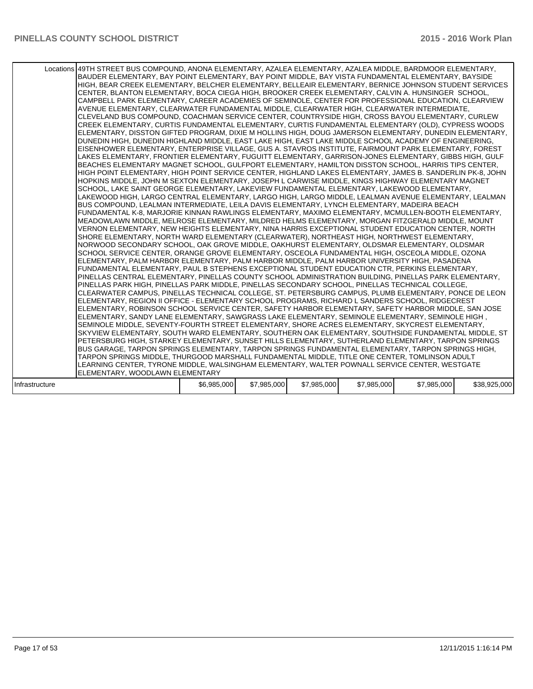|                | Locations 49TH STREET BUS COMPOUND, ANONA ELEMENTARY, AZALEA ELEMENTARY, AZALEA MIDDLE, BARDMOOR ELEMENTARY,<br>BAUDER ELEMENTARY, BAY POINT ELEMENTARY, BAY POINT MIDDLE, BAY VISTA FUNDAMENTAL ELEMENTARY, BAYSIDE<br>HIGH. BEAR CREEK ELEMENTARY. BELCHER ELEMENTARY. BELLEAIR ELEMENTARY. BERNICE JOHNSON STUDENT SERVICES<br>CENTER, BLANTON ELEMENTARY, BOCA CIEGA HIGH, BROOKER CREEK ELEMENTARY, CALVIN A. HUNSINGER SCHOOL,<br>CAMPBELL PARK ELEMENTARY, CAREER ACADEMIES OF SEMINOLE, CENTER FOR PROFESSIONAL EDUCATION, CLEARVIEW<br>AVENUE ELEMENTARY, CLEARWATER FUNDAMENTAL MIDDLE, CLEARWATER HIGH, CLEARWATER INTERMEDIATE,<br>CLEVELAND BUS COMPOUND, COACHMAN SERVICE CENTER, COUNTRYSIDE HIGH, CROSS BAYOU ELEMENTARY, CURLEW<br>CREEK ELEMENTARY, CURTIS FUNDAMENTAL ELEMENTARY, CURTIS FUNDAMENTAL ELEMENTARY (OLD), CYPRESS WOODS<br>ELEMENTARY, DISSTON GIFTED PROGRAM, DIXIE M HOLLINS HIGH, DOUG JAMERSON ELEMENTARY, DUNEDIN ELEMENTARY,<br>DUNEDIN HIGH, DUNEDIN HIGHLAND MIDDLE, EAST LAKE HIGH, EAST LAKE MIDDLE SCHOOL ACADEMY OF ENGINEERING,<br>EISENHOWER ELEMENTARY, ENTERPRISE VILLAGE, GUS A. STAVROS INSTITUTE, FAIRMOUNT PARK ELEMENTARY, FOREST<br>LAKES ELEMENTARY, FRONTIER ELEMENTARY, FUGUITT ELEMENTARY, GARRISON-JONES ELEMENTARY, GIBBS HIGH, GULF<br>BEACHES ELEMENTARY MAGNET SCHOOL, GULFPORT ELEMENTARY, HAMILTON DISSTON SCHOOL, HARRIS TIPS CENTER,<br>HIGH POINT ELEMENTARY, HIGH POINT SERVICE CENTER, HIGHLAND LAKES ELEMENTARY, JAMES B. SANDERLIN PK-8, JOHN<br>HOPKINS MIDDLE, JOHN M SEXTON ELEMENTARY, JOSEPH L CARWISE MIDDLE, KINGS HIGHWAY ELEMENTARY MAGNET<br>SCHOOL, LAKE SAINT GEORGE ELEMENTARY, LAKEVIEW FUNDAMENTAL ELEMENTARY, LAKEWOOD ELEMENTARY,<br>ILAKEWOOD HIGH, LARGO CENTRAL ELEMENTARY, LARGO HIGH, LARGO MIDDLE, LEALMAN AVENUE ELEMENTARY, LEALMAN<br>BUS COMPOUND, LEALMAN INTERMEDIATE, LEILA DAVIS ELEMENTARY, LYNCH ELEMENTARY, MADEIRA BEACH<br>FUNDAMENTAL K-8, MARJORIE KINNAN RAWLINGS ELEMENTARY, MAXIMO ELEMENTARY, MCMULLEN-BOOTH ELEMENTARY,<br>MEADOWLAWN MIDDLE, MELROSE ELEMENTARY, MILDRED HELMS ELEMENTARY, MORGAN FITZGERALD MIDDLE, MOUNT<br>VERNON ELEMENTARY, NEW HEIGHTS ELEMENTARY, NINA HARRIS EXCEPTIONAL STUDENT EDUCATION CENTER, NORTH<br>SHORE ELEMENTARY, NORTH WARD ELEMENTARY (CLEARWATER), NORTHEAST HIGH, NORTHWEST ELEMENTARY,<br>NORWOOD SECONDARY SCHOOL. OAK GROVE MIDDLE. OAKHURST ELEMENTARY. OLDSMAR ELEMENTARY. OLDSMAR<br>SCHOOL SERVICE CENTER, ORANGE GROVE ELEMENTARY, OSCEOLA FUNDAMENTAL HIGH, OSCEOLA MIDDLE, OZONA<br>ELEMENTARY, PALM HARBOR ELEMENTARY, PALM HARBOR MIDDLE, PALM HARBOR UNIVERSITY HIGH, PASADENA<br>FUNDAMENTAL ELEMENTARY, PAUL B STEPHENS EXCEPTIONAL STUDENT EDUCATION CTR, PERKINS ELEMENTARY,<br>PINELLAS CENTRAL ELEMENTARY, PINELLAS COUNTY SCHOOL ADMINISTRATION BUILDING, PINELLAS PARK ELEMENTARY,<br>PINELLAS PARK HIGH, PINELLAS PARK MIDDLE, PINELLAS SECONDARY SCHOOL, PINELLAS TECHNICAL COLLEGE,<br>CLEARWATER CAMPUS, PINELLAS TECHNICAL COLLEGE, ST. PETERSBURG CAMPUS, PLUMB ELEMENTARY, PONCE DE LEON<br>ELEMENTARY, REGION II OFFICE - ELEMENTARY SCHOOL PROGRAMS, RICHARD L SANDERS SCHOOL, RIDGECREST<br>ELEMENTARY, ROBINSON SCHOOL SERVICE CENTER, SAFETY HARBOR ELEMENTARY, SAFETY HARBOR MIDDLE, SAN JOSE<br>, ELEMENTARY, SANDY LANE ELEMENTARY, SAWGRASS LAKE ELEMENTARY, SEMINOLE ELEMENTARY, SEMINOLE HIGH<br>SEMINOLE MIDDLE, SEVENTY-FOURTH STREET ELEMENTARY, SHORE ACRES ELEMENTARY, SKYCREST ELEMENTARY,<br>SKYVIEW ELEMENTARY, SOUTH WARD ELEMENTARY, SOUTHERN OAK ELEMENTARY, SOUTHSIDE FUNDAMENTAL MIDDLE, ST<br>PETERSBURG HIGH, STARKEY ELEMENTARY, SUNSET HILLS ELEMENTARY, SUTHERLAND ELEMENTARY, TARPON SPRINGS<br>BUS GARAGE, TARPON SPRINGS ELEMENTARY, TARPON SPRINGS FUNDAMENTAL ELEMENTARY, TARPON SPRINGS HIGH,<br>TARPON SPRINGS MIDDLE, THURGOOD MARSHALL FUNDAMENTAL MIDDLE, TITLE ONE CENTER, TOMLINSON ADULT<br>LEARNING CENTER, TYRONE MIDDLE, WALSINGHAM ELEMENTARY, WALTER POWNALL SERVICE CENTER, WESTGATE<br>ELEMENTARY, WOODLAWN ELEMENTARY |             |             |             |             |             |              |
|----------------|-----------------------------------------------------------------------------------------------------------------------------------------------------------------------------------------------------------------------------------------------------------------------------------------------------------------------------------------------------------------------------------------------------------------------------------------------------------------------------------------------------------------------------------------------------------------------------------------------------------------------------------------------------------------------------------------------------------------------------------------------------------------------------------------------------------------------------------------------------------------------------------------------------------------------------------------------------------------------------------------------------------------------------------------------------------------------------------------------------------------------------------------------------------------------------------------------------------------------------------------------------------------------------------------------------------------------------------------------------------------------------------------------------------------------------------------------------------------------------------------------------------------------------------------------------------------------------------------------------------------------------------------------------------------------------------------------------------------------------------------------------------------------------------------------------------------------------------------------------------------------------------------------------------------------------------------------------------------------------------------------------------------------------------------------------------------------------------------------------------------------------------------------------------------------------------------------------------------------------------------------------------------------------------------------------------------------------------------------------------------------------------------------------------------------------------------------------------------------------------------------------------------------------------------------------------------------------------------------------------------------------------------------------------------------------------------------------------------------------------------------------------------------------------------------------------------------------------------------------------------------------------------------------------------------------------------------------------------------------------------------------------------------------------------------------------------------------------------------------------------------------------------------------------------------------------------------------------------------------------------------------------------------------------------------------------------------------------------------------------------------------------------------------------------------------------------------------------------------------------------------------------------------------------------------------------------------------------------------------------------------------------------------------------------------------------------------------------------------------------------------------------------------------------------------------------------------------------------------------------------------------------------------------------------------------------------------------------------------------------------------------------------------------------------------------------------|-------------|-------------|-------------|-------------|-------------|--------------|
| Infrastructure |                                                                                                                                                                                                                                                                                                                                                                                                                                                                                                                                                                                                                                                                                                                                                                                                                                                                                                                                                                                                                                                                                                                                                                                                                                                                                                                                                                                                                                                                                                                                                                                                                                                                                                                                                                                                                                                                                                                                                                                                                                                                                                                                                                                                                                                                                                                                                                                                                                                                                                                                                                                                                                                                                                                                                                                                                                                                                                                                                                                                                                                                                                                                                                                                                                                                                                                                                                                                                                                                                                                                                                                                                                                                                                                                                                                                                                                                                                                                                                                                                                                                 | \$6,985,000 | \$7,985,000 | \$7,985,000 | \$7,985,000 | \$7,985,000 | \$38,925,000 |
|                |                                                                                                                                                                                                                                                                                                                                                                                                                                                                                                                                                                                                                                                                                                                                                                                                                                                                                                                                                                                                                                                                                                                                                                                                                                                                                                                                                                                                                                                                                                                                                                                                                                                                                                                                                                                                                                                                                                                                                                                                                                                                                                                                                                                                                                                                                                                                                                                                                                                                                                                                                                                                                                                                                                                                                                                                                                                                                                                                                                                                                                                                                                                                                                                                                                                                                                                                                                                                                                                                                                                                                                                                                                                                                                                                                                                                                                                                                                                                                                                                                                                                 |             |             |             |             |             |              |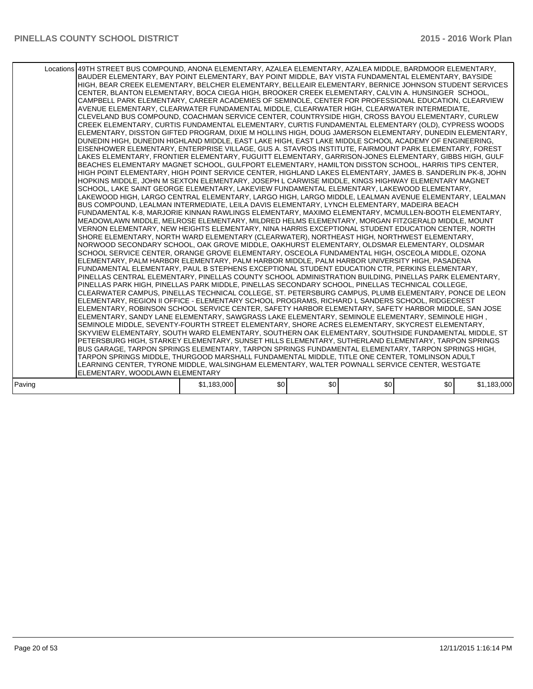|        | Locations 49TH STREET BUS COMPOUND, ANONA ELEMENTARY, AZALEA ELEMENTARY, AZALEA MIDDLE, BARDMOOR ELEMENTARY,<br>BAUDER ELEMENTARY, BAY POINT ELEMENTARY, BAY POINT MIDDLE, BAY VISTA FUNDAMENTAL ELEMENTARY, BAYSIDE<br>HIGH, BEAR CREEK ELEMENTARY, BELCHER ELEMENTARY, BELLEAIR ELEMENTARY, BERNICE JOHNSON STUDENT SERVICES<br>CENTER, BLANTON ELEMENTARY, BOCA CIEGA HIGH, BROOKER CREEK ELEMENTARY, CALVIN A. HUNSINGER SCHOOL,<br>CAMPBELL PARK ELEMENTARY, CAREER ACADEMIES OF SEMINOLE, CENTER FOR PROFESSIONAL EDUCATION, CLEARVIEW<br>AVENUE ELEMENTARY, CLEARWATER FUNDAMENTAL MIDDLE, CLEARWATER HIGH, CLEARWATER INTERMEDIATE,<br>CLEVELAND BUS COMPOUND, COACHMAN SERVICE CENTER, COUNTRYSIDE HIGH, CROSS BAYOU ELEMENTARY, CURLEW<br>CREEK ELEMENTARY, CURTIS FUNDAMENTAL ELEMENTARY, CURTIS FUNDAMENTAL ELEMENTARY (OLD), CYPRESS WOODS<br>ELEMENTARY, DISSTON GIFTED PROGRAM, DIXIE M HOLLINS HIGH, DOUG JAMERSON ELEMENTARY, DUNEDIN ELEMENTARY,<br>DUNEDIN HIGH, DUNEDIN HIGHLAND MIDDLE, EAST LAKE HIGH, EAST LAKE MIDDLE SCHOOL ACADEMY OF ENGINEERING,<br>EISENHOWER ELEMENTARY, ENTERPRISE VILLAGE, GUS A. STAVROS INSTITUTE, FAIRMOUNT PARK ELEMENTARY, FOREST<br>LAKES ELEMENTARY, FRONTIER ELEMENTARY, FUGUITT ELEMENTARY, GARRISON-JONES ELEMENTARY, GIBBS HIGH, GULF<br>BEACHES ELEMENTARY MAGNET SCHOOL, GULFPORT ELEMENTARY, HAMILTON DISSTON SCHOOL, HARRIS TIPS CENTER,<br>HIGH POINT ELEMENTARY, HIGH POINT SERVICE CENTER, HIGHLAND LAKES ELEMENTARY, JAMES B. SANDERLIN PK-8, JOHN<br>HOPKINS MIDDLE, JOHN M SEXTON ELEMENTARY, JOSEPH L CARWISE MIDDLE, KINGS HIGHWAY ELEMENTARY MAGNET<br>SCHOOL, LAKE SAINT GEORGE ELEMENTARY, LAKEVIEW FUNDAMENTAL ELEMENTARY, LAKEWOOD ELEMENTARY,<br>LAKEWOOD HIGH, LARGO CENTRAL ELEMENTARY, LARGO HIGH, LARGO MIDDLE, LEALMAN AVENUE ELEMENTARY, LEALMAN<br>BUS COMPOUND, LEALMAN INTERMEDIATE, LEILA DAVIS ELEMENTARY, LYNCH ELEMENTARY, MADEIRA BEACH<br>FUNDAMENTAL K-8, MARJORIE KINNAN RAWLINGS ELEMENTARY, MAXIMO ELEMENTARY, MCMULLEN-BOOTH ELEMENTARY,<br>MEADOWLAWN MIDDLE, MELROSE ELEMENTARY, MILDRED HELMS ELEMENTARY, MORGAN FITZGERALD MIDDLE, MOUNT<br>VERNON ELEMENTARY, NEW HEIGHTS ELEMENTARY, NINA HARRIS EXCEPTIONAL STUDENT EDUCATION CENTER, NORTH<br>SHORE ELEMENTARY, NORTH WARD ELEMENTARY (CLEARWATER), NORTHEAST HIGH, NORTHWEST ELEMENTARY,<br>NORWOOD SECONDARY SCHOOL, OAK GROVE MIDDLE, OAKHURST ELEMENTARY, OLDSMAR ELEMENTARY, OLDSMAR<br>SCHOOL SERVICE CENTER, ORANGE GROVE ELEMENTARY, OSCEOLA FUNDAMENTAL HIGH, OSCEOLA MIDDLE, OZONA<br>ELEMENTARY, PALM HARBOR ELEMENTARY, PALM HARBOR MIDDLE, PALM HARBOR UNIVERSITY HIGH, PASADENA<br>FUNDAMENTAL ELEMENTARY, PAUL B STEPHENS EXCEPTIONAL STUDENT EDUCATION CTR, PERKINS ELEMENTARY,<br>PINELLAS CENTRAL ELEMENTARY, PINELLAS COUNTY SCHOOL ADMINISTRATION BUILDING, PINELLAS PARK ELEMENTARY,<br>PINELLAS PARK HIGH, PINELLAS PARK MIDDLE, PINELLAS SECONDARY SCHOOL, PINELLAS TECHNICAL COLLEGE,<br>CLEARWATER CAMPUS, PINELLAS TECHNICAL COLLEGE, ST. PETERSBURG CAMPUS, PLUMB ELEMENTARY, PONCE DE LEON<br>ELEMENTARY, REGION II OFFICE - ELEMENTARY SCHOOL PROGRAMS, RICHARD L SANDERS SCHOOL, RIDGECREST<br>ELEMENTARY, ROBINSON SCHOOL SERVICE CENTER, SAFETY HARBOR ELEMENTARY, SAFETY HARBOR MIDDLE, SAN JOSE<br>ELEMENTARY, SANDY LANE ELEMENTARY, SAWGRASS LAKE ELEMENTARY, SEMINOLE ELEMENTARY, SEMINOLE HIGH,<br>SEMINOLE MIDDLE, SEVENTY-FOURTH STREET ELEMENTARY, SHORE ACRES ELEMENTARY, SKYCREST ELEMENTARY,<br>SKYVIEW ELEMENTARY, SOUTH WARD ELEMENTARY, SOUTHERN OAK ELEMENTARY, SOUTHSIDE FUNDAMENTAL MIDDLE, ST<br>PETERSBURG HIGH, STARKEY ELEMENTARY, SUNSET HILLS ELEMENTARY, SUTHERLAND ELEMENTARY, TARPON SPRINGS<br>BUS GARAGE, TARPON SPRINGS ELEMENTARY, TARPON SPRINGS FUNDAMENTAL ELEMENTARY, TARPON SPRINGS HIGH,<br>TARPON SPRINGS MIDDLE, THURGOOD MARSHALL FUNDAMENTAL MIDDLE, TITLE ONE CENTER, TOMLINSON ADULT<br>LEARNING CENTER, TYRONE MIDDLE, WALSINGHAM ELEMENTARY, WALTER POWNALL SERVICE CENTER, WESTGATE<br>ELEMENTARY, WOODLAWN ELEMENTARY |             |     |     |     |     |             |
|--------|---------------------------------------------------------------------------------------------------------------------------------------------------------------------------------------------------------------------------------------------------------------------------------------------------------------------------------------------------------------------------------------------------------------------------------------------------------------------------------------------------------------------------------------------------------------------------------------------------------------------------------------------------------------------------------------------------------------------------------------------------------------------------------------------------------------------------------------------------------------------------------------------------------------------------------------------------------------------------------------------------------------------------------------------------------------------------------------------------------------------------------------------------------------------------------------------------------------------------------------------------------------------------------------------------------------------------------------------------------------------------------------------------------------------------------------------------------------------------------------------------------------------------------------------------------------------------------------------------------------------------------------------------------------------------------------------------------------------------------------------------------------------------------------------------------------------------------------------------------------------------------------------------------------------------------------------------------------------------------------------------------------------------------------------------------------------------------------------------------------------------------------------------------------------------------------------------------------------------------------------------------------------------------------------------------------------------------------------------------------------------------------------------------------------------------------------------------------------------------------------------------------------------------------------------------------------------------------------------------------------------------------------------------------------------------------------------------------------------------------------------------------------------------------------------------------------------------------------------------------------------------------------------------------------------------------------------------------------------------------------------------------------------------------------------------------------------------------------------------------------------------------------------------------------------------------------------------------------------------------------------------------------------------------------------------------------------------------------------------------------------------------------------------------------------------------------------------------------------------------------------------------------------------------------------------------------------------------------------------------------------------------------------------------------------------------------------------------------------------------------------------------------------------------------------------------------------------------------------------------------------------------------------------------------------------------------------------------------------------------------------------------------------------------------------------------|-------------|-----|-----|-----|-----|-------------|
| Paving |                                                                                                                                                                                                                                                                                                                                                                                                                                                                                                                                                                                                                                                                                                                                                                                                                                                                                                                                                                                                                                                                                                                                                                                                                                                                                                                                                                                                                                                                                                                                                                                                                                                                                                                                                                                                                                                                                                                                                                                                                                                                                                                                                                                                                                                                                                                                                                                                                                                                                                                                                                                                                                                                                                                                                                                                                                                                                                                                                                                                                                                                                                                                                                                                                                                                                                                                                                                                                                                                                                                                                                                                                                                                                                                                                                                                                                                                                                                                                                                                                                                               | \$1,183,000 | \$0 | \$0 | \$0 | \$0 | \$1,183,000 |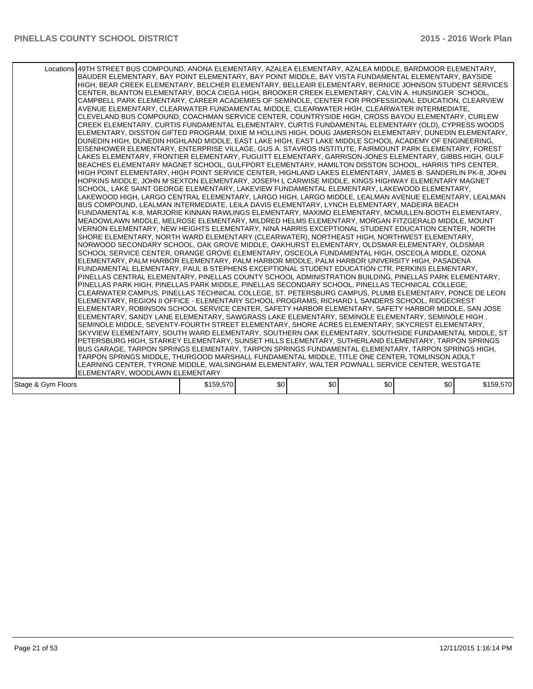|                    | Locations 49TH STREET BUS COMPOUND, ANONA ELEMENTARY, AZALEA ELEMENTARY, AZALEA MIDDLE, BARDMOOR ELEMENTARY,<br>BAUDER ELEMENTARY, BAY POINT ELEMENTARY, BAY POINT MIDDLE, BAY VISTA FUNDAMENTAL ELEMENTARY, BAYSIDE<br>HIGH, BEAR CREEK ELEMENTARY, BELCHER ELEMENTARY, BELLEAIR ELEMENTARY, BERNICE JOHNSON STUDENT SERVICES<br>CENTER, BLANTON ELEMENTARY, BOCA CIEGA HIGH, BROOKER CREEK ELEMENTARY, CALVIN A. HUNSINGER SCHOOL,<br>CAMPBELL PARK ELEMENTARY, CAREER ACADEMIES OF SEMINOLE, CENTER FOR PROFESSIONAL EDUCATION, CLEARVIEW<br>AVENUE ELEMENTARY, CLEARWATER FUNDAMENTAL MIDDLE, CLEARWATER HIGH, CLEARWATER INTERMEDIATE,<br>CLEVELAND BUS COMPOUND, COACHMAN SERVICE CENTER, COUNTRYSIDE HIGH, CROSS BAYOU ELEMENTARY, CURLEW<br>CREEK ELEMENTARY, CURTIS FUNDAMENTAL ELEMENTARY, CURTIS FUNDAMENTAL ELEMENTARY (OLD), CYPRESS WOODS<br>ELEMENTARY, DISSTON GIFTED PROGRAM, DIXIE M HOLLINS HIGH, DOUG JAMERSON ELEMENTARY, DUNEDIN ELEMENTARY,<br>DUNEDIN HIGH, DUNEDIN HIGHLAND MIDDLE, EAST LAKE HIGH, EAST LAKE MIDDLE SCHOOL ACADEMY OF ENGINEERING,<br>EISENHOWER ELEMENTARY, ENTERPRISE VILLAGE, GUS A. STAVROS INSTITUTE, FAIRMOUNT PARK ELEMENTARY, FOREST<br>LAKES ELEMENTARY, FRONTIER ELEMENTARY, FUGUITT ELEMENTARY, GARRISON-JONES ELEMENTARY, GIBBS HIGH, GULF<br>BEACHES ELEMENTARY MAGNET SCHOOL, GULFPORT ELEMENTARY, HAMILTON DISSTON SCHOOL, HARRIS TIPS CENTER,<br>HIGH POINT ELEMENTARY, HIGH POINT SERVICE CENTER, HIGHLAND LAKES ELEMENTARY, JAMES B. SANDERLIN PK-8, JOHN<br>HOPKINS MIDDLE, JOHN M SEXTON ELEMENTARY, JOSEPH L CARWISE MIDDLE, KINGS HIGHWAY ELEMENTARY MAGNET<br>SCHOOL, LAKE SAINT GEORGE ELEMENTARY, LAKEVIEW FUNDAMENTAL ELEMENTARY, LAKEWOOD ELEMENTARY,<br>LAKEWOOD HIGH, LARGO CENTRAL ELEMENTARY, LARGO HIGH, LARGO MIDDLE, LEALMAN AVENUE ELEMENTARY, LEALMAN<br>BUS COMPOUND, LEALMAN INTERMEDIATE, LEILA DAVIS ELEMENTARY, LYNCH ELEMENTARY, MADEIRA BEACH<br>FUNDAMENTAL K-8. MARJORIE KINNAN RAWLINGS ELEMENTARY. MAXIMO ELEMENTARY. MCMULLEN-BOOTH ELEMENTARY.<br>MEADOWLAWN MIDDLE, MELROSE ELEMENTARY, MILDRED HELMS ELEMENTARY, MORGAN FITZGERALD MIDDLE, MOUNT<br>VERNON ELEMENTARY, NEW HEIGHTS ELEMENTARY, NINA HARRIS EXCEPTIONAL STUDENT EDUCATION CENTER, NORTH<br>SHORE ELEMENTARY, NORTH WARD ELEMENTARY (CLEARWATER), NORTHEAST HIGH, NORTHWEST ELEMENTARY,<br>NORWOOD SECONDARY SCHOOL, OAK GROVE MIDDLE, OAKHURST ELEMENTARY, OLDSMAR ELEMENTARY, OLDSMAR<br>SCHOOL SERVICE CENTER, ORANGE GROVE ELEMENTARY, OSCEOLA FUNDAMENTAL HIGH, OSCEOLA MIDDLE, OZONA<br>ELEMENTARY, PALM HARBOR ELEMENTARY, PALM HARBOR MIDDLE, PALM HARBOR UNIVERSITY HIGH, PASADENA<br>FUNDAMENTAL ELEMENTARY, PAUL B STEPHENS EXCEPTIONAL STUDENT EDUCATION CTR, PERKINS ELEMENTARY,<br>PINELLAS CENTRAL ELEMENTARY, PINELLAS COUNTY SCHOOL ADMINISTRATION BUILDING, PINELLAS PARK ELEMENTARY,<br>PINELLAS PARK HIGH, PINELLAS PARK MIDDLE, PINELLAS SECONDARY SCHOOL, PINELLAS TECHNICAL COLLEGE,<br>CLEARWATER CAMPUS, PINELLAS TECHNICAL COLLEGE, ST. PETERSBURG CAMPUS, PLUMB ELEMENTARY, PONCE DE LEON<br>ELEMENTARY, REGION II OFFICE - ELEMENTARY SCHOOL PROGRAMS, RICHARD L SANDERS SCHOOL, RIDGECREST<br>ELEMENTARY, ROBINSON SCHOOL SERVICE CENTER, SAFETY HARBOR ELEMENTARY, SAFETY HARBOR MIDDLE, SAN JOSE<br>ELEMENTARY, SANDY LANE ELEMENTARY, SAWGRASS LAKE ELEMENTARY, SEMINOLE ELEMENTARY, SEMINOLE HIGH,<br>SEMINOLE MIDDLE, SEVENTY-FOURTH STREET ELEMENTARY, SHORE ACRES ELEMENTARY, SKYCREST ELEMENTARY,<br>SKYVIEW ELEMENTARY, SOUTH WARD ELEMENTARY, SOUTHERN OAK ELEMENTARY, SOUTHSIDE FUNDAMENTAL MIDDLE, ST<br>PETERSBURG HIGH, STARKEY ELEMENTARY, SUNSET HILLS ELEMENTARY, SUTHERLAND ELEMENTARY, TARPON SPRINGS<br>BUS GARAGE, TARPON SPRINGS ELEMENTARY, TARPON SPRINGS FUNDAMENTAL ELEMENTARY, TARPON SPRINGS HIGH,<br>TARPON SPRINGS MIDDLE, THURGOOD MARSHALL FUNDAMENTAL MIDDLE, TITLE ONE CENTER, TOMLINSON ADULT<br>LEARNING CENTER, TYRONE MIDDLE, WALSINGHAM ELEMENTARY, WALTER POWNALL SERVICE CENTER, WESTGATE<br>ELEMENTARY, WOODLAWN ELEMENTARY |           |     |     |     |     |           |
|--------------------|---------------------------------------------------------------------------------------------------------------------------------------------------------------------------------------------------------------------------------------------------------------------------------------------------------------------------------------------------------------------------------------------------------------------------------------------------------------------------------------------------------------------------------------------------------------------------------------------------------------------------------------------------------------------------------------------------------------------------------------------------------------------------------------------------------------------------------------------------------------------------------------------------------------------------------------------------------------------------------------------------------------------------------------------------------------------------------------------------------------------------------------------------------------------------------------------------------------------------------------------------------------------------------------------------------------------------------------------------------------------------------------------------------------------------------------------------------------------------------------------------------------------------------------------------------------------------------------------------------------------------------------------------------------------------------------------------------------------------------------------------------------------------------------------------------------------------------------------------------------------------------------------------------------------------------------------------------------------------------------------------------------------------------------------------------------------------------------------------------------------------------------------------------------------------------------------------------------------------------------------------------------------------------------------------------------------------------------------------------------------------------------------------------------------------------------------------------------------------------------------------------------------------------------------------------------------------------------------------------------------------------------------------------------------------------------------------------------------------------------------------------------------------------------------------------------------------------------------------------------------------------------------------------------------------------------------------------------------------------------------------------------------------------------------------------------------------------------------------------------------------------------------------------------------------------------------------------------------------------------------------------------------------------------------------------------------------------------------------------------------------------------------------------------------------------------------------------------------------------------------------------------------------------------------------------------------------------------------------------------------------------------------------------------------------------------------------------------------------------------------------------------------------------------------------------------------------------------------------------------------------------------------------------------------------------------------------------------------------------------------------------------------------------------------------------------|-----------|-----|-----|-----|-----|-----------|
| Stage & Gym Floors |                                                                                                                                                                                                                                                                                                                                                                                                                                                                                                                                                                                                                                                                                                                                                                                                                                                                                                                                                                                                                                                                                                                                                                                                                                                                                                                                                                                                                                                                                                                                                                                                                                                                                                                                                                                                                                                                                                                                                                                                                                                                                                                                                                                                                                                                                                                                                                                                                                                                                                                                                                                                                                                                                                                                                                                                                                                                                                                                                                                                                                                                                                                                                                                                                                                                                                                                                                                                                                                                                                                                                                                                                                                                                                                                                                                                                                                                                                                                                                                                                                                               | \$159,570 | \$0 | \$0 | \$0 | \$0 | \$159,570 |
|                    |                                                                                                                                                                                                                                                                                                                                                                                                                                                                                                                                                                                                                                                                                                                                                                                                                                                                                                                                                                                                                                                                                                                                                                                                                                                                                                                                                                                                                                                                                                                                                                                                                                                                                                                                                                                                                                                                                                                                                                                                                                                                                                                                                                                                                                                                                                                                                                                                                                                                                                                                                                                                                                                                                                                                                                                                                                                                                                                                                                                                                                                                                                                                                                                                                                                                                                                                                                                                                                                                                                                                                                                                                                                                                                                                                                                                                                                                                                                                                                                                                                                               |           |     |     |     |     |           |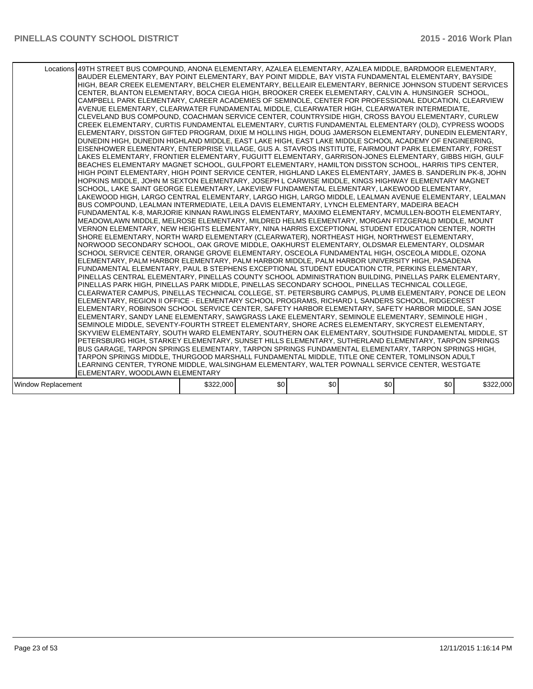|                    | Locations 49TH STREET BUS COMPOUND, ANONA ELEMENTARY, AZALEA ELEMENTARY, AZALEA MIDDLE, BARDMOOR ELEMENTARY,<br>BAUDER ELEMENTARY, BAY POINT ELEMENTARY, BAY POINT MIDDLE, BAY VISTA FUNDAMENTAL ELEMENTARY, BAYSIDE<br>HIGH, BEAR CREEK ELEMENTARY, BELCHER ELEMENTARY, BELLEAIR ELEMENTARY, BERNICE JOHNSON STUDENT SERVICES<br>CENTER, BLANTON ELEMENTARY, BOCA CIEGA HIGH, BROOKER CREEK ELEMENTARY, CALVIN A. HUNSINGER SCHOOL,<br>CAMPBELL PARK ELEMENTARY, CAREER ACADEMIES OF SEMINOLE, CENTER FOR PROFESSIONAL EDUCATION, CLEARVIEW<br>AVENUE ELEMENTARY, CLEARWATER FUNDAMENTAL MIDDLE, CLEARWATER HIGH, CLEARWATER INTERMEDIATE,<br>CLEVELAND BUS COMPOUND, COACHMAN SERVICE CENTER, COUNTRYSIDE HIGH, CROSS BAYOU ELEMENTARY, CURLEW<br>CREEK ELEMENTARY. CURTIS FUNDAMENTAL ELEMENTARY. CURTIS FUNDAMENTAL ELEMENTARY (OLD). CYPRESS WOODS<br>ELEMENTARY, DISSTON GIFTED PROGRAM, DIXIE M HOLLINS HIGH, DOUG JAMERSON ELEMENTARY, DUNEDIN ELEMENTARY,<br>DUNEDIN HIGH, DUNEDIN HIGHLAND MIDDLE, EAST LAKE HIGH, EAST LAKE MIDDLE SCHOOL ACADEMY OF ENGINEERING,<br>EISENHOWER ELEMENTARY, ENTERPRISE VILLAGE, GUS A. STAVROS INSTITUTE, FAIRMOUNT PARK ELEMENTARY, FOREST<br>LAKES ELEMENTARY, FRONTIER ELEMENTARY, FUGUITT ELEMENTARY, GARRISON-JONES ELEMENTARY, GIBBS HIGH, GULF<br>BEACHES ELEMENTARY MAGNET SCHOOL, GULFPORT ELEMENTARY, HAMILTON DISSTON SCHOOL, HARRIS TIPS CENTER,<br>HIGH POINT ELEMENTARY, HIGH POINT SERVICE CENTER, HIGHLAND LAKES ELEMENTARY, JAMES B. SANDERLIN PK-8, JOHN<br>HOPKINS MIDDLE, JOHN M SEXTON ELEMENTARY, JOSEPH L CARWISE MIDDLE, KINGS HIGHWAY ELEMENTARY MAGNET<br>SCHOOL, LAKE SAINT GEORGE ELEMENTARY, LAKEVIEW FUNDAMENTAL ELEMENTARY, LAKEWOOD ELEMENTARY,<br>LAKEWOOD HIGH, LARGO CENTRAL ELEMENTARY, LARGO HIGH, LARGO MIDDLE, LEALMAN AVENUE ELEMENTARY, LEALMAN<br>BUS COMPOUND, LEALMAN INTERMEDIATE, LEILA DAVIS ELEMENTARY, LYNCH ELEMENTARY, MADEIRA BEACH<br>FUNDAMENTAL K-8, MARJORIE KINNAN RAWLINGS ELEMENTARY, MAXIMO ELEMENTARY, MCMULLEN-BOOTH ELEMENTARY,<br>MEADOWLAWN MIDDLE, MELROSE ELEMENTARY, MILDRED HELMS ELEMENTARY, MORGAN FITZGERALD MIDDLE, MOUNT<br>VERNON ELEMENTARY, NEW HEIGHTS ELEMENTARY, NINA HARRIS EXCEPTIONAL STUDENT EDUCATION CENTER, NORTH<br>SHORE ELEMENTARY, NORTH WARD ELEMENTARY (CLEARWATER), NORTHEAST HIGH, NORTHWEST ELEMENTARY,<br>NORWOOD SECONDARY SCHOOL, OAK GROVE MIDDLE, OAKHURST ELEMENTARY, OLDSMAR ELEMENTARY, OLDSMAR<br>SCHOOL SERVICE CENTER, ORANGE GROVE ELEMENTARY, OSCEOLA FUNDAMENTAL HIGH, OSCEOLA MIDDLE, OZONA<br>ELEMENTARY, PALM HARBOR ELEMENTARY, PALM HARBOR MIDDLE, PALM HARBOR UNIVERSITY HIGH, PASADENA<br>FUNDAMENTAL ELEMENTARY, PAUL B STEPHENS EXCEPTIONAL STUDENT EDUCATION CTR, PERKINS ELEMENTARY,<br>PINELLAS CENTRAL ELEMENTARY. PINELLAS COUNTY SCHOOL ADMINISTRATION BUILDING. PINELLAS PARK ELEMENTARY.<br>PINELLAS PARK HIGH, PINELLAS PARK MIDDLE, PINELLAS SECONDARY SCHOOL, PINELLAS TECHNICAL COLLEGE,<br>CLEARWATER CAMPUS, PINELLAS TECHNICAL COLLEGE, ST. PETERSBURG CAMPUS, PLUMB ELEMENTARY, PONCE DE LEON<br>ELEMENTARY, REGION II OFFICE - ELEMENTARY SCHOOL PROGRAMS, RICHARD L SANDERS SCHOOL, RIDGECREST<br>ELEMENTARY, ROBINSON SCHOOL SERVICE CENTER, SAFETY HARBOR ELEMENTARY, SAFETY HARBOR MIDDLE, SAN JOSE<br>, ELEMENTARY, SANDY LANE ELEMENTARY, SAWGRASS LAKE ELEMENTARY, SEMINOLE ELEMENTARY, SEMINOLE HIGH<br>SEMINOLE MIDDLE, SEVENTY-FOURTH STREET ELEMENTARY, SHORE ACRES ELEMENTARY, SKYCREST ELEMENTARY,<br>SKYVIEW ELEMENTARY, SOUTH WARD ELEMENTARY, SOUTHERN OAK ELEMENTARY, SOUTHSIDE FUNDAMENTAL MIDDLE, ST<br>PETERSBURG HIGH, STARKEY ELEMENTARY, SUNSET HILLS ELEMENTARY, SUTHERLAND ELEMENTARY, TARPON SPRINGS<br>BUS GARAGE, TARPON SPRINGS ELEMENTARY, TARPON SPRINGS FUNDAMENTAL ELEMENTARY, TARPON SPRINGS HIGH,<br>TARPON SPRINGS MIDDLE, THURGOOD MARSHALL FUNDAMENTAL MIDDLE, TITLE ONE CENTER, TOMLINSON ADULT<br>LEARNING CENTER, TYRONE MIDDLE, WALSINGHAM ELEMENTARY, WALTER POWNALL SERVICE CENTER, WESTGATE<br>ELEMENTARY, WOODLAWN ELEMENTARY |           |     |     |     |                  |           |
|--------------------|----------------------------------------------------------------------------------------------------------------------------------------------------------------------------------------------------------------------------------------------------------------------------------------------------------------------------------------------------------------------------------------------------------------------------------------------------------------------------------------------------------------------------------------------------------------------------------------------------------------------------------------------------------------------------------------------------------------------------------------------------------------------------------------------------------------------------------------------------------------------------------------------------------------------------------------------------------------------------------------------------------------------------------------------------------------------------------------------------------------------------------------------------------------------------------------------------------------------------------------------------------------------------------------------------------------------------------------------------------------------------------------------------------------------------------------------------------------------------------------------------------------------------------------------------------------------------------------------------------------------------------------------------------------------------------------------------------------------------------------------------------------------------------------------------------------------------------------------------------------------------------------------------------------------------------------------------------------------------------------------------------------------------------------------------------------------------------------------------------------------------------------------------------------------------------------------------------------------------------------------------------------------------------------------------------------------------------------------------------------------------------------------------------------------------------------------------------------------------------------------------------------------------------------------------------------------------------------------------------------------------------------------------------------------------------------------------------------------------------------------------------------------------------------------------------------------------------------------------------------------------------------------------------------------------------------------------------------------------------------------------------------------------------------------------------------------------------------------------------------------------------------------------------------------------------------------------------------------------------------------------------------------------------------------------------------------------------------------------------------------------------------------------------------------------------------------------------------------------------------------------------------------------------------------------------------------------------------------------------------------------------------------------------------------------------------------------------------------------------------------------------------------------------------------------------------------------------------------------------------------------------------------------------------------------------------------------------------------------------------------------------------------------------------------------------------|-----------|-----|-----|-----|------------------|-----------|
| Window Replacement |                                                                                                                                                                                                                                                                                                                                                                                                                                                                                                                                                                                                                                                                                                                                                                                                                                                                                                                                                                                                                                                                                                                                                                                                                                                                                                                                                                                                                                                                                                                                                                                                                                                                                                                                                                                                                                                                                                                                                                                                                                                                                                                                                                                                                                                                                                                                                                                                                                                                                                                                                                                                                                                                                                                                                                                                                                                                                                                                                                                                                                                                                                                                                                                                                                                                                                                                                                                                                                                                                                                                                                                                                                                                                                                                                                                                                                                                                                                                                                                                                                                                | \$322,000 | \$0 | \$0 | \$0 | \$0 <sub>1</sub> | \$322,000 |
|                    |                                                                                                                                                                                                                                                                                                                                                                                                                                                                                                                                                                                                                                                                                                                                                                                                                                                                                                                                                                                                                                                                                                                                                                                                                                                                                                                                                                                                                                                                                                                                                                                                                                                                                                                                                                                                                                                                                                                                                                                                                                                                                                                                                                                                                                                                                                                                                                                                                                                                                                                                                                                                                                                                                                                                                                                                                                                                                                                                                                                                                                                                                                                                                                                                                                                                                                                                                                                                                                                                                                                                                                                                                                                                                                                                                                                                                                                                                                                                                                                                                                                                |           |     |     |     |                  |           |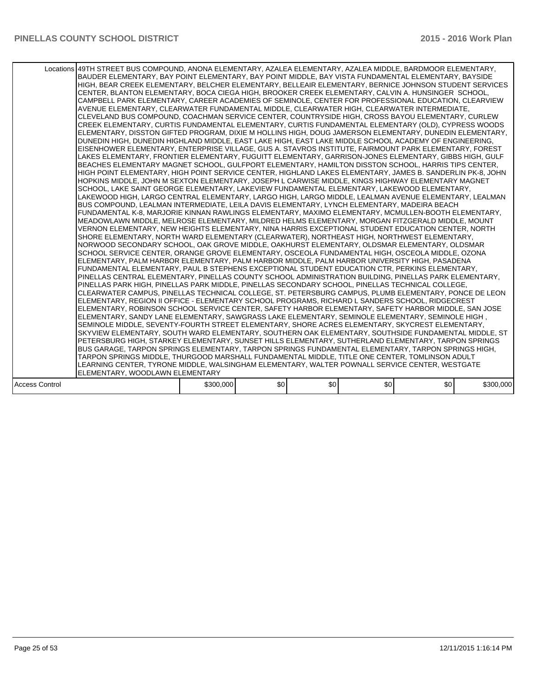|                       | Locations 49TH STREET BUS COMPOUND, ANONA ELEMENTARY, AZALEA ELEMENTARY, AZALEA MIDDLE, BARDMOOR ELEMENTARY,<br>BAUDER ELEMENTARY, BAY POINT ELEMENTARY, BAY POINT MIDDLE, BAY VISTA FUNDAMENTAL ELEMENTARY, BAYSIDE<br>HIGH, BEAR CREEK ELEMENTARY, BELCHER ELEMENTARY, BELLEAIR ELEMENTARY, BERNICE JOHNSON STUDENT SERVICES<br>CENTER, BLANTON ELEMENTARY, BOCA CIEGA HIGH, BROOKER CREEK ELEMENTARY, CALVIN A. HUNSINGER SCHOOL,<br>CAMPBELL PARK ELEMENTARY, CAREER ACADEMIES OF SEMINOLE, CENTER FOR PROFESSIONAL EDUCATION, CLEARVIEW<br>AVENUE ELEMENTARY, CLEARWATER FUNDAMENTAL MIDDLE, CLEARWATER HIGH, CLEARWATER INTERMEDIATE,<br>CLEVELAND BUS COMPOUND, COACHMAN SERVICE CENTER, COUNTRYSIDE HIGH, CROSS BAYOU ELEMENTARY, CURLEW<br>CREEK ELEMENTARY, CURTIS FUNDAMENTAL ELEMENTARY, CURTIS FUNDAMENTAL ELEMENTARY (OLD), CYPRESS WOODS<br>ELEMENTARY, DISSTON GIFTED PROGRAM, DIXIE M HOLLINS HIGH, DOUG JAMERSON ELEMENTARY, DUNEDIN ELEMENTARY,<br>DUNEDIN HIGH, DUNEDIN HIGHLAND MIDDLE, EAST LAKE HIGH, EAST LAKE MIDDLE SCHOOL ACADEMY OF ENGINEERING,<br>EISENHOWER ELEMENTARY, ENTERPRISE VILLAGE, GUS A. STAVROS INSTITUTE, FAIRMOUNT PARK ELEMENTARY, FOREST<br>LAKES ELEMENTARY, FRONTIER ELEMENTARY, FUGUITT ELEMENTARY, GARRISON-JONES ELEMENTARY, GIBBS HIGH, GULF<br>BEACHES ELEMENTARY MAGNET SCHOOL, GULFPORT ELEMENTARY, HAMILTON DISSTON SCHOOL, HARRIS TIPS CENTER,<br>HIGH POINT ELEMENTARY, HIGH POINT SERVICE CENTER, HIGHLAND LAKES ELEMENTARY, JAMES B. SANDERLIN PK-8, JOHN<br>HOPKINS MIDDLE, JOHN M SEXTON ELEMENTARY, JOSEPH L CARWISE MIDDLE, KINGS HIGHWAY ELEMENTARY MAGNET<br>SCHOOL, LAKE SAINT GEORGE ELEMENTARY, LAKEVIEW FUNDAMENTAL ELEMENTARY, LAKEWOOD ELEMENTARY,<br>LAKEWOOD HIGH, LARGO CENTRAL ELEMENTARY, LARGO HIGH, LARGO MIDDLE, LEALMAN AVENUE ELEMENTARY, LEALMAN<br>BUS COMPOUND, LEALMAN INTERMEDIATE, LEILA DAVIS ELEMENTARY, LYNCH ELEMENTARY, MADEIRA BEACH<br>FUNDAMENTAL K-8, MARJORIE KINNAN RAWLINGS ELEMENTARY, MAXIMO ELEMENTARY, MCMULLEN-BOOTH ELEMENTARY,<br>MEADOWLAWN MIDDLE, MELROSE ELEMENTARY, MILDRED HELMS ELEMENTARY, MORGAN FITZGERALD MIDDLE, MOUNT<br>VERNON ELEMENTARY, NEW HEIGHTS ELEMENTARY, NINA HARRIS EXCEPTIONAL STUDENT EDUCATION CENTER, NORTH<br>SHORE ELEMENTARY, NORTH WARD ELEMENTARY (CLEARWATER), NORTHEAST HIGH, NORTHWEST ELEMENTARY,<br>NORWOOD SECONDARY SCHOOL, OAK GROVE MIDDLE, OAKHURST ELEMENTARY, OLDSMAR ELEMENTARY, OLDSMAR<br>SCHOOL SERVICE CENTER, ORANGE GROVE ELEMENTARY, OSCEOLA FUNDAMENTAL HIGH, OSCEOLA MIDDLE, OZONA<br>ELEMENTARY, PALM HARBOR ELEMENTARY, PALM HARBOR MIDDLE, PALM HARBOR UNIVERSITY HIGH, PASADENA<br>FUNDAMENTAL ELEMENTARY, PAUL B STEPHENS EXCEPTIONAL STUDENT EDUCATION CTR, PERKINS ELEMENTARY,<br>PINELLAS CENTRAL ELEMENTARY. PINELLAS COUNTY SCHOOL ADMINISTRATION BUILDING. PINELLAS PARK ELEMENTARY.<br>PINELLAS PARK HIGH, PINELLAS PARK MIDDLE, PINELLAS SECONDARY SCHOOL, PINELLAS TECHNICAL COLLEGE,<br>CLEARWATER CAMPUS, PINELLAS TECHNICAL COLLEGE, ST. PETERSBURG CAMPUS, PLUMB ELEMENTARY, PONCE DE LEON<br>ELEMENTARY, REGION II OFFICE - ELEMENTARY SCHOOL PROGRAMS, RICHARD L SANDERS SCHOOL, RIDGECREST<br>ELEMENTARY, ROBINSON SCHOOL SERVICE CENTER, SAFETY HARBOR ELEMENTARY, SAFETY HARBOR MIDDLE, SAN JOSE<br>ELEMENTARY, SANDY LANE ELEMENTARY, SAWGRASS LAKE ELEMENTARY, SEMINOLE ELEMENTARY, SEMINOLE HIGH,<br>SEMINOLE MIDDLE, SEVENTY-FOURTH STREET ELEMENTARY, SHORE ACRES ELEMENTARY, SKYCREST ELEMENTARY,<br>SKYVIEW ELEMENTARY, SOUTH WARD ELEMENTARY, SOUTHERN OAK ELEMENTARY, SOUTHSIDE FUNDAMENTAL MIDDLE, ST<br>PETERSBURG HIGH, STARKEY ELEMENTARY, SUNSET HILLS ELEMENTARY, SUTHERLAND ELEMENTARY, TARPON SPRINGS<br>BUS GARAGE, TARPON SPRINGS ELEMENTARY, TARPON SPRINGS FUNDAMENTAL ELEMENTARY, TARPON SPRINGS HIGH,<br>TARPON SPRINGS MIDDLE, THURGOOD MARSHALL FUNDAMENTAL MIDDLE, TITLE ONE CENTER, TOMLINSON ADULT<br>LEARNING CENTER, TYRONE MIDDLE, WALSINGHAM ELEMENTARY, WALTER POWNALL SERVICE CENTER, WESTGATE<br>ELEMENTARY, WOODLAWN ELEMENTARY |           |     |     |     |     |           |
|-----------------------|---------------------------------------------------------------------------------------------------------------------------------------------------------------------------------------------------------------------------------------------------------------------------------------------------------------------------------------------------------------------------------------------------------------------------------------------------------------------------------------------------------------------------------------------------------------------------------------------------------------------------------------------------------------------------------------------------------------------------------------------------------------------------------------------------------------------------------------------------------------------------------------------------------------------------------------------------------------------------------------------------------------------------------------------------------------------------------------------------------------------------------------------------------------------------------------------------------------------------------------------------------------------------------------------------------------------------------------------------------------------------------------------------------------------------------------------------------------------------------------------------------------------------------------------------------------------------------------------------------------------------------------------------------------------------------------------------------------------------------------------------------------------------------------------------------------------------------------------------------------------------------------------------------------------------------------------------------------------------------------------------------------------------------------------------------------------------------------------------------------------------------------------------------------------------------------------------------------------------------------------------------------------------------------------------------------------------------------------------------------------------------------------------------------------------------------------------------------------------------------------------------------------------------------------------------------------------------------------------------------------------------------------------------------------------------------------------------------------------------------------------------------------------------------------------------------------------------------------------------------------------------------------------------------------------------------------------------------------------------------------------------------------------------------------------------------------------------------------------------------------------------------------------------------------------------------------------------------------------------------------------------------------------------------------------------------------------------------------------------------------------------------------------------------------------------------------------------------------------------------------------------------------------------------------------------------------------------------------------------------------------------------------------------------------------------------------------------------------------------------------------------------------------------------------------------------------------------------------------------------------------------------------------------------------------------------------------------------------------------------------------------------------------------------------------------------|-----------|-----|-----|-----|-----|-----------|
| <b>Access Control</b> |                                                                                                                                                                                                                                                                                                                                                                                                                                                                                                                                                                                                                                                                                                                                                                                                                                                                                                                                                                                                                                                                                                                                                                                                                                                                                                                                                                                                                                                                                                                                                                                                                                                                                                                                                                                                                                                                                                                                                                                                                                                                                                                                                                                                                                                                                                                                                                                                                                                                                                                                                                                                                                                                                                                                                                                                                                                                                                                                                                                                                                                                                                                                                                                                                                                                                                                                                                                                                                                                                                                                                                                                                                                                                                                                                                                                                                                                                                                                                                                                                                                               | \$300,000 | \$0 | \$0 | \$0 | \$0 | \$300,000 |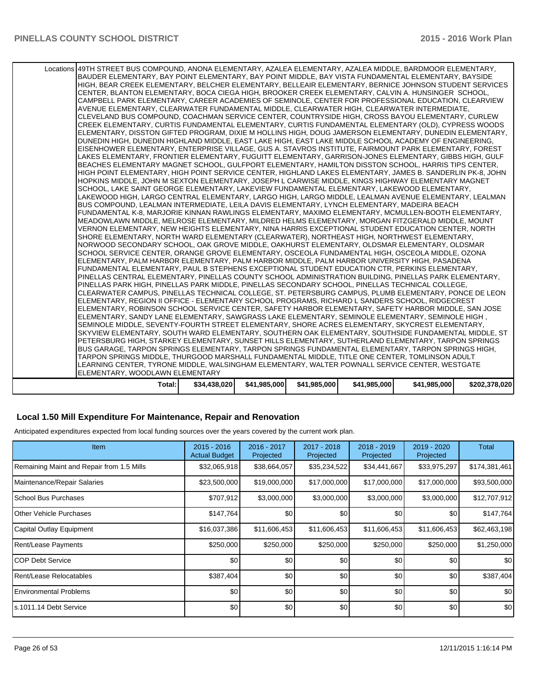| Total:                                                                                                                            | \$34,438,020 | \$41,985,000 | \$41,985,000 | \$41,985,000 | \$41,985,000 | \$202,378,020 |
|-----------------------------------------------------------------------------------------------------------------------------------|--------------|--------------|--------------|--------------|--------------|---------------|
| LEARNING CENTER, TYRONE MIDDLE, WALSINGHAM ELEMENTARY, WALTER POWNALL SERVICE CENTER, WESTGATE<br>ELEMENTARY, WOODLAWN ELEMENTARY |              |              |              |              |              |               |
| TARPON SPRINGS MIDDLE, THURGOOD MARSHALL FUNDAMENTAL MIDDLE, TITLE ONE CENTER, TOMLINSON ADULT                                    |              |              |              |              |              |               |
| BUS GARAGE, TARPON SPRINGS ELEMENTARY, TARPON SPRINGS FUNDAMENTAL ELEMENTARY, TARPON SPRINGS HIGH,                                |              |              |              |              |              |               |
| PETERSBURG HIGH, STARKEY ELEMENTARY, SUNSET HILLS ELEMENTARY, SUTHERLAND ELEMENTARY, TARPON SPRINGS                               |              |              |              |              |              |               |
| SKYVIEW ELEMENTARY, SOUTH WARD ELEMENTARY, SOUTHERN OAK ELEMENTARY, SOUTHSIDE FUNDAMENTAL MIDDLE, ST                              |              |              |              |              |              |               |
| SEMINOLE MIDDLE, SEVENTY-FOURTH STREET ELEMENTARY, SHORE ACRES ELEMENTARY, SKYCREST ELEMENTARY,                                   |              |              |              |              |              |               |
| , ELEMENTARY, SANDY LANE ELEMENTARY, SAWGRASS LAKE ELEMENTARY, SEMINOLE ELEMENTARY, SEMINOLE HIGH                                 |              |              |              |              |              |               |
| ELEMENTARY, ROBINSON SCHOOL SERVICE CENTER, SAFETY HARBOR ELEMENTARY, SAFETY HARBOR MIDDLE, SAN JOSE                              |              |              |              |              |              |               |
| ELEMENTARY, REGION II OFFICE - ELEMENTARY SCHOOL PROGRAMS, RICHARD L SANDERS SCHOOL, RIDGECREST                                   |              |              |              |              |              |               |
| CLEARWATER CAMPUS, PINELLAS TECHNICAL COLLEGE, ST. PETERSBURG CAMPUS, PLUMB ELEMENTARY, PONCE DE LEON                             |              |              |              |              |              |               |
| PINELLAS PARK HIGH, PINELLAS PARK MIDDLE, PINELLAS SECONDARY SCHOOL, PINELLAS TECHNICAL COLLEGE,                                  |              |              |              |              |              |               |
| PINELLAS CENTRAL ELEMENTARY, PINELLAS COUNTY SCHOOL ADMINISTRATION BUILDING, PINELLAS PARK ELEMENTARY,                            |              |              |              |              |              |               |
| FUNDAMENTAL ELEMENTARY, PAUL B STEPHENS EXCEPTIONAL STUDENT EDUCATION CTR, PERKINS ELEMENTARY,                                    |              |              |              |              |              |               |
| ELEMENTARY, PALM HARBOR ELEMENTARY, PALM HARBOR MIDDLE, PALM HARBOR UNIVERSITY HIGH, PASADENA                                     |              |              |              |              |              |               |
| SCHOOL SERVICE CENTER, ORANGE GROVE ELEMENTARY, OSCEOLA FUNDAMENTAL HIGH, OSCEOLA MIDDLE, OZONA                                   |              |              |              |              |              |               |
| NORWOOD SECONDARY SCHOOL, OAK GROVE MIDDLE, OAKHURST ELEMENTARY, OLDSMAR ELEMENTARY, OLDSMAR                                      |              |              |              |              |              |               |
| SHORE ELEMENTARY, NORTH WARD ELEMENTARY (CLEARWATER), NORTHEAST HIGH, NORTHWEST ELEMENTARY,                                       |              |              |              |              |              |               |
| VERNON ELEMENTARY, NEW HEIGHTS ELEMENTARY, NINA HARRIS EXCEPTIONAL STUDENT EDUCATION CENTER, NORTH                                |              |              |              |              |              |               |
| MEADOWLAWN MIDDLE, MELROSE ELEMENTARY, MILDRED HELMS ELEMENTARY, MORGAN FITZGERALD MIDDLE, MOUNT                                  |              |              |              |              |              |               |
| FUNDAMENTAL K-8, MARJORIE KINNAN RAWLINGS ELEMENTARY, MAXIMO ELEMENTARY, MCMULLEN-BOOTH ELEMENTARY,                               |              |              |              |              |              |               |
| BUS COMPOUND, LEALMAN INTERMEDIATE, LEILA DAVIS ELEMENTARY, LYNCH ELEMENTARY, MADEIRA BEACH                                       |              |              |              |              |              |               |
| LAKEWOOD HIGH, LARGO CENTRAL ELEMENTARY, LARGO HIGH, LARGO MIDDLE, LEALMAN AVENUE ELEMENTARY, LEALMAN                             |              |              |              |              |              |               |
| SCHOOL, LAKE SAINT GEORGE ELEMENTARY, LAKEVIEW FUNDAMENTAL ELEMENTARY, LAKEWOOD ELEMENTARY,                                       |              |              |              |              |              |               |
| HOPKINS MIDDLE, JOHN M SEXTON ELEMENTARY, JOSEPH L CARWISE MIDDLE, KINGS HIGHWAY ELEMENTARY MAGNET                                |              |              |              |              |              |               |
| HIGH POINT ELEMENTARY, HIGH POINT SERVICE CENTER, HIGHLAND LAKES ELEMENTARY, JAMES B. SANDERLIN PK-8, JOHN                        |              |              |              |              |              |               |
| BEACHES ELEMENTARY MAGNET SCHOOL, GULFPORT ELEMENTARY, HAMILTON DISSTON SCHOOL, HARRIS TIPS CENTER,                               |              |              |              |              |              |               |
| LAKES ELEMENTARY, FRONTIER ELEMENTARY, FUGUITT ELEMENTARY, GARRISON-JONES ELEMENTARY, GIBBS HIGH, GULF                            |              |              |              |              |              |               |
| EISENHOWER ELEMENTARY, ENTERPRISE VILLAGE, GUS A. STAVROS INSTITUTE, FAIRMOUNT PARK ELEMENTARY, FOREST                            |              |              |              |              |              |               |
| DUNEDIN HIGH, DUNEDIN HIGHLAND MIDDLE, EAST LAKE HIGH, EAST LAKE MIDDLE SCHOOL ACADEMY OF ENGINEERING,                            |              |              |              |              |              |               |
| ELEMENTARY, DISSTON GIFTED PROGRAM, DIXIE M HOLLINS HIGH, DOUG JAMERSON ELEMENTARY, DUNEDIN ELEMENTARY,                           |              |              |              |              |              |               |
| CREEK ELEMENTARY, CURTIS FUNDAMENTAL ELEMENTARY, CURTIS FUNDAMENTAL ELEMENTARY (OLD), CYPRESS WOODS                               |              |              |              |              |              |               |
| CLEVELAND BUS COMPOUND, COACHMAN SERVICE CENTER, COUNTRYSIDE HIGH, CROSS BAYOU ELEMENTARY, CURLEW                                 |              |              |              |              |              |               |
| AVENUE ELEMENTARY, CLEARWATER FUNDAMENTAL MIDDLE, CLEARWATER HIGH, CLEARWATER INTERMEDIATE,                                       |              |              |              |              |              |               |
| CAMPBELL PARK ELEMENTARY, CAREER ACADEMIES OF SEMINOLE, CENTER FOR PROFESSIONAL EDUCATION, CLEARVIEW                              |              |              |              |              |              |               |
| CENTER, BLANTON ELEMENTARY, BOCA CIEGA HIGH, BROOKER CREEK ELEMENTARY, CALVIN A. HUNSINGER SCHOOL,                                |              |              |              |              |              |               |
| HIGH, BEAR CREEK ELEMENTARY, BELCHER ELEMENTARY, BELLEAIR ELEMENTARY, BERNICE JOHNSON STUDENT SERVICES                            |              |              |              |              |              |               |
| BAUDER ELEMENTARY, BAY POINT ELEMENTARY, BAY POINT MIDDLE, BAY VISTA FUNDAMENTAL ELEMENTARY, BAYSIDE                              |              |              |              |              |              |               |
| Locations 49TH STREET BUS COMPOUND, ANONA ELEMENTARY, AZALEA ELEMENTARY, AZALEA MIDDLE, BARDMOOR ELEMENTARY,                      |              |              |              |              |              |               |
|                                                                                                                                   |              |              |              |              |              |               |

#### **Local 1.50 Mill Expenditure For Maintenance, Repair and Renovation**

Anticipated expenditures expected from local funding sources over the years covered by the current work plan.

| Item                                      | $2015 - 2016$<br><b>Actual Budget</b> | 2016 - 2017<br>Projected | 2017 - 2018<br>Projected | 2018 - 2019<br>Projected | 2019 - 2020<br>Projected | Total            |
|-------------------------------------------|---------------------------------------|--------------------------|--------------------------|--------------------------|--------------------------|------------------|
| Remaining Maint and Repair from 1.5 Mills | \$32,065,918                          | \$38,664,057             | \$35,234,522             | \$34,441,667             | \$33,975,297             | \$174,381,461    |
| Maintenance/Repair Salaries               | \$23,500,000                          | \$19,000,000             | \$17,000,000             | \$17,000,000             | \$17,000,000             | \$93,500,000     |
| School Bus Purchases                      | \$707,912                             | \$3,000,000              | \$3,000,000              | \$3,000,000              | \$3,000,000              | \$12,707,912     |
| <b>IOther Vehicle Purchases</b>           | \$147,764                             | \$0                      | \$0                      | \$0                      | \$0                      | \$147,764        |
| Capital Outlay Equipment                  | \$16,037,386                          | \$11,606,453             | \$11,606,453             | \$11,606,453             | \$11,606,453             | \$62,463,198     |
| Rent/Lease Payments                       | \$250,000                             | \$250,000                | \$250,000                | \$250,000                | \$250,000                | \$1,250,000      |
| ICOP Debt Service                         | \$0                                   | \$0                      | \$0                      | \$0                      | \$0                      | \$0 <sub>1</sub> |
| Rent/Lease Relocatables                   | \$387,404                             | \$0                      | \$0                      | \$0                      | \$0                      | \$387,404        |
| <b>IEnvironmental Problems</b>            | \$0                                   | \$0                      | \$0                      | \$0                      | \$0                      | \$0              |
| Is.1011.14 Debt Service                   | \$0                                   | \$0                      | \$0                      | \$0                      | \$0                      | \$0              |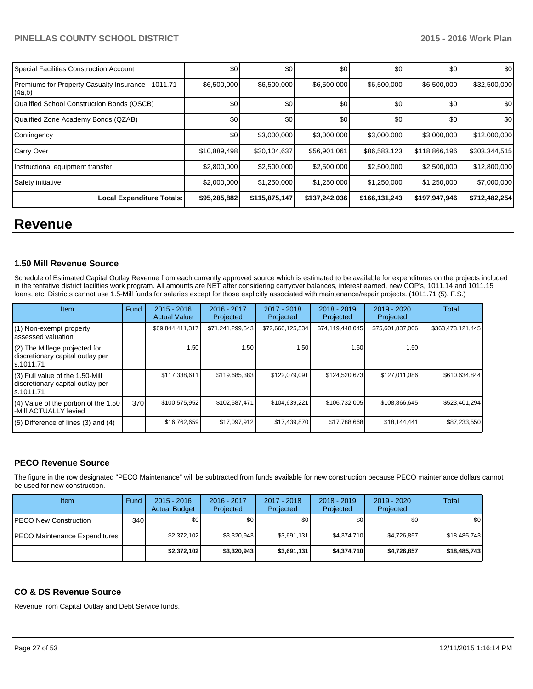| Special Facilities Construction Account                      | \$0          | \$0           | \$0           | \$0           | \$0           | \$0              |
|--------------------------------------------------------------|--------------|---------------|---------------|---------------|---------------|------------------|
| Premiums for Property Casualty Insurance - 1011.71<br>(4a,b) | \$6,500,000  | \$6,500,000   | \$6,500,000   | \$6,500,000   | \$6,500,000   | \$32,500,000     |
| Qualified School Construction Bonds (QSCB)                   | \$0          | \$0           | \$0           | \$0           | \$0           | \$0 <sub>1</sub> |
| Qualified Zone Academy Bonds (QZAB)                          | \$0          | \$0           | \$0           | \$0           | \$0           | \$0 <sub>1</sub> |
| Contingency                                                  | \$0          | \$3,000,000   | \$3,000,000   | \$3,000,000   | \$3,000,000   | \$12,000,000     |
| Carry Over                                                   | \$10,889,498 | \$30,104,637  | \$56,901,061  | \$86,583,123  | \$118,866,196 | \$303,344,515    |
| Instructional equipment transfer                             | \$2,800,000  | \$2,500,000   | \$2,500,000   | \$2,500,000   | \$2,500,000   | \$12,800,000     |
| Safety initiative                                            | \$2,000,000  | \$1,250,000   | \$1,250,000   | \$1,250,000   | \$1,250,000   | \$7,000,000      |
| <b>Local Expenditure Totals:</b>                             | \$95,285,882 | \$115,875,147 | \$137,242,036 | \$166,131,243 | \$197,947,946 | \$712,482,254    |

## **Revenue**

#### **1.50 Mill Revenue Source**

Schedule of Estimated Capital Outlay Revenue from each currently approved source which is estimated to be available for expenditures on the projects included in the tentative district facilities work program. All amounts are NET after considering carryover balances, interest earned, new COP's, 1011.14 and 1011.15 loans, etc. Districts cannot use 1.5-Mill funds for salaries except for those explicitly associated with maintenance/repair projects. (1011.71 (5), F.S.)

| <b>Item</b>                                                                         | Fund | $2015 - 2016$<br><b>Actual Value</b> | 2016 - 2017<br>Projected | 2017 - 2018<br>Projected | $2018 - 2019$<br>Projected | 2019 - 2020<br>Projected | Total             |
|-------------------------------------------------------------------------------------|------|--------------------------------------|--------------------------|--------------------------|----------------------------|--------------------------|-------------------|
| (1) Non-exempt property<br>assessed valuation                                       |      | \$69,844,411,317                     | \$71,241,299,543         | \$72,666,125,534         | \$74,119,448,045           | \$75,601,837,006         | \$363,473,121,445 |
| $(2)$ The Millege projected for<br>discretionary capital outlay per<br>ls.1011.71   |      | 1.50                                 | 1.50                     | 1.50                     | 1.50                       | 1.50                     |                   |
| $(3)$ Full value of the 1.50-Mill<br>discretionary capital outlay per<br>ls.1011.71 |      | \$117,338,611                        | \$119,685,383            | \$122,079,091            | \$124,520,673              | \$127,011,086            | \$610,634,844     |
| (4) Value of the portion of the 1.50<br>-Mill ACTUALLY levied                       | 370  | \$100,575,952                        | \$102,587,471            | \$104,639,221            | \$106,732,005              | \$108,866,645            | \$523,401,294     |
| $(5)$ Difference of lines $(3)$ and $(4)$                                           |      | \$16,762,659                         | \$17,097,912             | \$17,439,870             | \$17,788,668               | \$18,144,441             | \$87,233,550      |

#### **PECO Revenue Source**

The figure in the row designated "PECO Maintenance" will be subtracted from funds available for new construction because PECO maintenance dollars cannot be used for new construction.

| Item                                  | Fund | $2015 - 2016$<br><b>Actual Budget</b> | 2016 - 2017<br>Projected | 2017 - 2018<br>Projected | $2018 - 2019$<br>Projected | $2019 - 2020$<br>Projected | Total        |
|---------------------------------------|------|---------------------------------------|--------------------------|--------------------------|----------------------------|----------------------------|--------------|
| <b>IPECO New Construction</b>         | 340  | \$0 <sub>1</sub>                      | \$0 I                    | \$0 <sub>1</sub>         | \$0                        | \$0                        | \$0          |
| <b>IPECO Maintenance Expenditures</b> |      | \$2,372,102                           | \$3,320,943              | \$3,691,131              | \$4.374.710                | \$4,726,857                | \$18,485,743 |
|                                       |      | \$2,372,102                           | \$3,320,943              | \$3,691,131              | \$4,374,710                | \$4,726,857                | \$18,485,743 |

#### **CO & DS Revenue Source**

Revenue from Capital Outlay and Debt Service funds.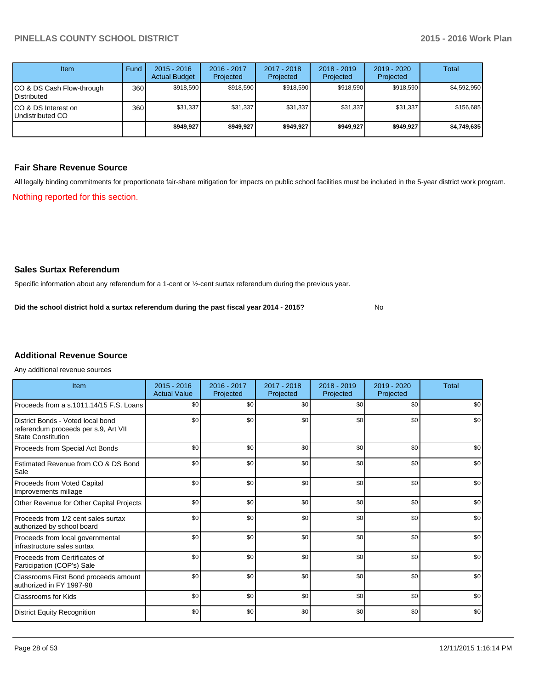| <b>Item</b>                              | Fund  | $2015 - 2016$<br><b>Actual Budget</b> | 2016 - 2017<br>Projected | 2017 - 2018<br>Projected | $2018 - 2019$<br>Projected | $2019 - 2020$<br>Projected | Total       |
|------------------------------------------|-------|---------------------------------------|--------------------------|--------------------------|----------------------------|----------------------------|-------------|
| CO & DS Cash Flow-through<br>Distributed | 360 l | \$918.590                             | \$918,590                | \$918.590                | \$918.590                  | \$918.590                  | \$4,592,950 |
| CO & DS Interest on<br>Undistributed CO  | 360   | \$31.337                              | \$31,337                 | \$31,337                 | \$31,337                   | \$31,337                   | \$156,685   |
|                                          |       | \$949.927                             | \$949.927                | \$949.927                | \$949.927                  | \$949.927                  | \$4,749,635 |

#### **Fair Share Revenue Source**

Nothing reported for this section. All legally binding commitments for proportionate fair-share mitigation for impacts on public school facilities must be included in the 5-year district work program.

#### **Sales Surtax Referendum**

Specific information about any referendum for a 1-cent or ½-cent surtax referendum during the previous year.

No **Did the school district hold a surtax referendum during the past fiscal year 2014 - 2015?**

## **Additional Revenue Source**

Any additional revenue sources

| Item                                                                                                   | $2015 - 2016$<br><b>Actual Value</b> | 2016 - 2017<br>Projected | 2017 - 2018<br>Projected | $2018 - 2019$<br>Projected | $2019 - 2020$<br>Projected | <b>Total</b> |
|--------------------------------------------------------------------------------------------------------|--------------------------------------|--------------------------|--------------------------|----------------------------|----------------------------|--------------|
| Proceeds from a s.1011.14/15 F.S. Loans                                                                | \$0                                  | \$0                      | \$0                      | \$0                        | \$0                        | \$0          |
| District Bonds - Voted local bond<br>referendum proceeds per s.9, Art VII<br><b>State Constitution</b> | \$0                                  | \$0                      | \$0                      | \$0                        | \$0                        | \$0          |
| Proceeds from Special Act Bonds                                                                        | \$0                                  | \$0                      | \$0                      | \$0                        | \$0                        | \$0          |
| Estimated Revenue from CO & DS Bond<br>Sale                                                            | \$0                                  | \$0                      | \$0                      | \$0                        | \$0                        | \$0          |
| <b>Proceeds from Voted Capital</b><br>Improvements millage                                             | \$0                                  | \$0                      | \$0                      | \$0                        | \$0                        | \$0          |
| Other Revenue for Other Capital Projects                                                               | \$0                                  | \$0                      | \$0                      | \$0                        | \$0                        | \$0          |
| Proceeds from 1/2 cent sales surtax<br>authorized by school board                                      | \$0                                  | \$0                      | \$0                      | \$0                        | \$0                        | \$0          |
| Proceeds from local governmental<br>infrastructure sales surtax                                        | \$0                                  | \$0                      | \$0                      | \$0                        | \$0                        | \$0          |
| Proceeds from Certificates of<br>Participation (COP's) Sale                                            | \$0                                  | \$0                      | \$0                      | \$0                        | \$0                        | \$0          |
| Classrooms First Bond proceeds amount<br>authorized in FY 1997-98                                      | \$0                                  | \$0                      | \$0                      | \$0                        | \$0                        | \$0          |
| Classrooms for Kids                                                                                    | \$0                                  | \$0                      | \$0                      | \$0                        | \$0                        | \$0          |
| <b>District Equity Recognition</b>                                                                     | \$0                                  | \$0                      | \$0                      | \$0                        | \$0                        | \$0          |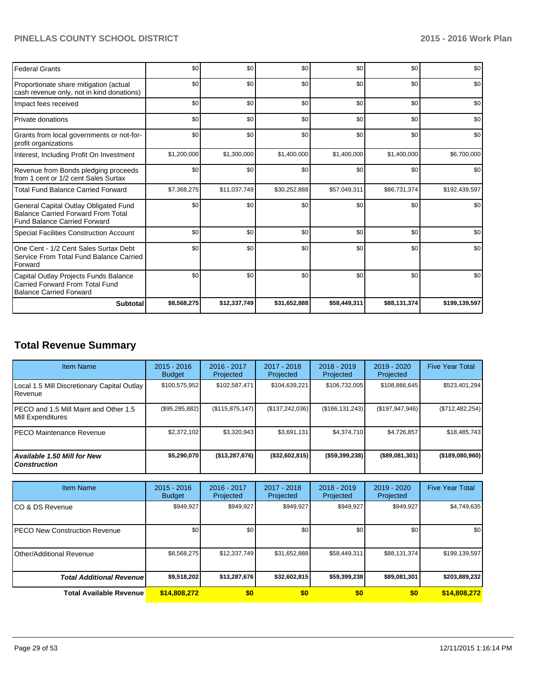| <b>Federal Grants</b>                                                                                                     | \$0         | \$0          | \$0          | \$0          | \$0          | \$0           |
|---------------------------------------------------------------------------------------------------------------------------|-------------|--------------|--------------|--------------|--------------|---------------|
| Proportionate share mitigation (actual<br>cash revenue only, not in kind donations)                                       | \$0         | \$0          | \$0          | \$0          | \$0          | \$0           |
| Impact fees received                                                                                                      | \$0         | \$0          | \$0          | \$0          | \$0          | \$0           |
| Private donations                                                                                                         | \$0         | \$0          | \$0          | \$0          | \$0          | \$0           |
| Grants from local governments or not-for-<br>profit organizations                                                         | \$0         | \$0          | \$0          | \$0          | \$0          | \$0           |
| Interest, Including Profit On Investment                                                                                  | \$1,200,000 | \$1,300,000  | \$1,400,000  | \$1,400,000  | \$1,400,000  | \$6,700,000   |
| Revenue from Bonds pledging proceeds<br>from 1 cent or 1/2 cent Sales Surtax                                              | \$0         | \$0          | \$0          | \$0          | \$0          | \$0           |
| <b>Total Fund Balance Carried Forward</b>                                                                                 | \$7,368,275 | \$11,037,749 | \$30,252,888 | \$57,049,311 | \$86,731,374 | \$192,439,597 |
| General Capital Outlay Obligated Fund<br><b>Balance Carried Forward From Total</b><br><b>Fund Balance Carried Forward</b> | \$0         | \$0          | \$0          | \$0          | \$0          | \$0           |
| Special Facilities Construction Account                                                                                   | \$0         | \$0          | \$0          | \$0          | \$0          | \$0           |
| One Cent - 1/2 Cent Sales Surtax Debt<br>Service From Total Fund Balance Carried<br>Forward                               | \$0         | \$0          | \$0          | \$0          | \$0          | \$0           |
| Capital Outlay Projects Funds Balance<br>Carried Forward From Total Fund<br><b>Balance Carried Forward</b>                | \$0         | \$0          | \$0          | \$0          | \$0          | \$0           |
| <b>Subtotal</b>                                                                                                           | \$8,568,275 | \$12,337,749 | \$31,652,888 | \$58,449,311 | \$88,131,374 | \$199,139,597 |

## **Total Revenue Summary**

| <b>Item Name</b>                                           | $2015 - 2016$<br><b>Budget</b> | $2016 - 2017$<br>Projected | $2017 - 2018$<br>Projected | $2018 - 2019$<br>Projected | $2019 - 2020$<br>Projected | <b>Five Year Total</b> |
|------------------------------------------------------------|--------------------------------|----------------------------|----------------------------|----------------------------|----------------------------|------------------------|
| Local 1.5 Mill Discretionary Capital Outlay<br>Revenue     | \$100,575,952                  | \$102,587,471              | \$104,639,221              | \$106,732,005              | \$108,866,645              | \$523,401,294          |
| PECO and 1.5 Mill Maint and Other 1.5<br>Mill Expenditures | (\$95,285,882)                 | (S115, 875, 147)           | (\$137,242,036)            | (S166, 131, 243)           | (\$197,947,946)            | (\$712,482,254)        |
| IPECO Maintenance Revenue                                  | \$2.372.102                    | \$3,320,943                | \$3,691,131                | \$4,374,710                | \$4,726,857                | \$18,485,743           |
| <b>Available 1.50 Mill for New</b><br><b>Construction</b>  | \$5,290,070                    | (\$13,287,676)             | $($ \$32,602,815)          | $($ \$59,399,238)          | $($ \$89,081,301)          | ( \$189,080,960]       |

| <b>Item Name</b>                 | $2015 - 2016$<br><b>Budget</b> | 2016 - 2017<br>Projected | 2017 - 2018<br>Projected | $2018 - 2019$<br>Projected | 2019 - 2020<br>Projected | <b>Five Year Total</b> |
|----------------------------------|--------------------------------|--------------------------|--------------------------|----------------------------|--------------------------|------------------------|
| ICO & DS Revenue                 | \$949,927                      | \$949,927                | \$949.927                | \$949,927                  | \$949,927                | \$4,749,635            |
| IPECO New Construction Revenue   | \$0                            | \$0                      | \$0                      | \$0                        | \$0                      | \$0                    |
| <b>Other/Additional Revenue</b>  | \$8,568,275                    | \$12,337,749             | \$31,652,888             | \$58,449.311               | \$88.131.374             | \$199,139,597          |
| <b>Total Additional Revenuel</b> | \$9,518,202                    | \$13,287,676             | \$32,602,815             | \$59,399,238               | \$89,081,301             | \$203,889,232          |
| <b>Total Available Revenue</b>   | \$14,808,272                   | \$0                      | \$0                      | \$0                        | \$0                      | \$14,808,272           |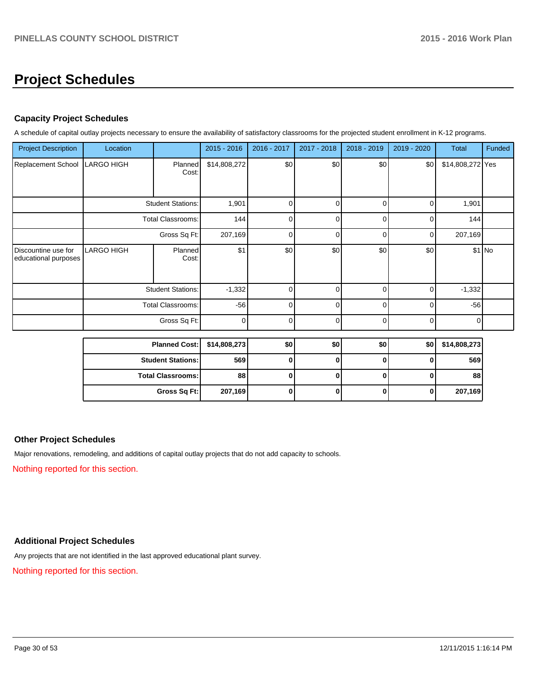## **Project Schedules**

## **Capacity Project Schedules**

A schedule of capital outlay projects necessary to ensure the availability of satisfactory classrooms for the projected student enrollment in K-12 programs.

| <b>Project Description</b>                  | Location                 |                          | 2015 - 2016  | 2016 - 2017 | 2017 - 2018 | 2018 - 2019 | 2019 - 2020 | <b>Total</b>     | Funded  |
|---------------------------------------------|--------------------------|--------------------------|--------------|-------------|-------------|-------------|-------------|------------------|---------|
| Replacement School                          | <b>LARGO HIGH</b>        | Planned<br>Cost:         | \$14,808,272 | \$0         | \$0         | \$0         | \$0         | \$14,808,272 Yes |         |
|                                             | <b>Student Stations:</b> |                          | 1,901        | 0           | 0           | 0           | 0           | 1,901            |         |
|                                             |                          | <b>Total Classrooms:</b> | 144          | $\Omega$    | 0           | 0           | 0           | 144              |         |
|                                             |                          | Gross Sq Ft:             | 207,169      | U           | 0           | $\Omega$    | $\Omega$    | 207,169          |         |
| Discountine use for<br>educational purposes | <b>LARGO HIGH</b>        | Planned<br>Cost:         | \$1          | \$0         | \$0         | \$0         | \$0         |                  | $$1$ No |
|                                             |                          | <b>Student Stations:</b> | $-1,332$     | 0           | 0           | 0           | $\Omega$    | $-1,332$         |         |
|                                             |                          | <b>Total Classrooms:</b> | $-56$        | 0           | $\Omega$    | 0           | $\Omega$    | $-56$            |         |
|                                             | Gross Sq Ft:             |                          | $\mathbf 0$  | 0           | 0           | 0           | $\Omega$    | 0                |         |
|                                             |                          | <b>Planned Cost:</b>     | \$14,808,273 | \$0         | \$0         | \$0         | \$0         | \$14,808,273     |         |

| Planned COSt.   314,000,2731 |         | งบเ | งบ | จบ | งบเ | 314,000,213 |
|------------------------------|---------|-----|----|----|-----|-------------|
| <b>Student Stations: I</b>   | 569     |     |    |    |     | 569         |
| <b>Total Classrooms: I</b>   | 88      |     |    |    |     | 88 I        |
| Gross Sq Ft:                 | 207,169 |     |    |    |     | 207,169     |

### **Other Project Schedules**

Major renovations, remodeling, and additions of capital outlay projects that do not add capacity to schools.

Nothing reported for this section.

## **Additional Project Schedules**

Any projects that are not identified in the last approved educational plant survey.

Nothing reported for this section.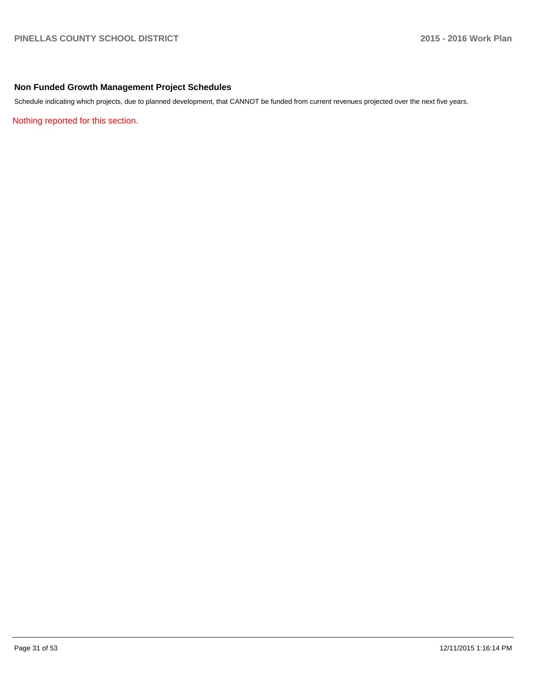## **Non Funded Growth Management Project Schedules**

Schedule indicating which projects, due to planned development, that CANNOT be funded from current revenues projected over the next five years.

Nothing reported for this section.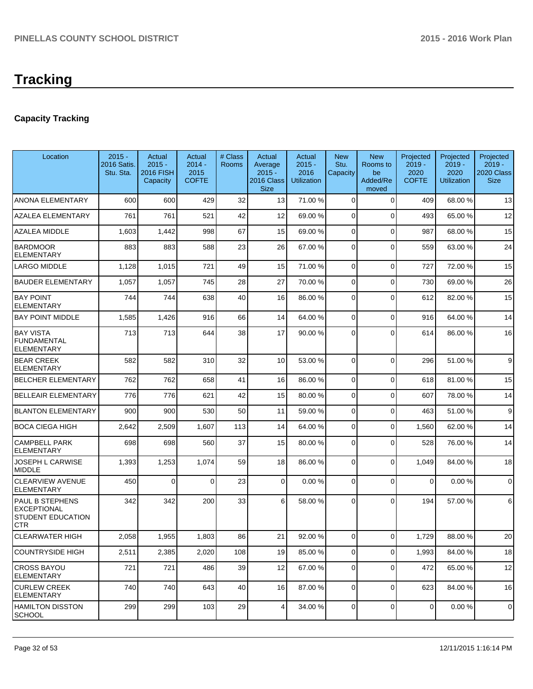## **Capacity Tracking**

| Location                                                                               | $2015 -$<br><b>2016 Satis.</b><br>Stu. Sta. | Actual<br>$2015 -$<br><b>2016 FISH</b><br>Capacity | Actual<br>$2014 -$<br>2015<br><b>COFTE</b> | # Class<br><b>Rooms</b> | Actual<br>Average<br>$2015 -$<br>2016 Class<br><b>Size</b> | Actual<br>$2015 -$<br>2016<br><b>Utilization</b> | <b>New</b><br>Stu.<br>Capacity | <b>New</b><br>Rooms to<br>be<br>Added/Re<br>moved | Projected<br>$2019 -$<br>2020<br><b>COFTE</b> | Projected<br>$2019 -$<br>2020<br><b>Utilization</b> | Projected<br>$2019 -$<br>2020 Class<br><b>Size</b> |
|----------------------------------------------------------------------------------------|---------------------------------------------|----------------------------------------------------|--------------------------------------------|-------------------------|------------------------------------------------------------|--------------------------------------------------|--------------------------------|---------------------------------------------------|-----------------------------------------------|-----------------------------------------------------|----------------------------------------------------|
| <b>ANONA ELEMENTARY</b>                                                                | 600                                         | 600                                                | 429                                        | 32                      | 13                                                         | 71.00 %                                          | $\Omega$                       | $\Omega$                                          | 409                                           | 68.00 %                                             | 13                                                 |
| <b>AZALEA ELEMENTARY</b>                                                               | 761                                         | 761                                                | 521                                        | 42                      | 12                                                         | 69.00 %                                          | $\overline{0}$                 | $\Omega$                                          | 493                                           | 65.00 %                                             | 12                                                 |
| <b>AZALEA MIDDLE</b>                                                                   | 1,603                                       | 1,442                                              | 998                                        | 67                      | 15                                                         | 69.00 %                                          | $\overline{0}$                 | $\Omega$                                          | 987                                           | 68.00 %                                             | 15                                                 |
| <b>BARDMOOR</b><br><b>ELEMENTARY</b>                                                   | 883                                         | 883                                                | 588                                        | 23                      | 26                                                         | 67.00 %                                          | 0                              | $\Omega$                                          | 559                                           | 63.00 %                                             | 24                                                 |
| <b>LARGO MIDDLE</b>                                                                    | 1,128                                       | 1,015                                              | 721                                        | 49                      | 15                                                         | 71.00 %                                          | 0                              | $\Omega$                                          | 727                                           | 72.00 %                                             | 15                                                 |
| <b>BAUDER ELEMENTARY</b>                                                               | 1,057                                       | 1,057                                              | 745                                        | 28                      | 27                                                         | 70.00 %                                          | $\overline{0}$                 | $\Omega$                                          | 730                                           | 69.00 %                                             | 26                                                 |
| <b>BAY POINT</b><br><b>ELEMENTARY</b>                                                  | 744                                         | 744                                                | 638                                        | 40                      | 16                                                         | 86.00 %                                          | 0                              | $\Omega$                                          | 612                                           | 82.00%                                              | 15                                                 |
| <b>BAY POINT MIDDLE</b>                                                                | 1,585                                       | 1,426                                              | 916                                        | 66                      | 14                                                         | 64.00 %                                          | $\Omega$                       | $\Omega$                                          | 916                                           | 64.00%                                              | 14                                                 |
| <b>BAY VISTA</b><br><b>FUNDAMENTAL</b><br><b>ELEMENTARY</b>                            | 713                                         | 713                                                | 644                                        | 38                      | 17                                                         | 90.00 %                                          | $\Omega$                       | $\Omega$                                          | 614                                           | 86.00 %                                             | 16                                                 |
| <b>BEAR CREEK</b><br><b>ELEMENTARY</b>                                                 | 582                                         | 582                                                | 310                                        | 32                      | 10 <sup>1</sup>                                            | 53.00 %                                          | $\Omega$                       | $\Omega$                                          | 296                                           | 51.00%                                              | 9                                                  |
| <b>BELCHER ELEMENTARY</b>                                                              | 762                                         | 762                                                | 658                                        | 41                      | 16                                                         | 86.00 %                                          | $\Omega$                       | $\Omega$                                          | 618                                           | 81.00%                                              | 15                                                 |
| <b>BELLEAIR ELEMENTARY</b>                                                             | 776                                         | 776                                                | 621                                        | 42                      | 15                                                         | 80.00 %                                          | 0                              | $\Omega$                                          | 607                                           | 78.00 %                                             | 14                                                 |
| <b>BLANTON ELEMENTARY</b>                                                              | 900                                         | 900                                                | 530                                        | 50                      | 11                                                         | 59.00 %                                          | 0                              | $\Omega$                                          | 463                                           | 51.00%                                              | 9                                                  |
| <b>BOCA CIEGA HIGH</b>                                                                 | 2,642                                       | 2,509                                              | 1,607                                      | 113                     | 14                                                         | 64.00 %                                          | 0                              | $\Omega$                                          | 1,560                                         | 62.00%                                              | 14                                                 |
| <b>CAMPBELL PARK</b><br><b>ELEMENTARY</b>                                              | 698                                         | 698                                                | 560                                        | 37                      | 15                                                         | 80.00 %                                          | 0                              | $\Omega$                                          | 528                                           | 76.00 %                                             | 14                                                 |
| <b>JOSEPH L CARWISE</b><br><b>MIDDLE</b>                                               | 1,393                                       | 1,253                                              | 1,074                                      | 59                      | 18                                                         | 86.00 %                                          | 0                              | $\Omega$                                          | 1,049                                         | 84.00 %                                             | 18                                                 |
| <b>CLEARVIEW AVENUE</b><br><b>ELEMENTARY</b>                                           | 450                                         | $\mathbf 0$                                        | $\Omega$                                   | 23                      | $\overline{0}$                                             | 0.00%                                            | $\Omega$                       | $\Omega$                                          | $\mathbf 0$                                   | 0.00%                                               | $\mathbf 0$                                        |
| <b>PAUL B STEPHENS</b><br><b>EXCEPTIONAL</b><br><b>STUDENT EDUCATION</b><br><b>CTR</b> | 342                                         | 342                                                | 200                                        | 33                      | 6                                                          | 58.00 %                                          | $\Omega$                       | $\Omega$                                          | 194                                           | 57.00 %                                             | 6                                                  |
| CLEARWATER HIGH                                                                        | 2,058                                       | 1,955                                              | 1,803                                      | 86                      | 21                                                         | 92.00 %                                          | $\overline{0}$                 | $\mathbf 0$                                       | 1,729                                         | 88.00%                                              | 20                                                 |
| COUNTRYSIDE HIGH                                                                       | 2,511                                       | 2,385                                              | 2,020                                      | 108                     | 19                                                         | 85.00 %                                          | $\overline{0}$                 | $\Omega$                                          | 1,993                                         | 84.00%                                              | 18                                                 |
| <b>CROSS BAYOU</b><br>ELEMENTARY                                                       | 721                                         | 721                                                | 486                                        | 39                      | 12                                                         | 67.00 %                                          | $\overline{0}$                 | $\Omega$                                          | 472                                           | 65.00 %                                             | 12                                                 |
| <b>CURLEW CREEK</b><br><b>ELEMENTARY</b>                                               | 740                                         | 740                                                | 643                                        | 40                      | 16                                                         | 87.00 %                                          | 0                              | $\Omega$                                          | 623                                           | 84.00%                                              | 16                                                 |
| <b>HAMILTON DISSTON</b><br>SCHOOL                                                      | 299                                         | 299                                                | 103                                        | 29                      | $\vert 4 \vert$                                            | 34.00 %                                          | 0                              | $\mathbf 0$                                       | 0                                             | 0.00%                                               | 0                                                  |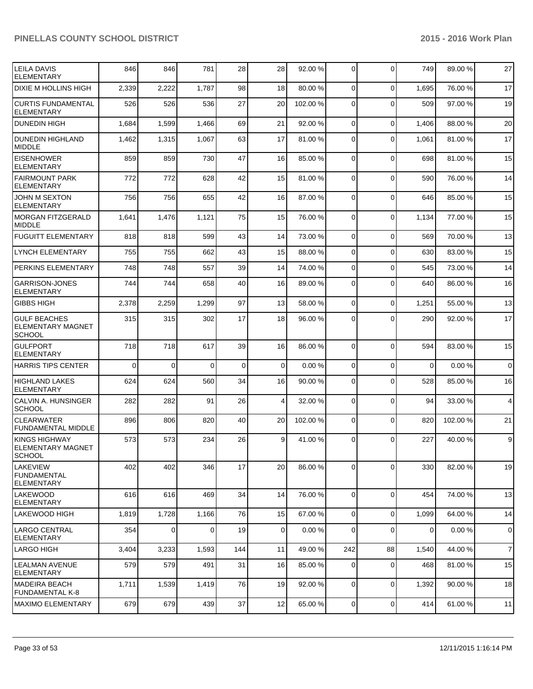| <b>LEILA DAVIS</b><br><b>ELEMENTARY</b>                          | 846      | 846      | 781   | 28          | 28              | 92.00 %  | $\overline{0}$ | $\Omega$    | 749      | 89.00 % | 27             |
|------------------------------------------------------------------|----------|----------|-------|-------------|-----------------|----------|----------------|-------------|----------|---------|----------------|
| DIXIE M HOLLINS HIGH                                             | 2,339    | 2,222    | 1,787 | 98          | 18              | 80.00 %  | $\overline{0}$ | $\Omega$    | 1,695    | 76.00 % | 17             |
| <b>CURTIS FUNDAMENTAL</b><br><b>ELEMENTARY</b>                   | 526      | 526      | 536   | 27          | 20              | 102.00 % | 0              | $\Omega$    | 509      | 97.00 % | 19             |
| DUNEDIN HIGH                                                     | 1,684    | 1,599    | 1,466 | 69          | 21              | 92.00 %  | $\overline{0}$ | $\mathbf 0$ | 1,406    | 88.00 % | 20             |
| <b>DUNEDIN HIGHLAND</b><br><b>IMIDDLE</b>                        | 1,462    | 1,315    | 1,067 | 63          | 17              | 81.00 %  | $\Omega$       | $\Omega$    | 1,061    | 81.00%  | 17             |
| <b>EISENHOWER</b><br><b>ELEMENTARY</b>                           | 859      | 859      | 730   | 47          | 16              | 85.00 %  | $\Omega$       | $\Omega$    | 698      | 81.00%  | 15             |
| <b>FAIRMOUNT PARK</b><br><b>ELEMENTARY</b>                       | 772      | 772      | 628   | 42          | 15              | 81.00 %  | $\Omega$       | $\mathbf 0$ | 590      | 76.00 % | 14             |
| <b>JOHN M SEXTON</b><br><b>ELEMENTARY</b>                        | 756      | 756      | 655   | 42          | 16              | 87.00 %  | $\Omega$       | $\Omega$    | 646      | 85.00 % | 15             |
| MORGAN FITZGERALD<br><b>MIDDLE</b>                               | 1,641    | 1,476    | 1,121 | 75          | 15              | 76.00 %  | $\Omega$       | $\mathbf 0$ | 1,134    | 77.00 % | 15             |
| <b>FUGUITT ELEMENTARY</b>                                        | 818      | 818      | 599   | 43          | 14              | 73.00 %  | $\Omega$       | $\Omega$    | 569      | 70.00%  | 13             |
| <b>LYNCH ELEMENTARY</b>                                          | 755      | 755      | 662   | 43          | 15              | 88.00 %  | $\Omega$       | $\Omega$    | 630      | 83.00 % | 15             |
| PERKINS ELEMENTARY                                               | 748      | 748      | 557   | 39          | 14              | 74.00 %  | $\Omega$       | $\Omega$    | 545      | 73.00 % | 14             |
| <b>GARRISON-JONES</b><br><b>ELEMENTARY</b>                       | 744      | 744      | 658   | 40          | 16              | 89.00 %  | $\Omega$       | $\Omega$    | 640      | 86.00 % | 16             |
| <b>GIBBS HIGH</b>                                                | 2,378    | 2,259    | 1,299 | 97          | 13              | 58.00 %  | 0              | $\Omega$    | 1,251    | 55.00 % | 13             |
| <b>GULF BEACHES</b><br><b>ELEMENTARY MAGNET</b><br><b>SCHOOL</b> | 315      | 315      | 302   | 17          | 18              | 96.00 %  | 0              | $\Omega$    | 290      | 92.00 % | 17             |
| IGULFPORT<br><b>ELEMENTARY</b>                                   | 718      | 718      | 617   | 39          | 16              | 86.00 %  | $\Omega$       | $\Omega$    | 594      | 83.00 % | 15             |
| <b>HARRIS TIPS CENTER</b>                                        | $\Omega$ | $\Omega$ | 0     | $\mathbf 0$ | $\Omega$        | 0.00%    | $\Omega$       | $\Omega$    | $\Omega$ | 0.00%   | $\mathbf 0$    |
| HIGHLAND LAKES<br><b>ELEMENTARY</b>                              | 624      | 624      | 560   | 34          | 16              | 90.00 %  | 0              | $\Omega$    | 528      | 85.00 % | 16             |
| CALVIN A. HUNSINGER<br><b>SCHOOL</b>                             | 282      | 282      | 91    | 26          | 4               | 32.00 %  | $\Omega$       | $\Omega$    | 94       | 33.00 % | $\overline{4}$ |
| <b>CLEARWATER</b><br><b>FUNDAMENTAL MIDDLE</b>                   | 896      | 806      | 820   | 40          | 20 <sub>2</sub> | 102.00 % | $\overline{0}$ | $\mathbf 0$ | 820      | 102.00% | 21             |
| IKINGS HIGHWAY<br>IELEMENTARY MAGNET<br>SCHOOL                   | 573      | 573      | 234   | 26          | $\vert$ 9       | 41.00 %  | $\Omega$       | $\Omega$    | 227      | 40.00 % | 9              |
| ILAKEVIEW<br>FUNDAMENTAL<br><b>ELEMENTARY</b>                    | 402      | 402      | 346   | 17          | 20 <sub>2</sub> | 86.00 %  | $\overline{0}$ | $\mathbf 0$ | 330      | 82.00 % | 19             |
| llakewood<br><b>ELEMENTARY</b>                                   | 616      | 616      | 469   | 34          | 14              | 76.00 %  | $\Omega$       | $\Omega$    | 454      | 74.00%  | 13             |
| lLAKEWOOD HIGH                                                   | 1,819    | 1,728    | 1,166 | 76          | 15              | 67.00 %  | $\overline{0}$ | $\mathbf 0$ | 1,099    | 64.00 % | 14             |
| LARGO CENTRAL<br><b>ELEMENTARY</b>                               | 354      | 0        | 0     | 19          | $\overline{0}$  | 0.00%    | $\overline{0}$ | $\mathbf 0$ | 0        | 0.00%   | $\mathbf 0$    |
| <b>LARGO HIGH</b>                                                | 3,404    | 3,233    | 1,593 | 144         | 11              | 49.00 %  | 242            | 88          | 1,540    | 44.00%  | $\overline{7}$ |
| <b>LEALMAN AVENUE</b><br><b>ELEMENTARY</b>                       | 579      | 579      | 491   | 31          | 16              | 85.00 %  | $\Omega$       | $\mathbf 0$ | 468      | 81.00 % | 15             |
| <b>MADEIRA BEACH</b><br><b>FUNDAMENTAL K-8</b>                   | 1,711    | 1,539    | 1,419 | 76          | 19              | 92.00 %  | 0              | 0           | 1,392    | 90.00 % | 18             |
| MAXIMO ELEMENTARY                                                | 679      | 679      | 439   | 37          | 12              | 65.00 %  | $\overline{0}$ | 0           | 414      | 61.00%  | 11             |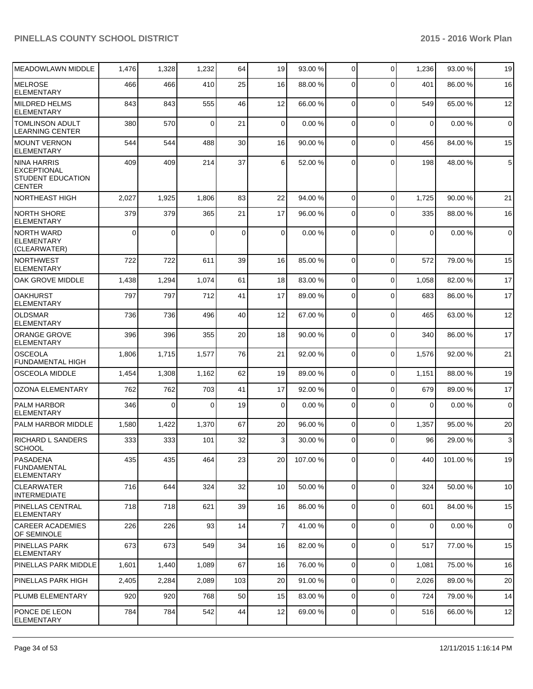| <b>MEADOWLAWN MIDDLE</b>                                                       | 1,476    | 1,328    | 1,232    | 64          | 19              | 93.00 %  | $\overline{0}$ | $\mathbf 0$ | 1,236       | 93.00 % | 19           |
|--------------------------------------------------------------------------------|----------|----------|----------|-------------|-----------------|----------|----------------|-------------|-------------|---------|--------------|
| <b>MELROSE</b><br><b>ELEMENTARY</b>                                            | 466      | 466      | 410      | 25          | 16              | 88.00 %  | 0              | $\Omega$    | 401         | 86.00 % | 16           |
| MILDRED HELMS<br><b>ELEMENTARY</b>                                             | 843      | 843      | 555      | 46          | 12              | 66.00 %  | $\overline{0}$ | $\mathbf 0$ | 549         | 65.00 % | 12           |
| <b>TOMLINSON ADULT</b><br><b>LEARNING CENTER</b>                               | 380      | 570      | $\Omega$ | 21          | $\overline{0}$  | 0.00%    | $\Omega$       | $\mathbf 0$ | $\mathbf 0$ | 0.00%   | $\mathbf 0$  |
| <b>MOUNT VERNON</b><br><b>ELEMENTARY</b>                                       | 544      | 544      | 488      | 30          | 16              | 90.00 %  | $\Omega$       | $\mathbf 0$ | 456         | 84.00%  | 15           |
| NINA HARRIS<br><b>EXCEPTIONAL</b><br><b>STUDENT EDUCATION</b><br><b>CENTER</b> | 409      | 409      | 214      | 37          | $6 \mid$        | 52.00 %  | $\Omega$       | $\Omega$    | 198         | 48.00%  | $\,$ 5 $\,$  |
| <b>NORTHEAST HIGH</b>                                                          | 2,027    | 1,925    | 1,806    | 83          | 22              | 94.00 %  | $\overline{0}$ | $\mathbf 0$ | 1,725       | 90.00%  | 21           |
| <b>NORTH SHORE</b><br><b>ELEMENTARY</b>                                        | 379      | 379      | 365      | 21          | 17              | 96.00 %  | $\overline{0}$ | $\mathbf 0$ | 335         | 88.00 % | 16           |
| INORTH WARD<br><b>ELEMENTARY</b><br>(CLEARWATER)                               | $\Omega$ | $\Omega$ | $\Omega$ | $\mathbf 0$ | $\Omega$        | 0.00%    | $\Omega$       | $\Omega$    | $\Omega$    | 0.00%   | $\mathbf 0$  |
| <b>NORTHWEST</b><br><b>ELEMENTARY</b>                                          | 722      | 722      | 611      | 39          | 16              | 85.00 %  | $\overline{0}$ | $\mathbf 0$ | 572         | 79.00 % | 15           |
| OAK GROVE MIDDLE                                                               | 1,438    | 1,294    | 1,074    | 61          | 18              | 83.00 %  | $\overline{0}$ | $\mathbf 0$ | 1,058       | 82.00%  | 17           |
| <b>OAKHURST</b><br><b>ELEMENTARY</b>                                           | 797      | 797      | 712      | 41          | 17              | 89.00 %  | $\overline{0}$ | $\Omega$    | 683         | 86.00 % | 17           |
| <b>OLDSMAR</b><br><b>ELEMENTARY</b>                                            | 736      | 736      | 496      | 40          | 12              | 67.00 %  | $\mathbf 0$    | $\mathbf 0$ | 465         | 63.00 % | 12           |
| ORANGE GROVE<br><b>ELEMENTARY</b>                                              | 396      | 396      | 355      | 20          | 18              | 90.00 %  | $\Omega$       | $\mathbf 0$ | 340         | 86.00 % | 17           |
| <b>OSCEOLA</b><br><b>FUNDAMENTAL HIGH</b>                                      | 1,806    | 1,715    | 1,577    | 76          | 21              | 92.00 %  | $\Omega$       | $\mathbf 0$ | 1,576       | 92.00%  | 21           |
| <b>OSCEOLA MIDDLE</b>                                                          | 1,454    | 1,308    | 1,162    | 62          | 19              | 89.00 %  | $\Omega$       | $\mathbf 0$ | 1,151       | 88.00 % | 19           |
| OZONA ELEMENTARY                                                               | 762      | 762      | 703      | 41          | 17              | 92.00 %  | $\Omega$       | $\Omega$    | 679         | 89.00 % | 17           |
| <b>PALM HARBOR</b><br><b>ELEMENTARY</b>                                        | 346      | $\Omega$ | $\Omega$ | 19          | $\Omega$        | 0.00%    | $\Omega$       | $\mathbf 0$ | $\Omega$    | 0.00%   | $\mathbf 0$  |
| <b>PALM HARBOR MIDDLE</b>                                                      | 1,580    | 1,422    | 1,370    | 67          | 20              | 96.00 %  | $\overline{0}$ | $\mathbf 0$ | 1,357       | 95.00 % | 20           |
| <b>RICHARD L SANDERS</b><br>SCHOOL                                             | 333      | 333      | 101      | 32          | 3 <sup>1</sup>  | 30.00 %  | 0              | $\Omega$    | 96          | 29.00 % | $\mathbf{3}$ |
| PASADENA<br><b>FUNDAMENTAL</b><br><b>ELEMENTARY</b>                            | 435      | 435      | 464      | 23          | 20 <sub>l</sub> | 107.00 % | $\overline{0}$ | $\mathbf 0$ | 440         | 101.00% | 19           |
| <b>CLEARWATER</b><br><b>INTERMEDIATE</b>                                       | 716      | 644      | 324      | 32          | 10 <sup>1</sup> | 50.00 %  | 0              | $\mathbf 0$ | 324         | 50.00 % | 10           |
| <b>PINELLAS CENTRAL</b><br><b>ELEMENTARY</b>                                   | 718      | 718      | 621      | 39          | 16              | 86.00 %  | $\Omega$       | $\mathbf 0$ | 601         | 84.00%  | 15           |
| <b>CAREER ACADEMIES</b><br><b>OF SEMINOLE</b>                                  | 226      | 226      | 93       | 14          | $\overline{7}$  | 41.00%   | $\overline{0}$ | $\mathbf 0$ | 0           | 0.00%   | $\mathbf 0$  |
| <b>PINELLAS PARK</b><br><b>ELEMENTARY</b>                                      | 673      | 673      | 549      | 34          | 16              | 82.00 %  | $\overline{0}$ | $\mathbf 0$ | 517         | 77.00 % | 15           |
| PINELLAS PARK MIDDLE                                                           | 1,601    | 1,440    | 1,089    | 67          | 16              | 76.00 %  | $\overline{0}$ | 0           | 1,081       | 75.00 % | 16           |
| PINELLAS PARK HIGH                                                             | 2,405    | 2,284    | 2,089    | 103         | 20              | 91.00 %  | $\overline{0}$ | $\mathbf 0$ | 2,026       | 89.00 % | 20           |
| <b>PLUMB ELEMENTARY</b>                                                        | 920      | 920      | 768      | 50          | 15              | 83.00 %  | 0              | $\mathbf 0$ | 724         | 79.00 % | 14           |
| PONCE DE LEON<br><b>ELEMENTARY</b>                                             | 784      | 784      | 542      | 44          | 12              | 69.00 %  | $\overline{0}$ | 0           | 516         | 66.00 % | 12           |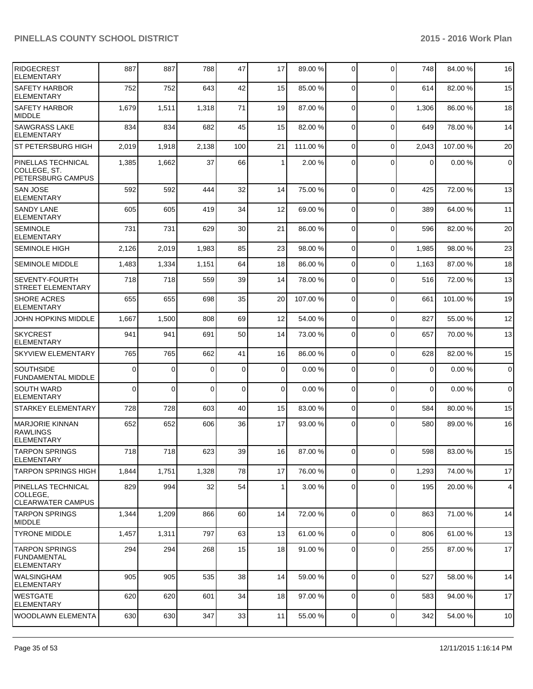| <b>RIDGECREST</b><br><b>ELEMENTARY</b>                          | 887      | 887      | 788      | 47          | 17             | 89.00 %  | $\overline{0}$ | $\Omega$     | 748         | 84.00 % | 16                      |
|-----------------------------------------------------------------|----------|----------|----------|-------------|----------------|----------|----------------|--------------|-------------|---------|-------------------------|
| <b>SAFETY HARBOR</b><br><b>ELEMENTARY</b>                       | 752      | 752      | 643      | 42          | 15             | 85.00 %  | $\Omega$       | $\Omega$     | 614         | 82.00%  | 15                      |
| <b>SAFETY HARBOR</b><br>MIDDLE                                  | 1,679    | 1,511    | 1,318    | 71          | 19             | 87.00 %  | $\Omega$       | $\mathbf 0$  | 1,306       | 86.00%  | 18                      |
| SAWGRASS LAKE<br><b>ELEMENTARY</b>                              | 834      | 834      | 682      | 45          | 15             | 82.00 %  | $\Omega$       | $\mathbf{0}$ | 649         | 78.00 % | 14                      |
| ST PETERSBURG HIGH                                              | 2,019    | 1,918    | 2,138    | 100         | 21             | 111.00 % | $\Omega$       | $\Omega$     | 2,043       | 107.00% | 20                      |
| PINELLAS TECHNICAL<br>COLLEGE, ST.<br>PETERSBURG CAMPUS         | 1,385    | 1,662    | 37       | 66          | 1              | 2.00 %   | $\Omega$       | $\Omega$     | $\Omega$    | 0.00%   | $\mathbf 0$             |
| SAN JOSE<br><b>ELEMENTARY</b>                                   | 592      | 592      | 444      | 32          | 14             | 75.00 %  | $\Omega$       | $\Omega$     | 425         | 72.00 % | 13                      |
| <b>SANDY LANE</b><br><b>ELEMENTARY</b>                          | 605      | 605      | 419      | 34          | 12             | 69.00 %  | $\Omega$       | $\Omega$     | 389         | 64.00 % | 11                      |
| SEMINOLE<br><b>ELEMENTARY</b>                                   | 731      | 731      | 629      | 30          | 21             | 86.00 %  | $\Omega$       | $\Omega$     | 596         | 82.00%  | 20                      |
| <b>SEMINOLE HIGH</b>                                            | 2,126    | 2,019    | 1,983    | 85          | 23             | 98.00 %  | $\Omega$       | 0            | 1,985       | 98.00 % | 23                      |
| <b>SEMINOLE MIDDLE</b>                                          | 1,483    | 1,334    | 1,151    | 64          | 18             | 86.00 %  | $\Omega$       | $\mathbf{0}$ | 1,163       | 87.00 % | 18                      |
| SEVENTY-FOURTH<br>STREET ELEMENTARY                             | 718      | 718      | 559      | 39          | 14             | 78.00 %  | $\Omega$       | $\mathbf{0}$ | 516         | 72.00 % | 13                      |
| <b>SHORE ACRES</b><br><b>ELEMENTARY</b>                         | 655      | 655      | 698      | 35          | 20             | 107.00 % | $\Omega$       | $\mathbf{0}$ | 661         | 101.00% | 19                      |
| JOHN HOPKINS MIDDLE                                             | 1,667    | 1,500    | 808      | 69          | 12             | 54.00 %  | $\Omega$       | $\mathbf{0}$ | 827         | 55.00 % | 12                      |
| <b>SKYCREST</b><br><b>ELEMENTARY</b>                            | 941      | 941      | 691      | 50          | 14             | 73.00 %  | $\Omega$       | $\Omega$     | 657         | 70.00 % | 13                      |
| <b>SKYVIEW ELEMENTARY</b>                                       | 765      | 765      | 662      | 41          | 16             | 86.00 %  | $\Omega$       | $\mathbf 0$  | 628         | 82.00%  | 15                      |
| <b>SOUTHSIDE</b><br><b>FUNDAMENTAL MIDDLE</b>                   | $\Omega$ | $\Omega$ | $\Omega$ | $\mathbf 0$ | $\Omega$       | 0.00%    | $\Omega$       | $\mathbf{0}$ | $\mathbf 0$ | 0.00%   | $\overline{0}$          |
| <b>SOUTH WARD</b><br>ELEMENTARY                                 | 0        | $\Omega$ | $\Omega$ | $\mathbf 0$ | $\overline{0}$ | 0.00%    | $\Omega$       | $\mathbf{0}$ | $\mathbf 0$ | 0.00%   | $\overline{0}$          |
| <b>STARKEY ELEMENTARY</b>                                       | 728      | 728      | 603      | 40          | 15             | 83.00 %  | $\Omega$       | $\mathbf{0}$ | 584         | 80.00%  | 15                      |
| <b>IMARJORIE KINNAN</b><br><b>RAWLINGS</b><br><b>ELEMENTARY</b> | 652      | 652      | 606      | 36          | 17             | 93.00 %  | $\overline{0}$ | $\Omega$     | 580         | 89.00 % | 16                      |
| <b>TARPON SPRINGS</b><br><b>ELEMENTARY</b>                      | 718      | 718      | 623      | 39          | 16             | 87.00 %  | $\overline{0}$ | 0            | 598         | 83.00%  | 15                      |
| TARPON SPRINGS HIGH                                             | 1,844    | 1,751    | 1,328    | 78          | 17             | 76.00 %  | $\overline{0}$ | 0            | 1,293       | 74.00%  | 17                      |
| PINELLAS TECHNICAL<br> COLLEGE.<br><b>CLEARWATER CAMPUS</b>     | 829      | 994      | 32       | 54          | 1 <sup>1</sup> | 3.00 %   | $\overline{0}$ | 0            | 195         | 20.00%  | $\overline{\mathbf{4}}$ |
| <b>TARPON SPRINGS</b><br>MIDDLE                                 | 1,344    | 1,209    | 866      | 60          | 14             | 72.00 %  | $\Omega$       | $\mathbf 0$  | 863         | 71.00 % | 14                      |
| <b>TYRONE MIDDLE</b>                                            | 1,457    | 1,311    | 797      | 63          | 13             | 61.00%   | $\overline{0}$ | 0            | 806         | 61.00%  | 13                      |
| <b>TARPON SPRINGS</b><br>FUNDAMENTAL<br><b>ELEMENTARY</b>       | 294      | 294      | 268      | 15          | 18             | 91.00 %  | $\overline{0}$ | 0            | 255         | 87.00 % | 17                      |
| <b>WALSINGHAM</b><br><b>ELEMENTARY</b>                          | 905      | 905      | 535      | 38          | 14             | 59.00 %  | $\Omega$       | 0            | 527         | 58.00 % | 14                      |
| <b>WESTGATE</b><br><b>ELEMENTARY</b>                            | 620      | 620      | 601      | 34          | 18             | 97.00 %  | $\overline{0}$ | 0            | 583         | 94.00%  | 17                      |
| WOODLAWN ELEMENTA                                               | 630      | 630      | 347      | 33          | 11             | 55.00 %  | $\overline{0}$ | 0            | 342         | 54.00 % | 10                      |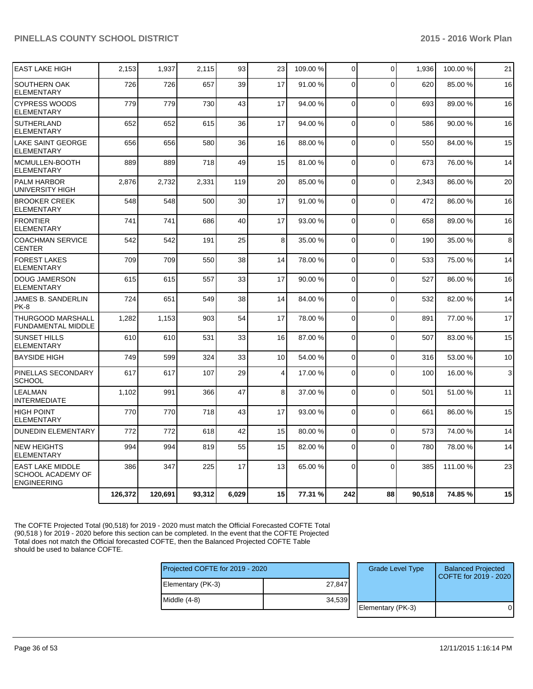|                                                                    | 126,372 | 120.691 | 93,312 | 6,029 | 15             | 77.31 % | 242         | 88          | 90.518 | 74.85%   | 15 |
|--------------------------------------------------------------------|---------|---------|--------|-------|----------------|---------|-------------|-------------|--------|----------|----|
| <b>EAST LAKE MIDDLE</b><br>SCHOOL ACADEMY OF<br><b>ENGINEERING</b> | 386     | 347     | 225    | 17    | 13             | 65.00 % | $\Omega$    | $\Omega$    | 385    | 111.00 % | 23 |
| <b>NEW HEIGHTS</b><br><b>ELEMENTARY</b>                            | 994     | 994     | 819    | 55    | 15             | 82.00 % | $\Omega$    | $\Omega$    | 780    | 78.00 %  | 14 |
| <b>DUNEDIN ELEMENTARY</b>                                          | 772     | 772     | 618    | 42    | 15             | 80.00 % | $\mathbf 0$ | $\Omega$    | 573    | 74.00 %  | 14 |
| <b>HIGH POINT</b><br><b>ELEMENTARY</b>                             | 770     | 770     | 718    | 43    | 17             | 93.00 % | $\Omega$    | $\Omega$    | 661    | 86.00 %  | 15 |
| <b>LEALMAN</b><br><b>INTERMEDIATE</b>                              | 1,102   | 991     | 366    | 47    | 8              | 37.00 % | 0           | $\Omega$    | 501    | 51.00 %  | 11 |
| PINELLAS SECONDARY<br><b>SCHOOL</b>                                | 617     | 617     | 107    | 29    | $\overline{4}$ | 17.00 % | $\Omega$    | $\Omega$    | 100    | 16.00 %  | 3  |
| <b>BAYSIDE HIGH</b>                                                | 749     | 599     | 324    | 33    | 10             | 54.00 % | $\mathbf 0$ | $\mathbf 0$ | 316    | 53.00 %  | 10 |
| <b>SUNSET HILLS</b><br><b>ELEMENTARY</b>                           | 610     | 610     | 531    | 33    | 16             | 87.00 % | $\Omega$    | $\Omega$    | 507    | 83.00 %  | 15 |
| <b>THURGOOD MARSHALL</b><br><b>FUNDAMENTAL MIDDLE</b>              | 1,282   | 1,153   | 903    | 54    | 17             | 78.00 % | 0           | $\Omega$    | 891    | 77.00 %  | 17 |
| JAMES B. SANDERLIN<br>PK-8                                         | 724     | 651     | 549    | 38    | 14             | 84.00 % | 0           | $\Omega$    | 532    | 82.00%   | 14 |
| <b>DOUG JAMERSON</b><br><b>ELEMENTARY</b>                          | 615     | 615     | 557    | 33    | 17             | 90.00 % | 0           | $\mathbf 0$ | 527    | 86.00 %  | 16 |
| <b>FOREST LAKES</b><br><b>ELEMENTARY</b>                           | 709     | 709     | 550    | 38    | 14             | 78.00 % | 0           | $\Omega$    | 533    | 75.00 %  | 14 |
| <b>COACHMAN SERVICE</b><br><b>CENTER</b>                           | 542     | 542     | 191    | 25    | 8              | 35.00 % | $\Omega$    | $\Omega$    | 190    | 35.00 %  | 8  |
| <b>FRONTIER</b><br><b>ELEMENTARY</b>                               | 741     | 741     | 686    | 40    | 17             | 93.00 % | 0           | $\mathbf 0$ | 658    | 89.00 %  | 16 |
| <b>BROOKER CREEK</b><br><b>ELEMENTARY</b>                          | 548     | 548     | 500    | 30    | 17             | 91.00%  | $\Omega$    | $\Omega$    | 472    | 86.00%   | 16 |
| <b>PALM HARBOR</b><br>UNIVERSITY HIGH                              | 2,876   | 2,732   | 2,331  | 119   | 20             | 85.00 % | $\Omega$    | $\Omega$    | 2,343  | 86.00 %  | 20 |
| MCMULLEN-BOOTH<br><b>ELEMENTARY</b>                                | 889     | 889     | 718    | 49    | 15             | 81.00%  | 0           | $\Omega$    | 673    | 76.00 %  | 14 |
| <b>LAKE SAINT GEORGE</b><br><b>ELEMENTARY</b>                      | 656     | 656     | 580    | 36    | 16             | 88.00 % | $\Omega$    | $\Omega$    | 550    | 84.00%   | 15 |
| <b>SUTHERLAND</b><br><b>ELEMENTARY</b>                             | 652     | 652     | 615    | 36    | 17             | 94.00 % | $\Omega$    | $\Omega$    | 586    | 90.00 %  | 16 |
| <b>CYPRESS WOODS</b><br><b>ELEMENTARY</b>                          | 779     | 779     | 730    | 43    | 17             | 94.00%  | $\Omega$    | $\Omega$    | 693    | 89.00 %  | 16 |
| SOUTHERN OAK<br><b>ELEMENTARY</b>                                  | 726     | 726     | 657    | 39    | 17             | 91.00 % | 0           | $\Omega$    | 620    | 85.00 %  | 16 |
| <b>EAST LAKE HIGH</b>                                              | 2,153   | 1,937   | 2.115  | 93    | 23             | 109.00% | $\Omega$    | $\Omega$    | 1.936  | 100.00%  | 21 |

The COFTE Projected Total (90,518) for 2019 - 2020 must match the Official Forecasted COFTE Total (90,518 ) for 2019 - 2020 before this section can be completed. In the event that the COFTE Projected Total does not match the Official forecasted COFTE, then the Balanced Projected COFTE Table should be used to balance COFTE.

Proj

| Projected COFTE for 2019 - 2020 |        | <b>Grade Level Type</b> | <b>Balanced Projected</b><br>COFTE for 2019 - 2020 |
|---------------------------------|--------|-------------------------|----------------------------------------------------|
| Elementary (PK-3)               | 27.847 |                         |                                                    |
| Middle (4-8)                    | 34,539 |                         |                                                    |
|                                 |        | Elementary (PK-3)       |                                                    |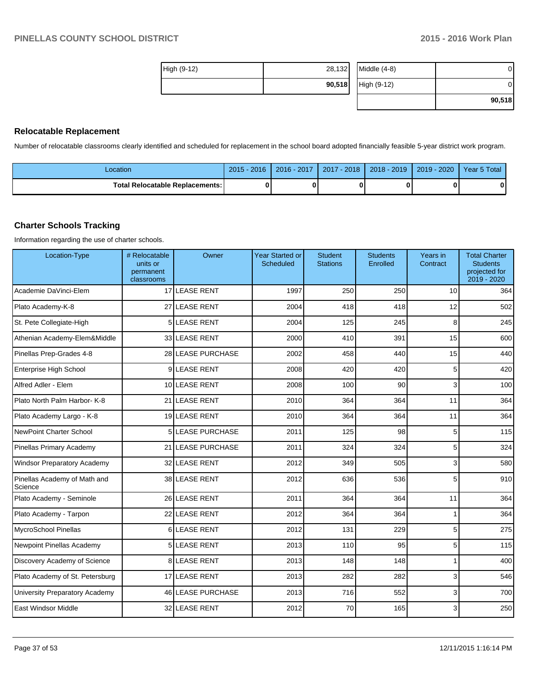| High (9-12) | 28,132 | Middle $(4-8)$ | 0      |
|-------------|--------|----------------|--------|
|             | 90,518 | High (9-12)    | 0      |
|             |        |                | 90,518 |

#### **Relocatable Replacement**

Number of relocatable classrooms clearly identified and scheduled for replacement in the school board adopted financially feasible 5-year district work program.

| ∟ocation                          | 2015<br>2016 | 2016 - 2017 | $-2018$<br>2017 | $2018 - 2019$ | 2020<br>$2019 -$ | Year 5 Total |
|-----------------------------------|--------------|-------------|-----------------|---------------|------------------|--------------|
| Total Relocatable Replacements: I |              |             |                 |               |                  |              |

#### **Charter Schools Tracking**

Information regarding the use of charter schools.

| Location-Type                           | # Relocatable<br>units or<br>permanent<br>classrooms | Owner                 | <b>Year Started or</b><br>Scheduled | <b>Student</b><br><b>Stations</b> | <b>Students</b><br>Enrolled | Years in<br>Contract | <b>Total Charter</b><br><b>Students</b><br>projected for<br>2019 - 2020 |
|-----------------------------------------|------------------------------------------------------|-----------------------|-------------------------------------|-----------------------------------|-----------------------------|----------------------|-------------------------------------------------------------------------|
| Academie DaVinci-Elem                   |                                                      | 17 LEASE RENT         | 1997                                | 250                               | 250                         | 10                   | 364                                                                     |
| Plato Academy-K-8                       |                                                      | 27 LEASE RENT         | 2004                                | 418                               | 418                         | 12                   | 502                                                                     |
| St. Pete Collegiate-High                |                                                      | 5LEASE RENT           | 2004                                | 125                               | 245                         | 8                    | 245                                                                     |
| Athenian Academy-Elem&Middle            |                                                      | 33 LEASE RENT         | 2000                                | 410                               | 391                         | 15                   | 600                                                                     |
| Pinellas Prep-Grades 4-8                |                                                      | 28 LEASE PURCHASE     | 2002                                | 458                               | 440                         | 15                   | 440                                                                     |
| Enterprise High School                  |                                                      | 9LEASE RENT           | 2008                                | 420                               | 420                         | 5                    | 420                                                                     |
| Alfred Adler - Elem                     |                                                      | 10 LEASE RENT         | 2008                                | 100                               | 90                          | 3                    | 100                                                                     |
| Plato North Palm Harbor- K-8            | 21                                                   | <b>LEASE RENT</b>     | 2010                                | 364                               | 364                         | 11                   | 364                                                                     |
| Plato Academy Largo - K-8               |                                                      | 19 LEASE RENT         | 2010                                | 364                               | 364                         | 11                   | 364                                                                     |
| <b>NewPoint Charter School</b>          | 5                                                    | <b>LEASE PURCHASE</b> | 2011                                | 125                               | 98                          | 5                    | 115                                                                     |
| Pinellas Primary Academy                | 21                                                   | <b>LEASE PURCHASE</b> | 2011                                | 324                               | 324                         | 5                    | 324                                                                     |
| <b>Windsor Preparatory Academy</b>      |                                                      | 32 LEASE RENT         | 2012                                | 349                               | 505                         | 3                    | 580                                                                     |
| Pinellas Academy of Math and<br>Science |                                                      | 38 LEASE RENT         | 2012                                | 636                               | 536                         | 5                    | 910                                                                     |
| Plato Academy - Seminole                |                                                      | 26 LEASE RENT         | 2011                                | 364                               | 364                         | 11                   | 364                                                                     |
| Plato Academy - Tarpon                  |                                                      | 22 LEASE RENT         | 2012                                | 364                               | 364                         | 1                    | 364                                                                     |
| MycroSchool Pinellas                    |                                                      | 6LEASE RENT           | 2012                                | 131                               | 229                         | 5                    | 275                                                                     |
| Newpoint Pinellas Academy               | 5                                                    | <b>LEASE RENT</b>     | 2013                                | 110                               | 95                          | 5                    | 115                                                                     |
| Discovery Academy of Science            |                                                      | <b>8 LEASE RENT</b>   | 2013                                | 148                               | 148                         | 1                    | 400                                                                     |
| Plato Academy of St. Petersburg         |                                                      | 17 LEASE RENT         | 2013                                | 282                               | 282                         | 3                    | 546                                                                     |
| University Preparatory Academy          |                                                      | 46 LEASE PURCHASE     | 2013                                | 716                               | 552                         | $\overline{3}$       | 700                                                                     |
| <b>East Windsor Middle</b>              |                                                      | 32 LEASE RENT         | 2012                                | 70                                | 165                         | $\overline{3}$       | 250                                                                     |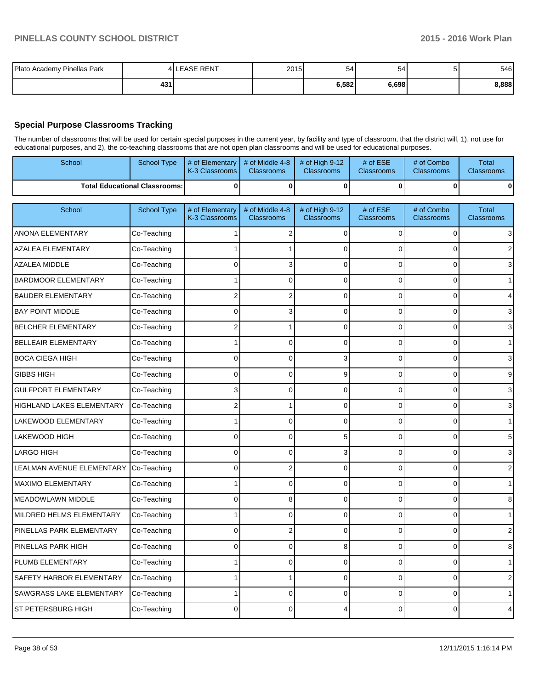| Plato Academy Pinellas Park |     | <b>LEASE RENT</b> | 2015 | 54    | 54    | 546   |
|-----------------------------|-----|-------------------|------|-------|-------|-------|
|                             | 431 |                   |      | 6,582 | 6,698 | 8,888 |

### **Special Purpose Classrooms Tracking**

The number of classrooms that will be used for certain special purposes in the current year, by facility and type of classroom, that the district will, 1), not use for educational purposes, and 2), the co-teaching classrooms that are not open plan classrooms and will be used for educational purposes.

|                                 | educational purposes, and 2), the co-teaching classrooms that are not open plan classrooms and will be used for educational purposes. |                                   |                                      |                                     |                            |                                 |                                   |  |  |  |  |
|---------------------------------|---------------------------------------------------------------------------------------------------------------------------------------|-----------------------------------|--------------------------------------|-------------------------------------|----------------------------|---------------------------------|-----------------------------------|--|--|--|--|
| School                          | <b>School Type</b>                                                                                                                    | # of Elementary<br>K-3 Classrooms | # of Middle 4-8<br><b>Classrooms</b> | # of High 9-12<br><b>Classrooms</b> | $#$ of $ESE$<br>Classrooms | # of Combo<br><b>Classrooms</b> | <b>Total</b><br>Classrooms        |  |  |  |  |
|                                 | <b>Total Educational Classrooms:</b>                                                                                                  | 0                                 | $\bf{0}$                             | $\bf{0}$                            | 0                          | 0                               | $\bf{0}$                          |  |  |  |  |
| School                          | <b>School Type</b>                                                                                                                    | # of Elementary<br>K-3 Classrooms | # of Middle 4-8<br><b>Classrooms</b> | # of High 9-12<br><b>Classrooms</b> | # of ESE<br>Classrooms     | # of Combo<br><b>Classrooms</b> | <b>Total</b><br><b>Classrooms</b> |  |  |  |  |
| <b>ANONA ELEMENTARY</b>         | Co-Teaching                                                                                                                           |                                   | 2                                    | $\Omega$                            | 0                          | 0                               | 3                                 |  |  |  |  |
| AZALEA ELEMENTARY               | Co-Teaching                                                                                                                           |                                   |                                      | $\Omega$                            | $\Omega$                   | $\Omega$                        | $\overline{2}$                    |  |  |  |  |
| <b>AZALEA MIDDLE</b>            | Co-Teaching                                                                                                                           | 0                                 | 3                                    | $\Omega$                            | 0                          | 0                               | 3                                 |  |  |  |  |
| <b>BARDMOOR ELEMENTARY</b>      | Co-Teaching                                                                                                                           |                                   | 0                                    | $\Omega$                            | 0                          | 0                               | $\mathbf{1}$                      |  |  |  |  |
| <b>BAUDER ELEMENTARY</b>        | Co-Teaching                                                                                                                           | 2                                 | 2                                    | $\Omega$                            | $\Omega$                   | $\Omega$                        | $\overline{\mathbf{4}}$           |  |  |  |  |
| <b>BAY POINT MIDDLE</b>         | Co-Teaching                                                                                                                           | 0                                 | 3                                    | $\Omega$                            | 0                          | $\overline{0}$                  | 3                                 |  |  |  |  |
| <b>BELCHER ELEMENTARY</b>       | Co-Teaching                                                                                                                           | $\overline{2}$                    | 1                                    | $\mathbf 0$                         | 0                          | 0                               | 3                                 |  |  |  |  |
| BELLEAIR ELEMENTARY             | Co-Teaching                                                                                                                           |                                   | $\overline{0}$                       | $\Omega$                            | $\Omega$                   | 0                               | $\mathbf{1}$                      |  |  |  |  |
| <b>BOCA CIEGA HIGH</b>          | Co-Teaching                                                                                                                           | 0                                 | $\overline{0}$                       | 3                                   | 0                          | $\Omega$                        | 3                                 |  |  |  |  |
| <b>GIBBS HIGH</b>               | Co-Teaching                                                                                                                           | $\Omega$                          | 0                                    | 9                                   | 0                          | 0                               | 9                                 |  |  |  |  |
| <b>GULFPORT ELEMENTARY</b>      | Co-Teaching                                                                                                                           | 3                                 | 0                                    | $\Omega$                            | $\Omega$                   | $\Omega$                        | 3                                 |  |  |  |  |
| HIGHLAND LAKES ELEMENTARY       | Co-Teaching                                                                                                                           | 2                                 | 1                                    | $\mathbf 0$                         | 0                          | 0                               | $\mathsf 3$                       |  |  |  |  |
| LAKEWOOD ELEMENTARY             | Co-Teaching                                                                                                                           |                                   | 0                                    | $\Omega$                            | $\Omega$                   | 0                               | $\mathbf{1}$                      |  |  |  |  |
| LAKEWOOD HIGH                   | Co-Teaching                                                                                                                           | $\Omega$                          | 0                                    | 5                                   | $\Omega$                   | $\overline{0}$                  | $\mathbf 5$                       |  |  |  |  |
| <b>LARGO HIGH</b>               | Co-Teaching                                                                                                                           | $\Omega$                          | 0                                    | 3                                   | 0                          | $\overline{0}$                  | $\mathsf 3$                       |  |  |  |  |
| LEALMAN AVENUE ELEMENTARY       | Co-Teaching                                                                                                                           | 0                                 | 2                                    | $\Omega$                            | $\Omega$                   | $\Omega$                        | $\overline{2}$                    |  |  |  |  |
| MAXIMO ELEMENTARY               | Co-Teaching                                                                                                                           |                                   | 0                                    | $\mathbf 0$                         | 0                          | 0                               | $\mathbf{1}$                      |  |  |  |  |
| <b>MEADOWLAWN MIDDLE</b>        | Co-Teaching                                                                                                                           | 0                                 | 8                                    | $\overline{0}$                      | 0                          | $\overline{0}$                  | 8                                 |  |  |  |  |
| MILDRED HELMS ELEMENTARY        | Co-Teaching                                                                                                                           |                                   | 0                                    | $\Omega$                            | $\Omega$                   | $\overline{0}$                  | $\mathbf{1}$                      |  |  |  |  |
| PINELLAS PARK ELEMENTARY        | Co-Teaching                                                                                                                           | $\mathbf 0$                       | 2                                    | $\mathbf 0$                         | 0                          | 0                               | $\mathbf 2$                       |  |  |  |  |
| PINELLAS PARK HIGH              | Co-Teaching                                                                                                                           | 0                                 | 0                                    | 8                                   | 0                          | 0                               | 8                                 |  |  |  |  |
| PLUMB ELEMENTARY                | Co-Teaching                                                                                                                           |                                   | 0                                    | $\Omega$                            | 0                          | $\overline{0}$                  | $\mathbf{1}$                      |  |  |  |  |
| SAFETY HARBOR ELEMENTARY        | Co-Teaching                                                                                                                           |                                   | 1                                    | $\Omega$                            | $\Omega$                   | $\Omega$                        | $\overline{2}$                    |  |  |  |  |
| <b>SAWGRASS LAKE ELEMENTARY</b> | Co-Teaching                                                                                                                           |                                   |                                      |                                     |                            |                                 | $\mathbf{1}$                      |  |  |  |  |

ST PETERSBURG HIGH  $|$  Co-Teaching  $|$  0 0 0 0 4 0 0 0 0 4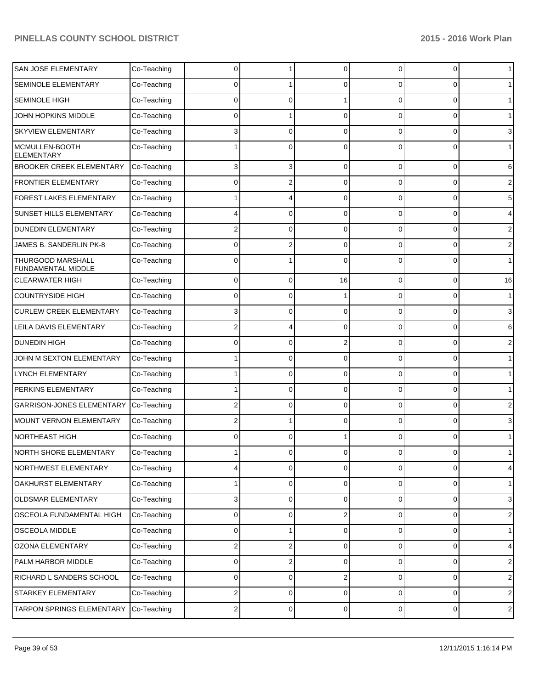| SAN JOSE ELEMENTARY                     | Co-Teaching | 0 |          | $\Omega$       | 0              | 0              | $\mathbf 1$    |
|-----------------------------------------|-------------|---|----------|----------------|----------------|----------------|----------------|
| SEMINOLE ELEMENTARY                     | Co-Teaching | 0 |          | $\Omega$       | 0              | 0              | $\mathbf 1$    |
| SEMINOLE HIGH                           | Co-Teaching | 0 | 0        |                | 0              | 0              | 1 <sup>1</sup> |
| JOHN HOPKINS MIDDLE                     | Co-Teaching | 0 |          | $\Omega$       | 0              | 0              | $\mathbf 1$    |
| SKYVIEW ELEMENTARY                      | Co-Teaching | 3 | 0        | $\Omega$       | 0              | 0              | 3              |
| MCMULLEN-BOOTH<br><b>ELEMENTARY</b>     | Co-Teaching |   | U        | $\Omega$       | 0              | 0              | 1              |
| BROOKER CREEK ELEMENTARY                | Co-Teaching | 3 | 3        | $\Omega$       | 0              | 0              | 6              |
| FRONTIER ELEMENTARY                     | Co-Teaching | 0 |          | $\Omega$       | 0              | 0              | 2              |
| FOREST LAKES ELEMENTARY                 | Co-Teaching |   |          | $\Omega$       | 0              | 0              | 5              |
| SUNSET HILLS ELEMENTARY                 | Co-Teaching |   | 0        | $\Omega$       | 0              | 0              | 4              |
| <b>DUNEDIN ELEMENTARY</b>               | Co-Teaching | 2 | 0        | $\Omega$       | 0              | 0              | 2              |
| JAMES B. SANDERLIN PK-8                 | Co-Teaching | 0 |          | $\Omega$       | 0              | 0              | 2              |
| THURGOOD MARSHALL<br>FUNDAMENTAL MIDDLE | Co-Teaching | 0 |          | $\Omega$       | 0              | 0              | $\mathbf 1$    |
| <b>CLEARWATER HIGH</b>                  | Co-Teaching | 0 | $\Omega$ | 16             | 0              | 0              | 16             |
| <b>COUNTRYSIDE HIGH</b>                 | Co-Teaching | 0 | O        |                | 0              | 0              | $\mathbf{1}$   |
| <b>CURLEW CREEK ELEMENTARY</b>          | Co-Teaching | 3 | 0        | $\Omega$       | 0              | 0              | 3              |
| LEILA DAVIS ELEMENTARY                  | Co-Teaching | 2 |          | $\Omega$       | 0              | 0              | 6              |
| <b>DUNEDIN HIGH</b>                     | Co-Teaching | 0 | 0        | $\overline{2}$ | 0              | 0              | 2              |
| JOHN M SEXTON ELEMENTARY                | Co-Teaching |   | 0        | $\Omega$       | 0              | 0              | $\mathbf{1}$   |
| LYNCH ELEMENTARY                        | Co-Teaching |   | $\Omega$ | $\Omega$       | 0              | 0              | $\mathbf{1}$   |
| PERKINS ELEMENTARY                      | Co-Teaching |   | 0        | $\Omega$       | 0              | 0              | $\mathbf{1}$   |
| <b>GARRISON-JONES ELEMENTARY</b>        | Co-Teaching | 2 | 0        | $\Omega$       | 0              | 0              | 2              |
| <b>MOUNT VERNON ELEMENTARY</b>          | Co-Teaching | 2 |          | $\Omega$       | 0              | 0              | 3              |
| <b>NORTHEAST HIGH</b>                   | Co-Teaching | 0 | $\Omega$ |                | 0              | 0              | $\mathbf{1}$   |
| NORTH SHORE ELEMENTARY                  | Co-Teaching |   |          |                |                |                |                |
| NORTHWEST ELEMENTARY                    | Co-Teaching | 4 | 0        | $\mathbf 0$    | $\overline{0}$ | 0              | $\overline{4}$ |
| OAKHURST ELEMENTARY                     | Co-Teaching | 1 | 0        | $\mathbf 0$    | $\overline{0}$ | 0              | $\mathbf{1}$   |
| OLDSMAR ELEMENTARY                      | Co-Teaching | 3 | 0        | $\mathbf 0$    | $\overline{0}$ | $\overline{0}$ | $\mathbf{3}$   |
| OSCEOLA FUNDAMENTAL HIGH                | Co-Teaching | 0 | 0        | $\overline{2}$ | $\overline{0}$ | 0              | $\sqrt{2}$     |
| OSCEOLA MIDDLE                          | Co-Teaching | 0 | 1        | $\mathbf 0$    | $\overline{0}$ | 0              | $\mathbf{1}$   |
| OZONA ELEMENTARY                        | Co-Teaching | 2 | 2        | $\mathbf 0$    | $\overline{0}$ | 0              | $\overline{4}$ |
| PALM HARBOR MIDDLE                      | Co-Teaching | 0 | 2        | $\mathbf 0$    | $\overline{0}$ | $\overline{0}$ | $\sqrt{2}$     |
| RICHARD L SANDERS SCHOOL                | Co-Teaching | 0 | 0        | $\overline{2}$ | $\overline{0}$ | 0              | $\sqrt{2}$     |
| STARKEY ELEMENTARY                      | Co-Teaching | 2 | 0        | $\mathbf 0$    | $\overline{0}$ | $\overline{0}$ | $\overline{2}$ |
| TARPON SPRINGS ELEMENTARY               | Co-Teaching | 2 | 0        | $\pmb{0}$      | $\overline{0}$ | $\overline{0}$ | $\sqrt{2}$     |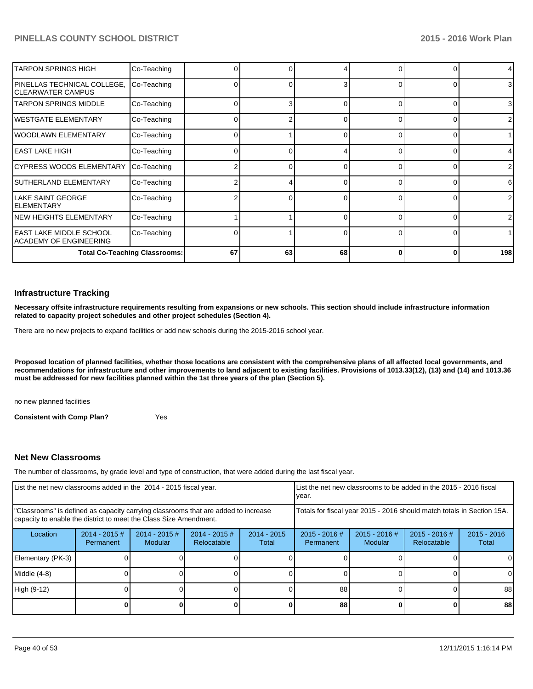| <b>TARPON SPRINGS HIGH</b>                          | Co-Teaching                          |    |    |    |          | $\overline{4}$ |
|-----------------------------------------------------|--------------------------------------|----|----|----|----------|----------------|
| PINELLAS TECHNICAL COLLEGE,<br>ICLEARWATER CAMPUS   | Co-Teaching                          |    |    | 3  | $\Omega$ | 3 <sup>1</sup> |
| <b>ITARPON SPRINGS MIDDLE</b>                       | Co-Teaching                          |    |    |    | $\Omega$ | 3 <sup>l</sup> |
| lwestgate elementary                                | Co-Teaching                          |    |    |    | 0        | $\mathbf{2}$   |
| IWOODLAWN ELEMENTARY                                | Co-Teaching                          |    |    |    | 0        |                |
| lEAST LAKE HIGH                                     | Co-Teaching                          |    |    |    | $\Omega$ | 41             |
| CYPRESS WOODS ELEMENTARY                            | Co-Teaching                          |    |    |    |          | $\overline{2}$ |
| SUTHERLAND ELEMENTARY                               | Co-Teaching                          |    |    |    |          | 6              |
| lLAKE SAINT GEORGE<br><b>IELEMENTARY</b>            | Co-Teaching                          |    |    |    |          | $\overline{2}$ |
| NEW HEIGHTS ELEMENTARY                              | Co-Teaching                          |    |    | U  | $\Omega$ | ا 2            |
| IEAST LAKE MIDDLE SCHOOL<br>IACADEMY OF ENGINEERING | Co-Teaching                          |    |    | 0  | $\Omega$ |                |
|                                                     | <b>Total Co-Teaching Classrooms:</b> | 67 | 63 | 68 | O        | 198            |

#### **Infrastructure Tracking**

**Necessary offsite infrastructure requirements resulting from expansions or new schools. This section should include infrastructure information related to capacity project schedules and other project schedules (Section 4).**

There are no new projects to expand facilities or add new schools during the 2015-2016 school year.

**Proposed location of planned facilities, whether those locations are consistent with the comprehensive plans of all affected local governments, and recommendations for infrastructure and other improvements to land adjacent to existing facilities. Provisions of 1013.33(12), (13) and (14) and 1013.36 must be addressed for new facilities planned within the 1st three years of the plan (Section 5).**

no new planned facilities

**Consistent with Comp Plan?** Yes

#### **Net New Classrooms**

The number of classrooms, by grade level and type of construction, that were added during the last fiscal year.

| List the net new classrooms added in the 2014 - 2015 fiscal year.                                                                                       |                              |                            |                                                                        | List the net new classrooms to be added in the 2015 - 2016 fiscal<br>Ivear. |                              |                            |                                |                        |
|---------------------------------------------------------------------------------------------------------------------------------------------------------|------------------------------|----------------------------|------------------------------------------------------------------------|-----------------------------------------------------------------------------|------------------------------|----------------------------|--------------------------------|------------------------|
| "Classrooms" is defined as capacity carrying classrooms that are added to increase<br>capacity to enable the district to meet the Class Size Amendment. |                              |                            | Totals for fiscal year 2015 - 2016 should match totals in Section 15A. |                                                                             |                              |                            |                                |                        |
| Location                                                                                                                                                | $2014 - 2015$ #<br>Permanent | $2014 - 2015$ #<br>Modular | $2014 - 2015$ #<br>Relocatable                                         | $2014 - 2015$<br>Total                                                      | $2015 - 2016$ #<br>Permanent | $2015 - 2016$ #<br>Modular | $2015 - 2016$ #<br>Relocatable | $2015 - 2016$<br>Total |
| Elementary (PK-3)                                                                                                                                       |                              |                            |                                                                        |                                                                             |                              |                            |                                |                        |
| Middle (4-8)                                                                                                                                            |                              |                            |                                                                        |                                                                             |                              |                            |                                | $\Omega$               |
| High (9-12)                                                                                                                                             |                              |                            |                                                                        |                                                                             | 88                           |                            |                                | 88                     |
|                                                                                                                                                         |                              |                            |                                                                        |                                                                             | 88                           |                            |                                | 88                     |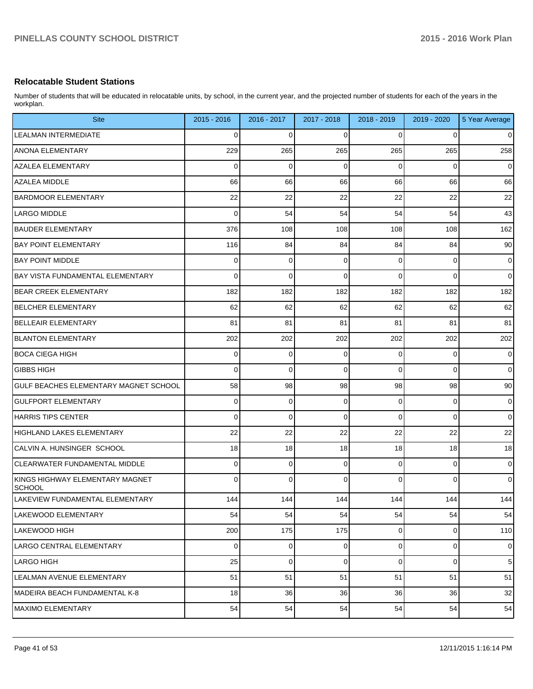#### **Relocatable Student Stations**

Number of students that will be educated in relocatable units, by school, in the current year, and the projected number of students for each of the years in the workplan.

| <b>Site</b>                                      | $2015 - 2016$ | 2016 - 2017 | 2017 - 2018 | 2018 - 2019 | 2019 - 2020 | 5 Year Average |
|--------------------------------------------------|---------------|-------------|-------------|-------------|-------------|----------------|
| <b>LEALMAN INTERMEDIATE</b>                      | 0             | $\mathbf 0$ | $\Omega$    | 0           | 0           | $\mathbf 0$    |
| <b>ANONA ELEMENTARY</b>                          | 229           | 265         | 265         | 265         | 265         | 258            |
| <b>AZALEA ELEMENTARY</b>                         | 0             | $\mathbf 0$ | $\mathbf 0$ | 0           | 0           | $\mathbf 0$    |
| AZALEA MIDDLE                                    | 66            | 66          | 66          | 66          | 66          | 66             |
| <b>BARDMOOR ELEMENTARY</b>                       | 22            | 22          | 22          | 22          | 22          | 22             |
| LARGO MIDDLE                                     | 0             | 54          | 54          | 54          | 54          | 43             |
| <b>BAUDER ELEMENTARY</b>                         | 376           | 108         | 108         | 108         | 108         | 162            |
| <b>BAY POINT ELEMENTARY</b>                      | 116           | 84          | 84          | 84          | 84          | 90             |
| <b>BAY POINT MIDDLE</b>                          | 0             | $\mathbf 0$ | 0           | 0           | 0           | $\mathbf 0$    |
| <b>BAY VISTA FUNDAMENTAL ELEMENTARY</b>          | 0             | 0           | $\Omega$    | 0           | 0           | $\mathbf 0$    |
| <b>BEAR CREEK ELEMENTARY</b>                     | 182           | 182         | 182         | 182         | 182         | 182            |
| <b>BELCHER ELEMENTARY</b>                        | 62            | 62          | 62          | 62          | 62          | 62             |
| <b>BELLEAIR ELEMENTARY</b>                       | 81            | 81          | 81          | 81          | 81          | 81             |
| <b>BLANTON ELEMENTARY</b>                        | 202           | 202         | 202         | 202         | 202         | 202            |
| <b>BOCA CIEGA HIGH</b>                           | 0             | $\mathbf 0$ | 0           | 0           | 0           | $\mathbf 0$    |
| <b>GIBBS HIGH</b>                                | 0             | $\mathbf 0$ | $\Omega$    | 0           | 0           | $\mathbf 0$    |
| GULF BEACHES ELEMENTARY MAGNET SCHOOL            | 58            | 98          | 98          | 98          | 98          | 90             |
| <b>GULFPORT ELEMENTARY</b>                       | 0             | $\mathbf 0$ | $\Omega$    | 0           | 0           | $\mathbf 0$    |
| HARRIS TIPS CENTER                               | 0             | $\mathbf 0$ | $\Omega$    | 0           | 0           | $\mathbf 0$    |
| HIGHLAND LAKES ELEMENTARY                        | 22            | 22          | 22          | 22          | 22          | 22             |
| CALVIN A. HUNSINGER SCHOOL                       | 18            | 18          | 18          | 18          | 18          | 18             |
| <b>CLEARWATER FUNDAMENTAL MIDDLE</b>             | 0             | $\mathbf 0$ | $\Omega$    | 0           | 0           | $\mathbf 0$    |
| KINGS HIGHWAY ELEMENTARY MAGNET<br><b>SCHOOL</b> | 0             | 0           | $\Omega$    | $\Omega$    | 0           | $\mathbf 0$    |
| LAKEVIEW FUNDAMENTAL ELEMENTARY                  | 144           | 144         | 144 l       | 144         | 144         | 144            |
| LAKEWOOD ELEMENTARY                              | 54            | 54          | 54          | 54          | 54          | 54             |
| LAKEWOOD HIGH                                    | 200           | 175         | 175         | 0           | 0           | 110            |
| LARGO CENTRAL ELEMENTARY                         | 0             | 0           | 0           | 0           | 0           | 0              |
| LARGO HIGH                                       | 25            | 0           | 0           | 0           | 0           | 5              |
| LEALMAN AVENUE ELEMENTARY                        | 51            | 51          | 51          | 51          | 51          | 51             |
| MADEIRA BEACH FUNDAMENTAL K-8                    | 18            | 36          | 36          | 36          | 36          | 32             |
| <b>MAXIMO ELEMENTARY</b>                         | 54            | 54          | 54          | 54          | 54          | 54             |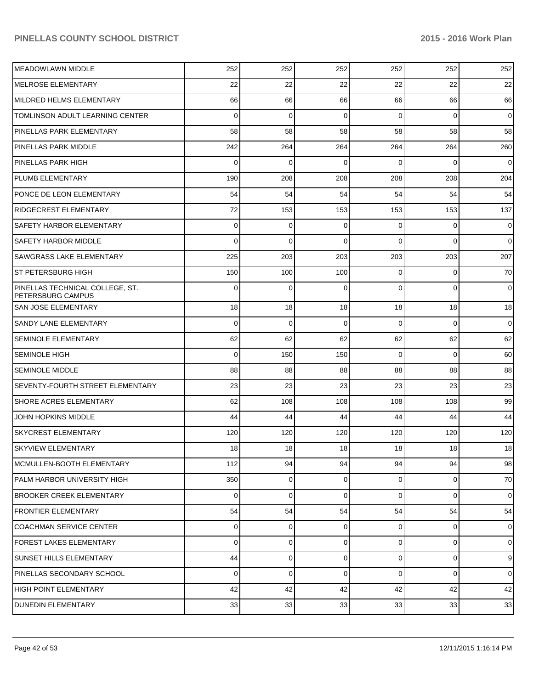| MEADOWLAWN MIDDLE                                    | 252            | 252            | 252      | 252            | 252            | 252            |
|------------------------------------------------------|----------------|----------------|----------|----------------|----------------|----------------|
| <b>IMELROSE ELEMENTARY</b>                           | 22             | 22             | 22       | 22             | 22             | 22             |
| MILDRED HELMS ELEMENTARY                             | 66             | 66             | 66       | 66             | 66             | 66             |
| TOMLINSON ADULT LEARNING CENTER                      | $\Omega$       | $\mathbf 0$    | 0        | $\Omega$       | $\Omega$       | $\overline{0}$ |
| PINELLAS PARK ELEMENTARY                             | 58             | 58             | 58       | 58             | 58             | 58             |
| PINELLAS PARK MIDDLE                                 | 242            | 264            | 264      | 264            | 264            | 260            |
| PINELLAS PARK HIGH                                   | $\Omega$       | $\Omega$       | 0        | $\Omega$       | $\Omega$       | $\mathbf 0$    |
| PLUMB ELEMENTARY                                     | 190            | 208            | 208      | 208            | 208            | 204            |
| PONCE DE LEON ELEMENTARY                             | 54             | 54             | 54       | 54             | 54             | 54             |
| <b>RIDGECREST ELEMENTARY</b>                         | 72             | 153            | 153      | 153            | 153            | 137            |
| SAFETY HARBOR ELEMENTARY                             | $\Omega$       | 0              | $\Omega$ | $\Omega$       | $\Omega$       | $\mathbf 0$    |
| <b>SAFETY HARBOR MIDDLE</b>                          | $\Omega$       | 0              | $\Omega$ | $\Omega$       | $\Omega$       | $\overline{0}$ |
| <b>SAWGRASS LAKE ELEMENTARY</b>                      | 225            | 203            | 203      | 203            | 203            | 207            |
| <b>ST PETERSBURG HIGH</b>                            | 150            | 100            | 100      | $\Omega$       | $\Omega$       | 70             |
| PINELLAS TECHNICAL COLLEGE, ST.<br>PETERSBURG CAMPUS | $\Omega$       | $\Omega$       | $\Omega$ | $\Omega$       | $\Omega$       | $\mathbf 0$    |
| <b>SAN JOSE ELEMENTARY</b>                           | 18             | 18             | 18       | 18             | 18             | 18             |
| <b>SANDY LANE ELEMENTARY</b>                         | $\Omega$       | $\mathbf 0$    | 0        | $\Omega$       | $\Omega$       | $\mathbf 0$    |
| <b>SEMINOLE ELEMENTARY</b>                           | 62             | 62             | 62       | 62             | 62             | 62             |
| <b>SEMINOLE HIGH</b>                                 | $\Omega$       | 150            | 150      | $\Omega$       | $\Omega$       | 60             |
| <b>SEMINOLE MIDDLE</b>                               | 88             | 88             | 88       | 88             | 88             | 88             |
| <b>SEVENTY-FOURTH STREET ELEMENTARY</b>              | 23             | 23             | 23       | 23             | 23             | 23             |
| <b>SHORE ACRES ELEMENTARY</b>                        | 62             | 108            | 108      | 108            | 108            | 99             |
| JOHN HOPKINS MIDDLE                                  | 44             | 44             | 44       | 44             | 44             | 44             |
| <b>SKYCREST ELEMENTARY</b>                           | 120            | 120            | 120      | 120            | 120            | 120            |
| <b>SKYVIEW ELEMENTARY</b>                            | 18             | 18             | 18       | 18             | 18             | 18             |
| MCMULLEN-BOOTH ELEMENTARY                            | 112            | 94             | 94       | 94             | 94             | 98             |
| PALM HARBOR UNIVERSITY HIGH                          | 350            | $\overline{0}$ | 0        | $\overline{0}$ | $\overline{0}$ | 70             |
| BROOKER CREEK ELEMENTARY                             | $\overline{0}$ | 0              | 0        | $\Omega$       | $\mathbf 0$    | $\overline{0}$ |
| <b>FRONTIER ELEMENTARY</b>                           | 54             | 54             | 54       | 54             | 54             | 54             |
| <b>COACHMAN SERVICE CENTER</b>                       | $\overline{0}$ | 0              | 0        | $\overline{0}$ | 0              | $\overline{0}$ |
| <b>FOREST LAKES ELEMENTARY</b>                       | $\Omega$       | $\overline{0}$ | 0        | $\Omega$       | $\mathbf 0$    | $\overline{0}$ |
| <b>SUNSET HILLS ELEMENTARY</b>                       | 44             | 0              | 0        | $\Omega$       | $\mathbf 0$    | 9              |
| PINELLAS SECONDARY SCHOOL                            | $\Omega$       | $\mathbf 0$    | $\Omega$ | $\Omega$       | 0              | $\overline{0}$ |
| HIGH POINT ELEMENTARY                                | 42             | 42             | 42       | 42             | 42             | 42             |
| <b>DUNEDIN ELEMENTARY</b>                            | 33             | 33             | 33       | 33             | 33             | 33             |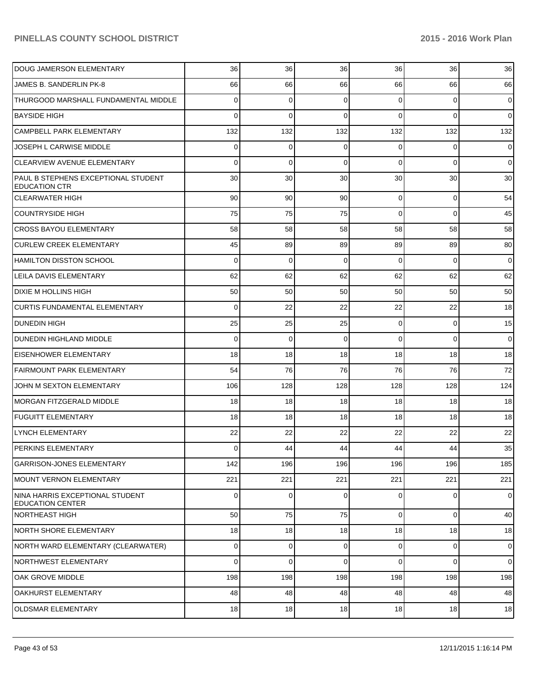| <b>DOUG JAMERSON ELEMENTARY</b>                             | 36             | 36          | 36       | 36             | 36             | 36             |
|-------------------------------------------------------------|----------------|-------------|----------|----------------|----------------|----------------|
| JAMES B. SANDERLIN PK-8                                     | 66             | 66          | 66       | 66             | 66             | 66             |
| THURGOOD MARSHALL FUNDAMENTAL MIDDLE                        | 0              | 0           | 0        | $\Omega$       | 0              | $\overline{0}$ |
| <b>BAYSIDE HIGH</b>                                         | 0              | $\mathbf 0$ | 0        | $\Omega$       | $\mathbf 0$    | $\overline{0}$ |
| <b>CAMPBELL PARK ELEMENTARY</b>                             | 132            | 132         | 132      | 132            | 132            | 132            |
| JOSEPH L CARWISE MIDDLE                                     | 0              | 0           | 0        | $\Omega$       | $\mathbf 0$    | $\overline{0}$ |
| CLEARVIEW AVENUE ELEMENTARY                                 | 0              | $\mathbf 0$ | $\Omega$ | $\Omega$       | 0              | $\overline{0}$ |
| PAUL B STEPHENS EXCEPTIONAL STUDENT<br><b>EDUCATION CTR</b> | 30             | 30          | 30       | 30             | 30             | 30             |
| <b>CLEARWATER HIGH</b>                                      | 90             | 90          | 90       | $\overline{0}$ | $\mathbf 0$    | 54             |
| COUNTRYSIDE HIGH                                            | 75             | 75          | 75       | $\Omega$       | $\mathbf 0$    | 45             |
| <b>CROSS BAYOU ELEMENTARY</b>                               | 58             | 58          | 58       | 58             | 58             | 58             |
| <b>CURLEW CREEK ELEMENTARY</b>                              | 45             | 89          | 89       | 89             | 89             | 80             |
| HAMILTON DISSTON SCHOOL                                     | $\mathbf 0$    | 0           | 0        | $\Omega$       | $\mathbf 0$    | $\mathbf 0$    |
| LEILA DAVIS ELEMENTARY                                      | 62             | 62          | 62       | 62             | 62             | 62             |
| DIXIE M HOLLINS HIGH                                        | 50             | 50          | 50       | 50             | 50             | 50             |
| <b>CURTIS FUNDAMENTAL ELEMENTARY</b>                        | 0              | 22          | 22       | 22             | 22             | 18             |
| <b>DUNEDIN HIGH</b>                                         | 25             | 25          | 25       | $\overline{0}$ | 0              | 15             |
| DUNEDIN HIGHLAND MIDDLE                                     | 0              | 0           | 0        | $\Omega$       | $\mathbf 0$    | $\overline{0}$ |
| <b>EISENHOWER ELEMENTARY</b>                                | 18             | 18          | 18       | 18             | 18             | 18             |
| <b>FAIRMOUNT PARK ELEMENTARY</b>                            | 54             | 76          | 76       | 76             | 76             | 72             |
| JOHN M SEXTON ELEMENTARY                                    | 106            | 128         | 128      | 128            | 128            | 124            |
| MORGAN FITZGERALD MIDDLE                                    | 18             | 18          | 18       | 18             | 18             | 18             |
| <b>FUGUITT ELEMENTARY</b>                                   | 18             | 18          | 18       | 18             | 18             | 18             |
| <b>LYNCH ELEMENTARY</b>                                     | 22             | 22          | 22       | 22             | 22             | 22             |
| PERKINS ELEMENTARY                                          | $\Omega$       | 44          | 44       | 44             | 44             | 35             |
| <b>GARRISON-JONES ELEMENTARY</b>                            | 142            | 196         | 196      | 196            | 196            | 185            |
| MOUNT VERNON ELEMENTARY                                     | 221            | 221         | 221      | 221            | 221            | 221            |
| NINA HARRIS EXCEPTIONAL STUDENT<br><b>EDUCATION CENTER</b>  | $\overline{0}$ | $\mathbf 0$ | 0        | $\overline{0}$ | $\overline{0}$ | $\mathbf 0$    |
| NORTHEAST HIGH                                              | 50             | 75          | 75       | $\Omega$       | $\overline{0}$ | 40             |
| INORTH SHORE ELEMENTARY                                     | 18             | 18          | 18       | 18             | 18             | 18             |
| NORTH WARD ELEMENTARY (CLEARWATER)                          | $\Omega$       | $\mathbf 0$ | 0        | $\overline{0}$ | $\overline{0}$ | $\mathbf 0$    |
| NORTHWEST ELEMENTARY                                        | $\Omega$       | $\mathbf 0$ | 0        | $\overline{0}$ | $\overline{0}$ | $\overline{0}$ |
| OAK GROVE MIDDLE                                            | 198            | 198         | 198      | 198            | 198            | 198            |
| OAKHURST ELEMENTARY                                         | 48             | 48          | 48       | 48             | 48             | 48             |
| OLDSMAR ELEMENTARY                                          | 18             | 18          | 18       | 18             | 18             | 18             |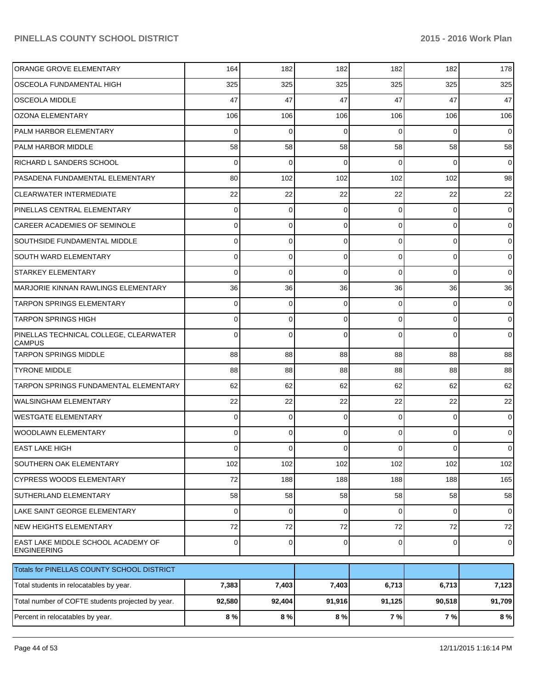| ORANGE GROVE ELEMENTARY                                  | 164            | 182         | 182         | 182            | 182            | 178            |
|----------------------------------------------------------|----------------|-------------|-------------|----------------|----------------|----------------|
| OSCEOLA FUNDAMENTAL HIGH                                 | 325            | 325         | 325         | 325            | 325            | 325            |
| <b>OSCEOLA MIDDLE</b>                                    | 47             | 47          | 47          | 47             | 47             | 47             |
| <b>OZONA ELEMENTARY</b>                                  | 106            | 106         | 106         | 106            | 106            | 106            |
| PALM HARBOR ELEMENTARY                                   | $\Omega$       | $\Omega$    | 0           | $\Omega$       | $\Omega$       | $\overline{0}$ |
| PALM HARBOR MIDDLE                                       | 58             | 58          | 58          | 58             | 58             | 58             |
| RICHARD L SANDERS SCHOOL                                 | $\Omega$       | $\Omega$    | $\Omega$    | $\Omega$       | $\Omega$       | $\Omega$       |
| PASADENA FUNDAMENTAL ELEMENTARY                          | 80             | 102         | 102         | 102            | 102            | 98             |
| <b>CLEARWATER INTERMEDIATE</b>                           | 22             | 22          | 22          | 22             | 22             | 22             |
| PINELLAS CENTRAL ELEMENTARY                              | 0              | $\Omega$    | 0           | $\Omega$       | $\Omega$       | $\overline{0}$ |
| CAREER ACADEMIES OF SEMINOLE                             | 0              | $\Omega$    | 0           | $\Omega$       | $\Omega$       | $\Omega$       |
| <b>SOUTHSIDE FUNDAMENTAL MIDDLE</b>                      | 0              | $\Omega$    | $\Omega$    | $\Omega$       | $\Omega$       | $\overline{0}$ |
| <b>SOUTH WARD ELEMENTARY</b>                             | 0              | $\Omega$    | 0           | $\Omega$       | $\Omega$       | $\overline{0}$ |
| <b>STARKEY ELEMENTARY</b>                                | $\Omega$       | $\Omega$    | $\Omega$    | $\Omega$       | $\Omega$       | $\Omega$       |
| MARJORIE KINNAN RAWLINGS ELEMENTARY                      | 36             | 36          | 36          | 36             | 36             | 36             |
| <b>TARPON SPRINGS ELEMENTARY</b>                         | 0              | $\Omega$    | $\Omega$    | $\Omega$       | $\Omega$       | $\overline{0}$ |
| <b>TARPON SPRINGS HIGH</b>                               | 0              | $\Omega$    | 0           | $\Omega$       | $\Omega$       | $\overline{0}$ |
| PINELLAS TECHNICAL COLLEGE, CLEARWATER<br><b>CAMPUS</b>  | <sup>0</sup>   | $\Omega$    | $\Omega$    | $\Omega$       | $\Omega$       | $\overline{0}$ |
| <b>TARPON SPRINGS MIDDLE</b>                             | 88             | 88          | 88          | 88             | 88             | 88             |
| <b>TYRONE MIDDLE</b>                                     | 88             | 88          | 88          | 88             | 88             | 88             |
| <b>TARPON SPRINGS FUNDAMENTAL ELEMENTARY</b>             | 62             | 62          | 62          | 62             | 62             | 62             |
| WALSINGHAM ELEMENTARY                                    | 22             | 22          | 22          | 22             | 22             | 22             |
| WESTGATE ELEMENTARY                                      | $\Omega$       | $\mathbf 0$ | $\Omega$    | $\Omega$       | $\Omega$       | $\overline{0}$ |
| WOODLAWN ELEMENTARY                                      | 0              | $\Omega$    | $\Omega$    | $\Omega$       | $\Omega$       | $\overline{0}$ |
| EAST LAKE HIGH                                           | $\Omega$       | 0           | 0           | 0              | $\overline{0}$ | $\overline{0}$ |
| SOUTHERN OAK ELEMENTARY                                  | 102            | 102         | 102         | 102            | 102            | 102            |
| <b>CYPRESS WOODS ELEMENTARY</b>                          | 72             | 188         | 188         | 188            | 188            | 165            |
| SUTHERLAND ELEMENTARY                                    | 58             | 58          | 58          | 58             | 58             | 58             |
| LAKE SAINT GEORGE ELEMENTARY                             | $\Omega$       | $\mathbf 0$ | $\mathbf 0$ | $\overline{0}$ | $\overline{0}$ | $\overline{0}$ |
| <b>NEW HEIGHTS ELEMENTARY</b>                            | 72             | 72          | 72          | 72             | $72\,$         | 72             |
| EAST LAKE MIDDLE SCHOOL ACADEMY OF<br><b>ENGINEERING</b> | $\overline{0}$ | $\mathbf 0$ | $\mathbf 0$ | $\overline{0}$ | $\overline{0}$ | $\overline{0}$ |
| Totals for PINELLAS COUNTY SCHOOL DISTRICT               |                |             |             |                |                |                |
| Total students in relocatables by year.                  | 7,383          | 7,403       | 7,403       | 6,713          | 6,713          | 7,123          |
| Total number of COFTE students projected by year.        | 92,580         | 92,404      | 91,916      | 91,125         | 90,518         | 91,709         |
| Percent in relocatables by year.                         | 8 %            | 8 %         | 8%          | 7 %            | 7 %            | 8%             |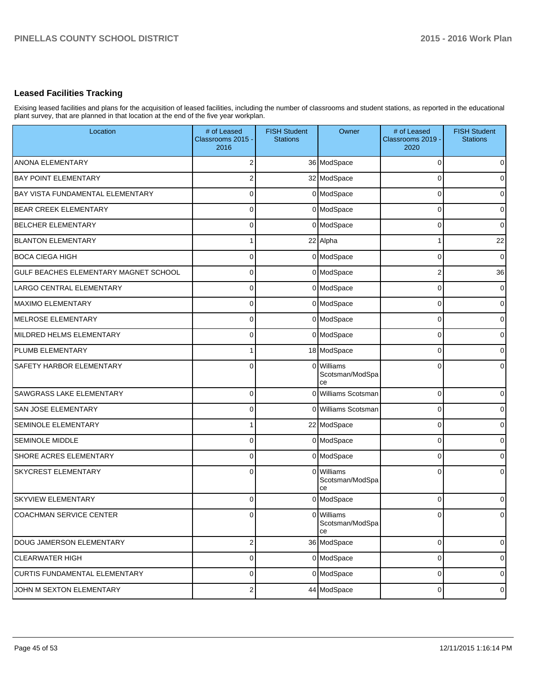## **Leased Facilities Tracking**

Exising leased facilities and plans for the acquisition of leased facilities, including the number of classrooms and student stations, as reported in the educational plant survey, that are planned in that location at the end of the five year workplan.

| Location                              | # of Leased<br>Classrooms 2015 -<br>2016 | <b>FISH Student</b><br><b>Stations</b> | Owner                               | # of Leased<br>Classrooms 2019 -<br>2020 | <b>FISH Student</b><br><b>Stations</b> |
|---------------------------------------|------------------------------------------|----------------------------------------|-------------------------------------|------------------------------------------|----------------------------------------|
| <b>ANONA ELEMENTARY</b>               | 2                                        |                                        | 36 ModSpace                         | 0                                        | $\overline{0}$                         |
| <b>BAY POINT ELEMENTARY</b>           | 2                                        |                                        | 32 ModSpace                         | 0                                        | $\overline{0}$                         |
| BAY VISTA FUNDAMENTAL ELEMENTARY      | 0                                        |                                        | 0 ModSpace                          | 0                                        | $\overline{0}$                         |
| BEAR CREEK ELEMENTARY                 | 0                                        |                                        | 0 ModSpace                          | 0                                        | 0                                      |
| <b>BELCHER ELEMENTARY</b>             | 0                                        |                                        | 0 ModSpace                          | 0                                        | $\overline{0}$                         |
| <b>BLANTON ELEMENTARY</b>             |                                          |                                        | 22 Alpha                            |                                          | 22                                     |
| <b>BOCA CIEGA HIGH</b>                | 0                                        |                                        | 0 ModSpace                          | $\Omega$                                 | $\mathbf 0$                            |
| GULF BEACHES ELEMENTARY MAGNET SCHOOL | 0                                        |                                        | 0 ModSpace                          | 2                                        | 36                                     |
| LARGO CENTRAL ELEMENTARY              | 0                                        |                                        | 0 ModSpace                          | C                                        | $\mathbf 0$                            |
| <b>MAXIMO ELEMENTARY</b>              | 0                                        |                                        | 0 ModSpace                          | C                                        | 0                                      |
| <b>MELROSE ELEMENTARY</b>             | 0                                        |                                        | 0 ModSpace                          | C                                        | 0                                      |
| MILDRED HELMS ELEMENTARY              | 0                                        |                                        | 0 ModSpace                          | C                                        | 0                                      |
| PLUMB ELEMENTARY                      |                                          |                                        | 18 ModSpace                         | C                                        | $\overline{0}$                         |
| <b>SAFETY HARBOR ELEMENTARY</b>       | $\Omega$                                 | $\Omega$                               | Williams<br>Scotsman/ModSpa<br>сe   | C                                        | $\overline{0}$                         |
| <b>SAWGRASS LAKE ELEMENTARY</b>       | $\Omega$                                 |                                        | 0 Williams Scotsman                 | 0                                        | $\mathbf 0$                            |
| SAN JOSE ELEMENTARY                   | 0                                        |                                        | 0 Williams Scotsman                 | $\Omega$                                 | $\overline{0}$                         |
| <b>SEMINOLE ELEMENTARY</b>            |                                          |                                        | 22 ModSpace                         | $\Omega$                                 | $\pmb{0}$                              |
| <b>SEMINOLE MIDDLE</b>                | 0                                        |                                        | 0 ModSpace                          | $\Omega$                                 | $\overline{0}$                         |
| SHORE ACRES ELEMENTARY                | $\Omega$                                 |                                        | 0 ModSpace                          | $\Omega$                                 | $\overline{0}$                         |
| <b>SKYCREST ELEMENTARY</b>            | $\Omega$                                 |                                        | 0 Williams<br>Scotsman/ModSpa<br>ce | $\Omega$                                 | $\overline{0}$                         |
| <b>SKYVIEW ELEMENTARY</b>             | $\mathbf 0$                              |                                        | 0 ModSpace                          | 0                                        | $\overline{0}$                         |
| COACHMAN SERVICE CENTER               |                                          |                                        | 0 Williams<br>Scotsman/ModSpa<br>ce |                                          | $\overline{0}$                         |
| DOUG JAMERSON ELEMENTARY              | $\mathbf{2}$                             |                                        | 36 ModSpace                         | 0                                        | $\mathbf 0$                            |
| <b>CLEARWATER HIGH</b>                | $\mathbf 0$                              |                                        | 0 ModSpace                          | $\mathbf 0$                              | $\overline{0}$                         |
| CURTIS FUNDAMENTAL ELEMENTARY         | $\mathbf 0$                              |                                        | 0 ModSpace                          | $\mathbf 0$                              | $\overline{0}$                         |
| JOHN M SEXTON ELEMENTARY              | $\mathbf{2}$                             |                                        | 44 ModSpace                         | 0                                        | $\boldsymbol{0}$                       |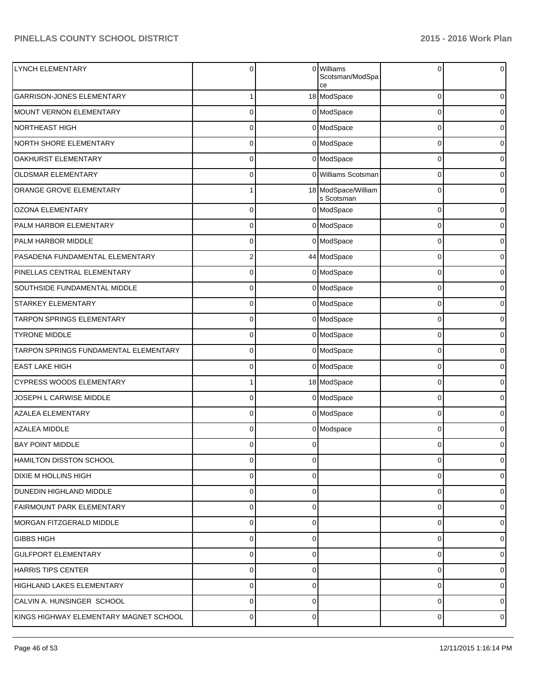| LYNCH ELEMENTARY                       | $\Omega$       | $\Omega$ | <b>Williams</b><br>Scotsman/ModSpa<br>ce | 0 | $\overline{0}$ |
|----------------------------------------|----------------|----------|------------------------------------------|---|----------------|
| <b>GARRISON-JONES ELEMENTARY</b>       |                |          | 18 ModSpace                              | 0 | $\overline{0}$ |
| <b>MOUNT VERNON ELEMENTARY</b>         | $\mathbf 0$    |          | 0 ModSpace                               | 0 | $\overline{0}$ |
| <b>NORTHEAST HIGH</b>                  | $\mathbf 0$    |          | 0 ModSpace                               | 0 | $\overline{0}$ |
| NORTH SHORE ELEMENTARY                 | $\mathbf 0$    |          | 0 ModSpace                               | 0 | $\overline{0}$ |
| OAKHURST ELEMENTARY                    | $\mathbf 0$    |          | 0 ModSpace                               | 0 | $\overline{0}$ |
| <b>OLDSMAR ELEMENTARY</b>              | 0              |          | 0 Williams Scotsman                      | 0 | $\overline{0}$ |
| ORANGE GROVE ELEMENTARY                |                |          | 18 ModSpace/William<br>s Scotsman        | 0 | $\overline{0}$ |
| <b>OZONA ELEMENTARY</b>                | 0              |          | 0 ModSpace                               | 0 | 0              |
| PALM HARBOR ELEMENTARY                 | 0              |          | 0 ModSpace                               | 0 | 0              |
| PALM HARBOR MIDDLE                     | $\mathbf 0$    |          | 0 ModSpace                               | 0 | 0              |
| PASADENA FUNDAMENTAL ELEMENTARY        | $\overline{2}$ |          | 44 ModSpace                              | 0 | 0              |
| PINELLAS CENTRAL ELEMENTARY            | $\mathbf 0$    |          | 0 ModSpace                               | 0 | 0              |
| SOUTHSIDE FUNDAMENTAL MIDDLE           | 0              |          | 0 ModSpace                               | 0 | 0              |
| <b>STARKEY ELEMENTARY</b>              | $\mathbf 0$    |          | 0 ModSpace                               | 0 | 0              |
| <b>TARPON SPRINGS ELEMENTARY</b>       | 0              |          | 0 ModSpace                               | 0 | 0              |
| <b>TYRONE MIDDLE</b>                   | $\mathbf 0$    |          | 0 ModSpace                               | 0 | 0              |
| TARPON SPRINGS FUNDAMENTAL ELEMENTARY  | 0              |          | 0 ModSpace                               | 0 | 0              |
| <b>EAST LAKE HIGH</b>                  | $\mathbf 0$    |          | 0 ModSpace                               | 0 | 0              |
| <b>CYPRESS WOODS ELEMENTARY</b>        |                |          | 18 ModSpace                              | 0 | 0              |
| JOSEPH L CARWISE MIDDLE                | $\mathbf 0$    |          | 0 ModSpace                               | 0 | 0              |
| <b>AZALEA ELEMENTARY</b>               | 0              |          | 0 ModSpace                               | 0 | 0              |
| AZALEA MIDDLE                          | 0              |          | 0 Modspace                               | 0 | 0              |
| <b>BAY POINT MIDDLE</b>                | 0              | 0        |                                          | 0 | 0              |
| HAMILTON DISSTON SCHOOL                | $\Omega$       | 0        |                                          | 0 | 0              |
| <b>DIXIE M HOLLINS HIGH</b>            | $\Omega$       | 0        |                                          | 0 | 01             |
| DUNEDIN HIGHLAND MIDDLE                | $\Omega$       | 0        |                                          | 0 | 01             |
| <b>FAIRMOUNT PARK ELEMENTARY</b>       | $\Omega$       | 0        |                                          | 0 | 01             |
| MORGAN FITZGERALD MIDDLE               | $\Omega$       | 0        |                                          | 0 | 01             |
| <b>GIBBS HIGH</b>                      | $\Omega$       | 0        |                                          | 0 | 01             |
| <b>GULFPORT ELEMENTARY</b>             | $\Omega$       | 0        |                                          | 0 | 01             |
| <b>HARRIS TIPS CENTER</b>              | $\Omega$       | 0        |                                          | 0 | 01             |
| <b>HIGHLAND LAKES ELEMENTARY</b>       | 0              | 0        |                                          | 0 | $\overline{0}$ |
| CALVIN A. HUNSINGER SCHOOL             | 0              | 0        |                                          | 0 | $\overline{0}$ |
| KINGS HIGHWAY ELEMENTARY MAGNET SCHOOL | 0              | 0        |                                          | 0 | $\overline{0}$ |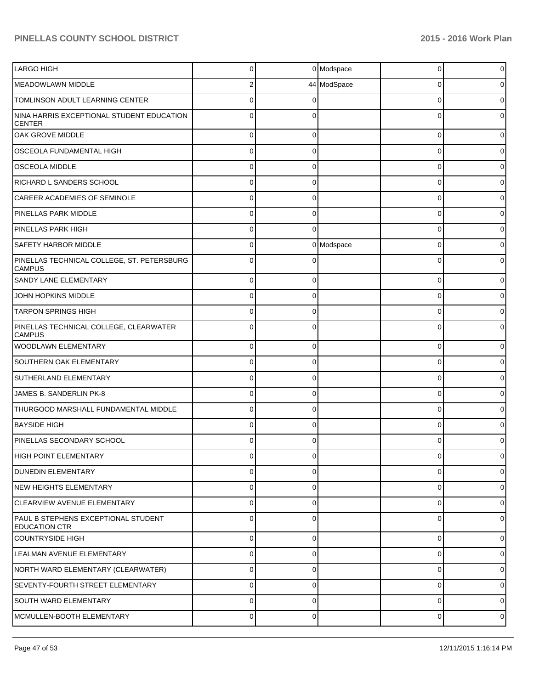| <b>LARGO HIGH</b>                                           | $\Omega$       |             | 0 Modspace  | $\Omega$       | 0              |
|-------------------------------------------------------------|----------------|-------------|-------------|----------------|----------------|
| <b>MEADOWLAWN MIDDLE</b>                                    | 2              |             | 44 ModSpace | 0              | 0              |
| <b>TOMLINSON ADULT LEARNING CENTER</b>                      | 0              |             |             | $\Omega$       | 0              |
| NINA HARRIS EXCEPTIONAL STUDENT EDUCATION<br><b>CENTER</b>  | 0              |             |             | $\Omega$       | 0              |
| OAK GROVE MIDDLE                                            | $\Omega$       | 0           |             | 0              | 0              |
| OSCEOLA FUNDAMENTAL HIGH                                    | $\Omega$       | $\Omega$    |             | $\Omega$       | 0              |
| <b>OSCEOLA MIDDLE</b>                                       | $\Omega$       | $\Omega$    |             | 0              | 0              |
| RICHARD L SANDERS SCHOOL                                    | $\Omega$       | $\Omega$    |             | $\Omega$       | 0              |
| CAREER ACADEMIES OF SEMINOLE                                | $\Omega$       | $\Omega$    |             | 0              | 0              |
| PINELLAS PARK MIDDLE                                        | $\Omega$       | $\Omega$    |             | $\Omega$       | 0              |
| PINELLAS PARK HIGH                                          | $\mathbf{0}$   | $\Omega$    |             | $\mathbf 0$    | 0              |
| <b>SAFETY HARBOR MIDDLE</b>                                 | $\Omega$       |             | 0 Modspace  | $\Omega$       | 0              |
| PINELLAS TECHNICAL COLLEGE, ST. PETERSBURG<br><b>CAMPUS</b> | $\Omega$       |             |             | $\Omega$       | 0              |
| <b>SANDY LANE ELEMENTARY</b>                                | 0              | $\mathbf 0$ |             | $\mathbf 0$    | 0              |
| JOHN HOPKINS MIDDLE                                         | $\Omega$       | $\mathbf 0$ |             | $\Omega$       | 0              |
| <b>TARPON SPRINGS HIGH</b>                                  | $\Omega$       | $\mathbf 0$ |             | $\mathbf 0$    | 0              |
| PINELLAS TECHNICAL COLLEGE, CLEARWATER<br><b>CAMPUS</b>     | 0              | $\Omega$    |             | $\Omega$       | 0              |
| WOODLAWN ELEMENTARY                                         | $\Omega$       | $\Omega$    |             | $\Omega$       | 0              |
| <b>SOUTHERN OAK ELEMENTARY</b>                              | 0              | $\Omega$    |             | $\Omega$       | 0              |
| SUTHERLAND ELEMENTARY                                       | $\Omega$       | $\Omega$    |             | $\Omega$       | 0              |
| JAMES B. SANDERLIN PK-8                                     | 0              | ∩           |             | $\Omega$       | 0              |
| THURGOOD MARSHALL FUNDAMENTAL MIDDLE                        | $\mathbf{0}$   | $\Omega$    |             | $\Omega$       | 0              |
| <b>BAYSIDE HIGH</b>                                         | 0              | $\Omega$    |             | $\Omega$       | 0              |
| PINELLAS SECONDARY SCHOOL                                   | 0              | O           |             | $\Omega$       | 0              |
| HIGH POINT ELEMENTARY                                       | $\overline{0}$ | 0           |             | $\overline{0}$ | $\overline{0}$ |
| <b>DUNEDIN ELEMENTARY</b>                                   | $\Omega$       | $\Omega$    |             | $\Omega$       | $\overline{0}$ |
| NEW HEIGHTS ELEMENTARY                                      | $\overline{0}$ | $\Omega$    |             | $\mathbf 0$    | $\overline{0}$ |
| CLEARVIEW AVENUE ELEMENTARY                                 | $\overline{0}$ | $\Omega$    |             | $\mathbf 0$    | $\overline{0}$ |
| PAUL B STEPHENS EXCEPTIONAL STUDENT<br><b>EDUCATION CTR</b> | $\Omega$       | $\Omega$    |             | $\mathbf 0$    | ٥I             |
| <b>COUNTRYSIDE HIGH</b>                                     | $\mathbf 0$    | $\mathbf 0$ |             | 0              | 0              |
| LEALMAN AVENUE ELEMENTARY                                   | 0              | $\Omega$    |             | 0              | $\overline{0}$ |
| NORTH WARD ELEMENTARY (CLEARWATER)                          | 0              | $\Omega$    |             | 0              | $\overline{0}$ |
| <b>SEVENTY-FOURTH STREET ELEMENTARY</b>                     | 0              | $\Omega$    |             | 0              | $\overline{0}$ |
| <b>SOUTH WARD ELEMENTARY</b>                                | 0              | $\Omega$    |             | 0              | $\overline{0}$ |
| MCMULLEN-BOOTH ELEMENTARY                                   | 0              | 0           |             | 0              | $\overline{0}$ |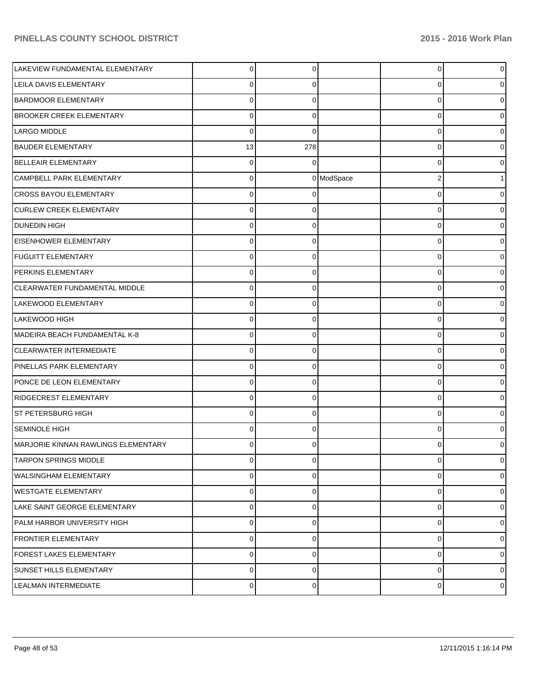| LAKEVIEW FUNDAMENTAL ELEMENTARY     | $\Omega$       | $\Omega$    |            | $\overline{0}$ | $\overline{0}$ |
|-------------------------------------|----------------|-------------|------------|----------------|----------------|
| LEILA DAVIS ELEMENTARY              | 0              | O           |            | 0              | 0              |
| <b>BARDMOOR ELEMENTARY</b>          | 0              | U           |            | 0              | 0              |
| <b>BROOKER CREEK ELEMENTARY</b>     | $\Omega$       | $\Omega$    |            | 0              | 0              |
| LARGO MIDDLE                        | $\Omega$       | $\Omega$    |            | 0              | 0              |
| <b>BAUDER ELEMENTARY</b>            | 13             | 278         |            | 0              | 0              |
| BELLEAIR ELEMENTARY                 | $\Omega$       | $\Omega$    |            | 0              | 0              |
| <b>CAMPBELL PARK ELEMENTARY</b>     | 0              |             | 0 ModSpace | 2              |                |
| <b>CROSS BAYOU ELEMENTARY</b>       | 0              |             |            | 0              | 0              |
| <b>CURLEW CREEK ELEMENTARY</b>      | 0              | 0           |            | 0              | 0              |
| DUNEDIN HIGH                        | 0              | C           |            | 0              | 0              |
| <b>EISENHOWER ELEMENTARY</b>        | 0              | 0           |            | 0              | 0              |
| <b>FUGUITT ELEMENTARY</b>           | 0              | C           |            | 0              | 0              |
| PERKINS ELEMENTARY                  | $\Omega$       | $\Omega$    |            | 0              | 0              |
| CLEARWATER FUNDAMENTAL MIDDLE       | 0              | C           |            | 0              | 0              |
| LAKEWOOD ELEMENTARY                 | 0              | $\Omega$    |            | 0              | 0              |
| <b>LAKEWOOD HIGH</b>                | 0              | C           |            | 0              | 0              |
| MADEIRA BEACH FUNDAMENTAL K-8       | $\Omega$       | $\Omega$    |            | 0              | 0              |
| <b>CLEARWATER INTERMEDIATE</b>      | 0              | C           |            | 0              | 0              |
| PINELLAS PARK ELEMENTARY            | $\Omega$       | $\Omega$    |            | 0              | 0              |
| PONCE DE LEON ELEMENTARY            | 0              | C           |            | 0              | 0              |
| <b>RIDGECREST ELEMENTARY</b>        | $\Omega$       | $\Omega$    |            | 0              | 0              |
| ST PETERSBURG HIGH                  | 0              | C           |            | 0              | 0              |
| <b>SEMINOLE HIGH</b>                | 0              | $\Omega$    |            | $\Omega$       | 0              |
| MARJORIE KINNAN RAWLINGS ELEMENTARY | U              |             |            | 0              | 0              |
| <b>TARPON SPRINGS MIDDLE</b>        | $\mathbf 0$    | $\mathbf 0$ |            | 0              | $\overline{0}$ |
| <b>WALSINGHAM ELEMENTARY</b>        | 0              | $\Omega$    |            | 0              | $\overline{0}$ |
| <b>WESTGATE ELEMENTARY</b>          | 0              | $\Omega$    |            | 0              | $\overline{0}$ |
| LAKE SAINT GEORGE ELEMENTARY        | 0              | $\Omega$    |            | 0              | $\overline{0}$ |
| PALM HARBOR UNIVERSITY HIGH         | 0              | $\Omega$    |            | 0              | $\overline{0}$ |
| <b>FRONTIER ELEMENTARY</b>          | 0              | $\Omega$    |            | 0              | $\overline{0}$ |
| FOREST LAKES ELEMENTARY             | 0              | $\Omega$    |            | 0              | $\overline{0}$ |
| <b>SUNSET HILLS ELEMENTARY</b>      | $\mathbf 0$    | $\Omega$    |            | 0              | $\overline{0}$ |
| LEALMAN INTERMEDIATE                | $\overline{0}$ | 0           |            | 0              | $\circ$        |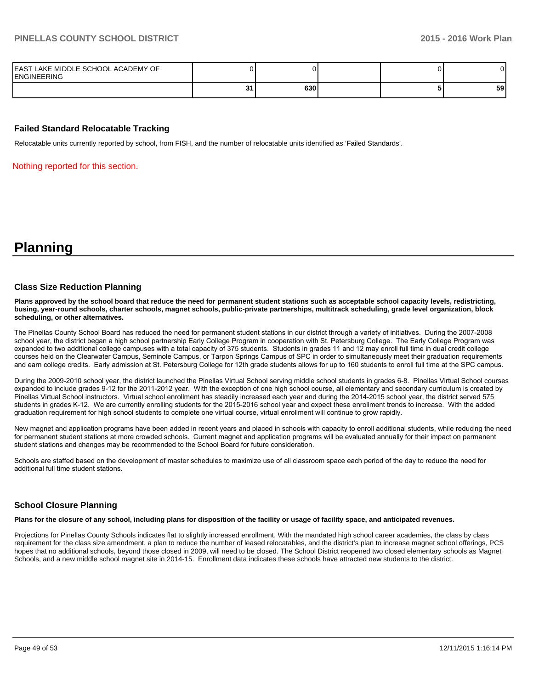| IEAST LAKE MIDDLE SCHOOL ACADEMY OF<br><b>IENGINEERING</b> |   |     |  |    |
|------------------------------------------------------------|---|-----|--|----|
|                                                            | ີ | 630 |  | 59 |

#### **Failed Standard Relocatable Tracking**

Relocatable units currently reported by school, from FISH, and the number of relocatable units identified as 'Failed Standards'.

Nothing reported for this section.

**Planning**

#### **Class Size Reduction Planning**

**Plans approved by the school board that reduce the need for permanent student stations such as acceptable school capacity levels, redistricting, busing, year-round schools, charter schools, magnet schools, public-private partnerships, multitrack scheduling, grade level organization, block scheduling, or other alternatives.**

The Pinellas County School Board has reduced the need for permanent student stations in our district through a variety of initiatives. During the 2007-2008 school year, the district began a high school partnership Early College Program in cooperation with St. Petersburg College. The Early College Program was expanded to two additional college campuses with a total capacity of 375 students. Students in grades 11 and 12 may enroll full time in dual credit college courses held on the Clearwater Campus, Seminole Campus, or Tarpon Springs Campus of SPC in order to simultaneously meet their graduation requirements and earn college credits. Early admission at St. Petersburg College for 12th grade students allows for up to 160 students to enroll full time at the SPC campus.

During the 2009-2010 school year, the district launched the Pinellas Virtual School serving middle school students in grades 6-8. Pinellas Virtual School courses expanded to include grades 9-12 for the 2011-2012 vear. With the exception of one high school course, all elementary and secondary curriculum is created by Pinellas Virtual School instructors. Virtual school enrollment has steadily increased each year and during the 2014-2015 school year, the district served 575 students in grades K-12. We are currently enrolling students for the 2015-2016 school year and expect these enrollment trends to increase. With the added graduation requirement for high school students to complete one virtual course, virtual enrollment will continue to grow rapidly.

New magnet and application programs have been added in recent years and placed in schools with capacity to enroll additional students, while reducing the need for permanent student stations at more crowded schools. Current magnet and application programs will be evaluated annually for their impact on permanent student stations and changes may be recommended to the School Board for future consideration.

Schools are staffed based on the development of master schedules to maximize use of all classroom space each period of the day to reduce the need for additional full time student stations.

#### **School Closure Planning**

**Plans for the closure of any school, including plans for disposition of the facility or usage of facility space, and anticipated revenues.**

Projections for Pinellas County Schools indicates flat to slightly increased enrollment. With the mandated high school career academies, the class by class requirement for the class size amendment, a plan to reduce the number of leased relocatables, and the district's plan to increase magnet school offerings, PCS hopes that no additional schools, beyond those closed in 2009, will need to be closed. The School District reopened two closed elementary schools as Magnet Schools, and a new middle school magnet site in 2014-15. Enrollment data indicates these schools have attracted new students to the district.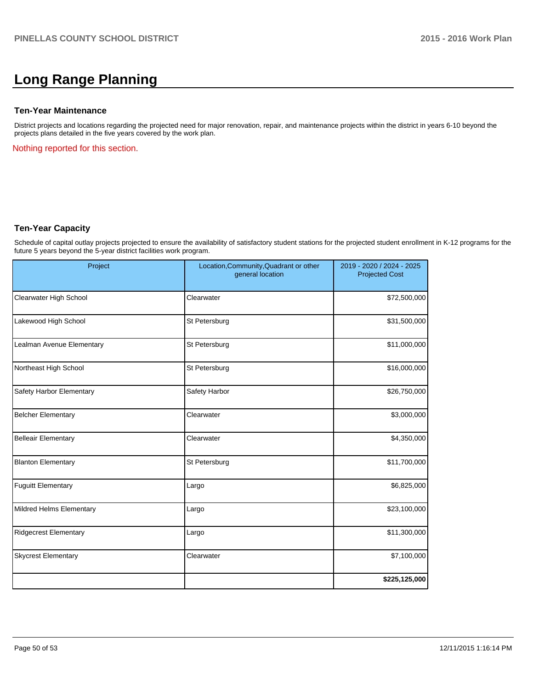# **Long Range Planning**

#### **Ten-Year Maintenance**

District projects and locations regarding the projected need for major renovation, repair, and maintenance projects within the district in years 6-10 beyond the projects plans detailed in the five years covered by the work plan.

Nothing reported for this section.

#### **Ten-Year Capacity**

Schedule of capital outlay projects projected to ensure the availability of satisfactory student stations for the projected student enrollment in K-12 programs for the future 5 years beyond the 5-year district facilities work program.

| Project                      | Location, Community, Quadrant or other<br>general location | 2019 - 2020 / 2024 - 2025<br><b>Projected Cost</b> |  |
|------------------------------|------------------------------------------------------------|----------------------------------------------------|--|
| Clearwater High School       | Clearwater                                                 | \$72,500,000                                       |  |
| Lakewood High School         | St Petersburg                                              | \$31,500,000                                       |  |
| Lealman Avenue Elementary    | St Petersburg                                              | \$11,000,000                                       |  |
| Northeast High School        | St Petersburg                                              | \$16,000,000                                       |  |
| Safety Harbor Elementary     | Safety Harbor                                              | \$26,750,000                                       |  |
| <b>Belcher Elementary</b>    | Clearwater                                                 | \$3,000,000                                        |  |
| <b>Belleair Elementary</b>   | Clearwater                                                 | \$4,350,000                                        |  |
| <b>Blanton Elementary</b>    | St Petersburg                                              | \$11,700,000                                       |  |
| <b>Fuguitt Elementary</b>    | Largo                                                      | \$6,825,000                                        |  |
| Mildred Helms Elementary     | Largo                                                      | \$23,100,000                                       |  |
| <b>Ridgecrest Elementary</b> | Largo                                                      | \$11,300,000                                       |  |
| <b>Skycrest Elementary</b>   | Clearwater                                                 | \$7,100,000                                        |  |
|                              |                                                            | \$225,125,000                                      |  |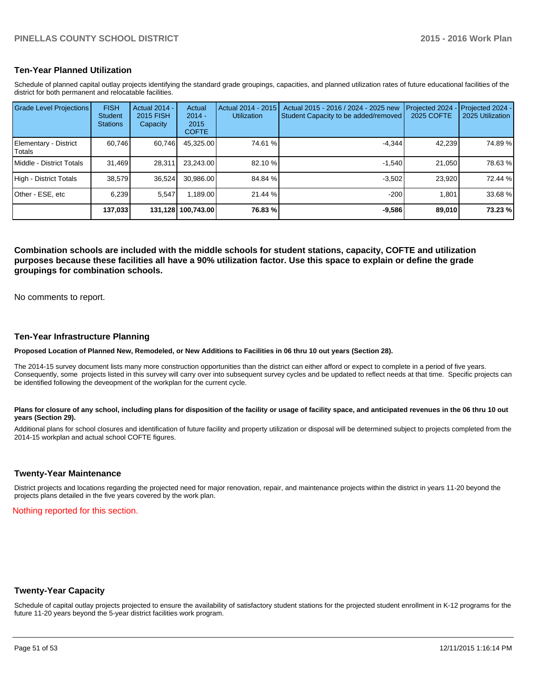#### **Ten-Year Planned Utilization**

Schedule of planned capital outlay projects identifying the standard grade groupings, capacities, and planned utilization rates of future educational facilities of the district for both permanent and relocatable facilities.

| <b>Grade Level Projections</b>   | <b>FISH</b><br><b>Student</b><br><b>Stations</b> | <b>Actual 2014 -</b><br>2015 FISH<br>Capacity | Actual<br>$2014 -$<br>2015<br><b>COFTE</b> | Actual 2014 - 2015<br><b>Utilization</b> | Actual 2015 - 2016 / 2024 - 2025 new<br>Student Capacity to be added/removed | Projected 2024<br>2025 COFTE | Projected 2024 -<br>2025 Utilization |
|----------------------------------|--------------------------------------------------|-----------------------------------------------|--------------------------------------------|------------------------------------------|------------------------------------------------------------------------------|------------------------------|--------------------------------------|
| Elementary - District<br> Totals | 60,746                                           | 60,746                                        | 45,325.00                                  | 74.61 %                                  | $-4.344$                                                                     | 42,239                       | 74.89%                               |
| Middle - District Totals         | 31.469                                           | 28.311                                        | 23.243.00                                  | 82.10 %                                  | $-1.540$                                                                     | 21.050                       | 78.63%                               |
| High - District Totals           | 38.579                                           | 36.524                                        | 30.986.00                                  | 84.84 %                                  | $-3.502$                                                                     | 23.920                       | 72.44 %                              |
| IOther - ESE. etc                | 6.239                                            | 5.547                                         | 1.189.00                                   | 21.44 %                                  | $-200$                                                                       | 1.801                        | 33.68 %                              |
|                                  | 137,033                                          |                                               | 131,128   100,743.00                       | 76.83 %                                  | $-9,586$                                                                     | 89,010                       | 73.23 %                              |

**Combination schools are included with the middle schools for student stations, capacity, COFTE and utilization purposes because these facilities all have a 90% utilization factor. Use this space to explain or define the grade groupings for combination schools.**

No comments to report.

#### **Ten-Year Infrastructure Planning**

**Proposed Location of Planned New, Remodeled, or New Additions to Facilities in 06 thru 10 out years (Section 28).**

The 2014-15 survey document lists many more construction opportunities than the district can either afford or expect to complete in a period of five years. Consequently, some projects listed in this survey will carry over into subsequent survey cycles and be updated to reflect needs at that time. Specific projects can be identified following the deveopment of the workplan for the current cycle.

#### Plans for closure of any school, including plans for disposition of the facility or usage of facility space, and anticipated revenues in the 06 thru 10 out **years (Section 29).**

Additional plans for school closures and identification of future facility and property utilization or disposal will be determined subject to projects completed from the 2014-15 workplan and actual school COFTE figures.

#### **Twenty-Year Maintenance**

District projects and locations regarding the projected need for major renovation, repair, and maintenance projects within the district in years 11-20 beyond the projects plans detailed in the five years covered by the work plan.

Nothing reported for this section.

#### **Twenty-Year Capacity**

Schedule of capital outlay projects projected to ensure the availability of satisfactory student stations for the projected student enrollment in K-12 programs for the future 11-20 years beyond the 5-year district facilities work program.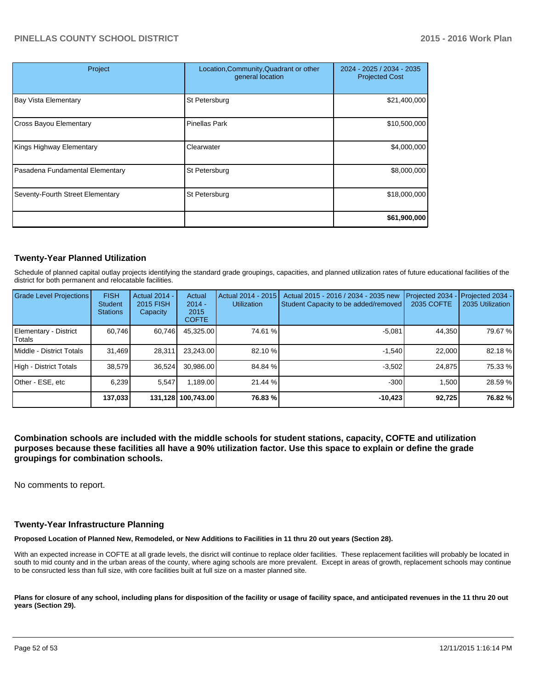| Project                          | Location, Community, Quadrant or other<br>general location | 2024 - 2025 / 2034 - 2035<br><b>Projected Cost</b> |
|----------------------------------|------------------------------------------------------------|----------------------------------------------------|
| <b>Bay Vista Elementary</b>      | St Petersburg                                              | \$21,400,000                                       |
| <b>Cross Bayou Elementary</b>    | <b>Pinellas Park</b>                                       | \$10,500,000                                       |
| Kings Highway Elementary         | Clearwater                                                 | \$4,000,000                                        |
| Pasadena Fundamental Elementary  | St Petersburg                                              | \$8,000,000                                        |
| Seventy-Fourth Street Elementary | St Petersburg                                              | \$18,000,000                                       |
|                                  |                                                            | \$61,900,000                                       |

### **Twenty-Year Planned Utilization**

Schedule of planned capital outlay projects identifying the standard grade groupings, capacities, and planned utilization rates of future educational facilities of the district for both permanent and relocatable facilities.

| <b>Grade Level Projections</b>    | <b>FISH</b><br><b>Student</b><br><b>Stations</b> | Actual 2014 -<br>2015 FISH<br>Capacity | Actual<br>$2014 -$<br>2015<br><b>COFTE</b> | Actual 2014 - 2015<br><b>Utilization</b> | Actual 2015 - 2016 / 2034 - 2035 new<br>Student Capacity to be added/removed | Projected 2034<br>2035 COFTE | Projected 2034 -<br>2035 Utilization |
|-----------------------------------|--------------------------------------------------|----------------------------------------|--------------------------------------------|------------------------------------------|------------------------------------------------------------------------------|------------------------------|--------------------------------------|
| Elementary - District<br>l Totals | 60.746                                           | 60,746                                 | 45,325.00                                  | 74.61 %                                  | $-5,081$                                                                     | 44,350                       | 79.67 %                              |
| Middle - District Totals          | 31,469                                           | 28.311                                 | 23,243.00                                  | 82.10 %                                  | $-1.540$                                                                     | 22,000                       | 82.18%                               |
| High - District Totals            | 38,579                                           | 36,524                                 | 30.986.00                                  | 84.84 %                                  | $-3.502$                                                                     | 24.875                       | 75.33 %                              |
| Other - ESE, etc                  | 6,239                                            | 5,547                                  | 1.189.00                                   | 21.44 %                                  | $-300$                                                                       | 1,500                        | 28.59 %                              |
|                                   | 137,033                                          |                                        | 131,128   100,743.00                       | 76.83 %                                  | $-10,423$                                                                    | 92,725                       | 76.82 %                              |

**Combination schools are included with the middle schools for student stations, capacity, COFTE and utilization purposes because these facilities all have a 90% utilization factor. Use this space to explain or define the grade groupings for combination schools.**

No comments to report.

#### **Twenty-Year Infrastructure Planning**

**Proposed Location of Planned New, Remodeled, or New Additions to Facilities in 11 thru 20 out years (Section 28).**

With an expected increase in COFTE at all grade levels, the disrict will continue to replace older facilities. These replacement facilities will probably be located in south to mid county and in the urban areas of the county, where aging schools are more prevalent. Except in areas of growth, replacement schools may continue to be consructed less than full size, with core facilities built at full size on a master planned site.

Plans for closure of any school, including plans for disposition of the facility or usage of facility space, and anticipated revenues in the 11 thru 20 out **years (Section 29).**